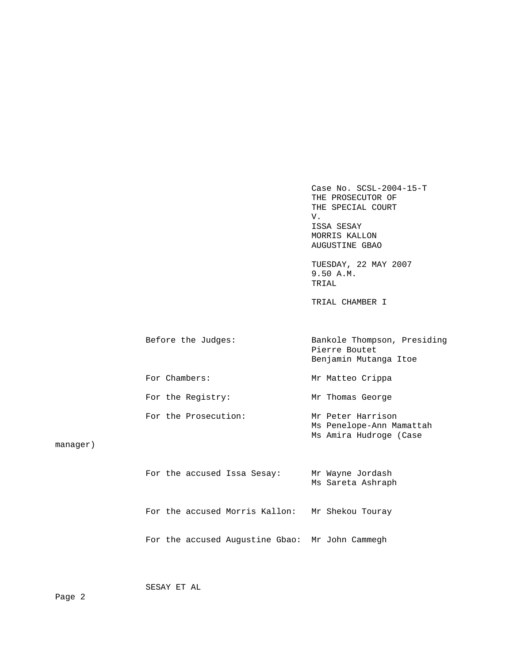Case No. SCSL-2004-15-T THE PROSECUTOR OF THE SPECIAL COURT V. ISSA SESAY MORRIS KALLON AUGUSTINE GBAO TUESDAY, 22 MAY 2007 9.50 A.M. TRIAL TRIAL CHAMBER I Before the Judges: Bankole Thompson, Presiding Pierre Boutet Benjamin Mutanga Itoe For Chambers: Mr Matteo Crippa For the Registry: Mr Thomas George For the Prosecution: Mr Peter Harrison Ms Penelope-Ann Mamattah Ms Amira Hudroge (Case

manager)

|  |  | For the accused Issa Sesay:                     | Mr Wayne Jordash<br>Ms Sareta Ashraph |
|--|--|-------------------------------------------------|---------------------------------------|
|  |  | For the accused Morris Kallon:                  | Mr Shekou Touray                      |
|  |  | For the accused Augustine Gbao: Mr John Cammegh |                                       |

SESAY ET AL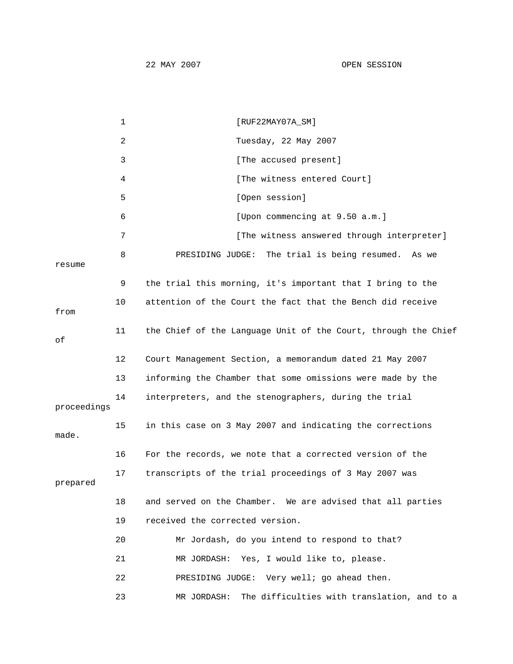1 [RUF22MAY07A\_SM] 2 Tuesday, 22 May 2007 3 [The accused present] 4 [The witness entered Court] 5 [Open session] 6 [Upon commencing at 9.50 a.m.] 7 **12 [The witness answered through interpreter]**  8 PRESIDING JUDGE: The trial is being resumed. As we resume 9 the trial this morning, it's important that I bring to the 10 attention of the Court the fact that the Bench did receive from 11 the Chief of the Language Unit of the Court, through the Chief of 12 Court Management Section, a memorandum dated 21 May 2007 13 informing the Chamber that some omissions were made by the 14 interpreters, and the stenographers, during the trial proceedings 15 in this case on 3 May 2007 and indicating the corrections made. 16 For the records, we note that a corrected version of the 17 transcripts of the trial proceedings of 3 May 2007 was prepared 18 and served on the Chamber. We are advised that all parties 19 received the corrected version. 20 Mr Jordash, do you intend to respond to that? 21 MR JORDASH: Yes, I would like to, please. 22 PRESIDING JUDGE: Very well; go ahead then. 23 MR JORDASH: The difficulties with translation, and to a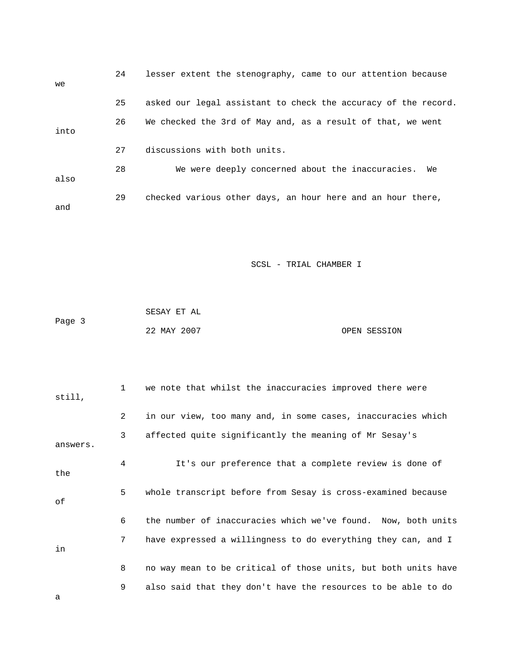| we   | 24 | lesser extent the stenography, came to our attention because   |
|------|----|----------------------------------------------------------------|
|      | 25 | asked our legal assistant to check the accuracy of the record. |
| into | 26 | We checked the 3rd of May and, as a result of that, we went    |
|      | 27 | discussions with both units.                                   |
| also | 28 | We were deeply concerned about the inaccuracies.<br>We         |
| and  | 29 | checked various other days, an hour here and an hour there,    |

|        | SESAY ET AL |              |
|--------|-------------|--------------|
| Page 3 |             |              |
|        | 22 MAY 2007 | OPEN SESSION |

| still,   | $\mathbf{1}$ | we note that whilst the inaccuracies improved there were       |
|----------|--------------|----------------------------------------------------------------|
|          | 2            | in our view, too many and, in some cases, inaccuracies which   |
| answers. | 3            | affected quite significantly the meaning of Mr Sesay's         |
| the      | 4            | It's our preference that a complete review is done of          |
| оf       | 5            | whole transcript before from Sesay is cross-examined because   |
|          | 6            | the number of inaccuracies which we've found. Now, both units  |
| in       | 7            | have expressed a willingness to do everything they can, and I  |
|          | 8            | no way mean to be critical of those units, but both units have |
| а        | 9            | also said that they don't have the resources to be able to do  |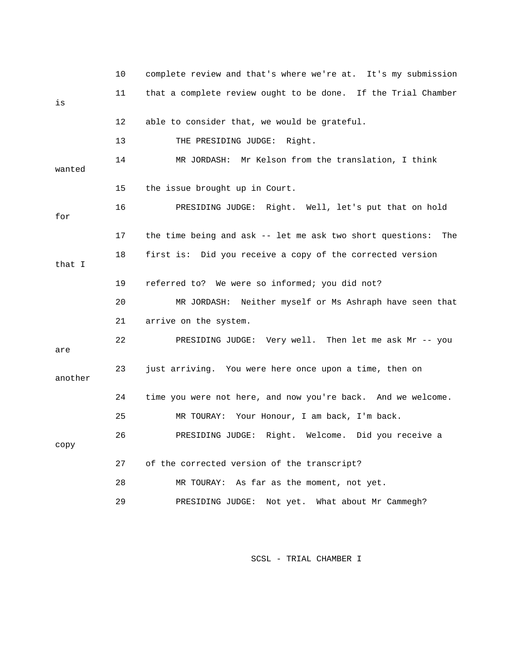|         | 10      | complete review and that's where we're at. It's my submission |
|---------|---------|---------------------------------------------------------------|
| is      | 11      | that a complete review ought to be done. If the Trial Chamber |
|         | $12 \,$ | able to consider that, we would be grateful.                  |
|         | 13      | THE PRESIDING JUDGE: Right.                                   |
| wanted  | 14      | MR JORDASH: Mr Kelson from the translation, I think           |
|         | 15      | the issue brought up in Court.                                |
| for     | 16      | PRESIDING JUDGE: Right. Well, let's put that on hold          |
|         | 17      | the time being and ask -- let me ask two short questions: The |
| that I  | 18      | first is: Did you receive a copy of the corrected version     |
|         | 19      | referred to? We were so informed; you did not?                |
|         | 20      | MR JORDASH: Neither myself or Ms Ashraph have seen that       |
|         | 21      | arrive on the system.                                         |
| are     | 22      | PRESIDING JUDGE: Very well. Then let me ask Mr -- you         |
| another | 23      | just arriving. You were here once upon a time, then on        |
|         | 24      | time you were not here, and now you're back. And we welcome.  |
|         | 25      | MR TOURAY: Your Honour, I am back, I'm back.                  |
| сору    | 26      | PRESIDING JUDGE: Right. Welcome. Did you receive a            |
|         | 27      | of the corrected version of the transcript?                   |
|         | 28      | MR TOURAY: As far as the moment, not yet.                     |
|         | 29      | What about Mr Cammegh?<br>PRESIDING JUDGE:<br>Not yet.        |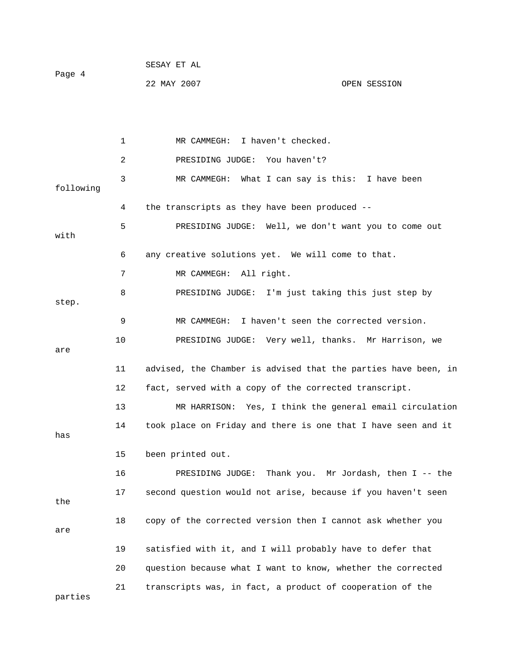1 MR CAMMEGH: I haven't checked. 2 PRESIDING JUDGE: You haven't? 3 MR CAMMEGH: What I can say is this: I have been following 4 the transcripts as they have been produced -- 5 PRESIDING JUDGE: Well, we don't want you to come out with 6 any creative solutions yet. We will come to that. 7 MR CAMMEGH: All right. 8 PRESIDING JUDGE: I'm just taking this just step by step. 9 MR CAMMEGH: I haven't seen the corrected version. 10 PRESIDING JUDGE: Very well, thanks. Mr Harrison, we are 11 advised, the Chamber is advised that the parties have been, in 12 fact, served with a copy of the corrected transcript. 13 MR HARRISON: Yes, I think the general email circulation 14 took place on Friday and there is one that I have seen and it has 15 been printed out. 16 PRESIDING JUDGE: Thank you. Mr Jordash, then I -- the 17 second question would not arise, because if you haven't seen the 18 copy of the corrected version then I cannot ask whether you are 19 satisfied with it, and I will probably have to defer that 20 question because what I want to know, whether the corrected 21 transcripts was, in fact, a product of cooperation of the

parties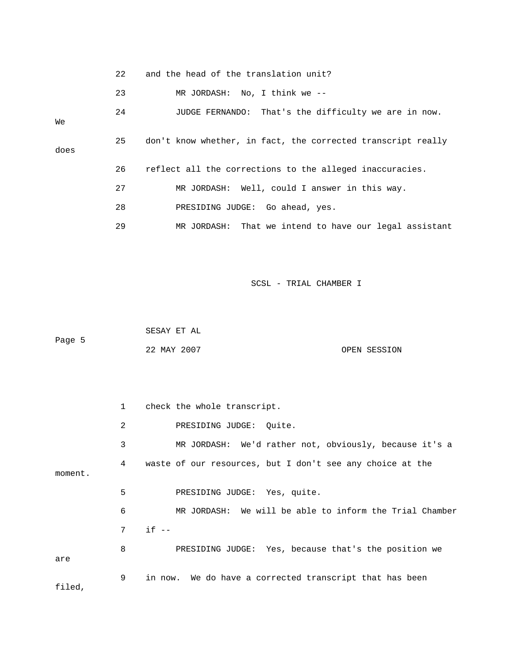|         | 22           | and the head of the translation unit?                        |
|---------|--------------|--------------------------------------------------------------|
|         | 23           | MR JORDASH: No, I think we --                                |
| Wе      | 24           | That's the difficulty we are in now.<br>JUDGE FERNANDO:      |
| does    | 25           | don't know whether, in fact, the corrected transcript really |
|         | 26           | reflect all the corrections to the alleged inaccuracies.     |
|         | 27           | MR JORDASH: Well, could I answer in this way.                |
|         | 28           | PRESIDING JUDGE: Go ahead, yes.                              |
|         | 29           | That we intend to have our legal assistant<br>MR JORDASH:    |
|         |              | SCSL - TRIAL CHAMBER I                                       |
|         |              |                                                              |
|         |              |                                                              |
| Page 5  |              | SESAY ET AL                                                  |
|         |              | 22 MAY 2007<br>OPEN SESSION                                  |
|         |              |                                                              |
|         |              |                                                              |
|         | $\mathbf{1}$ | check the whole transcript.                                  |
|         | 2            | PRESIDING JUDGE:<br>Quite.                                   |
|         | 3            | MR JORDASH:<br>We'd rather not, obviously, because it's a    |
| moment. | 4            | waste of our resources, but I don't see any choice at the    |
|         | 5            | PRESIDING JUDGE: Yes, quite.                                 |
|         | 6            | MR JORDASH: We will be able to inform the Trial Chamber      |
|         | 7            | $if --$                                                      |
| are     | 8            | PRESIDING JUDGE: Yes, because that's the position we         |
| filed,  | 9            | in now. We do have a corrected transcript that has been      |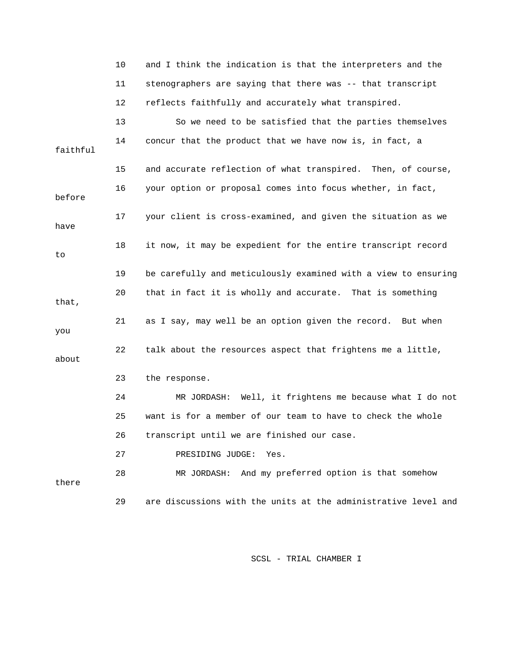|          | 10 | and I think the indication is that the interpreters and the    |
|----------|----|----------------------------------------------------------------|
|          | 11 | stenographers are saying that there was -- that transcript     |
|          | 12 | reflects faithfully and accurately what transpired.            |
|          | 13 | So we need to be satisfied that the parties themselves         |
| faithful | 14 | concur that the product that we have now is, in fact, a        |
|          | 15 | and accurate reflection of what transpired. Then, of course,   |
| before   | 16 | your option or proposal comes into focus whether, in fact,     |
| have     | 17 | your client is cross-examined, and given the situation as we   |
| to       | 18 | it now, it may be expedient for the entire transcript record   |
|          | 19 | be carefully and meticulously examined with a view to ensuring |
| that,    | 20 | that in fact it is wholly and accurate. That is something      |
| you      | 21 | as I say, may well be an option given the record. But when     |
| about    | 22 | talk about the resources aspect that frightens me a little,    |
|          | 23 | the response.                                                  |
|          | 24 | MR JORDASH: Well, it frightens me because what I do not        |
|          | 25 | want is for a member of our team to have to check the whole    |
|          | 26 | transcript until we are finished our case.                     |
|          | 27 | PRESIDING JUDGE:<br>Yes.                                       |
| there    | 28 | MR JORDASH: And my preferred option is that somehow            |
|          | 29 | are discussions with the units at the administrative level and |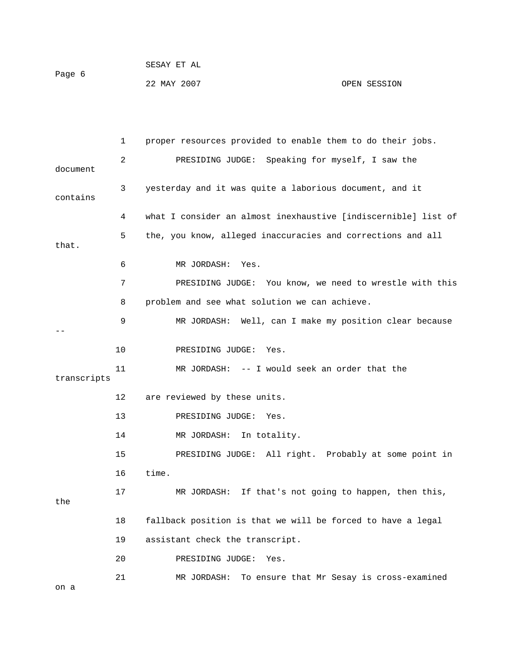|             | 1  | proper resources provided to enable them to do their jobs.     |
|-------------|----|----------------------------------------------------------------|
| document    | 2  | PRESIDING JUDGE: Speaking for myself, I saw the                |
| contains    | 3  | yesterday and it was quite a laborious document, and it        |
|             | 4  | what I consider an almost inexhaustive [indiscernible] list of |
| that.       | 5  | the, you know, alleged inaccuracies and corrections and all    |
|             | 6  | MR JORDASH:<br>Yes.                                            |
|             | 7  | PRESIDING JUDGE: You know, we need to wrestle with this        |
|             | 8  | problem and see what solution we can achieve.                  |
|             | 9  | MR JORDASH: Well, can I make my position clear because         |
|             | 10 | PRESIDING JUDGE:<br>Yes.                                       |
| transcripts | 11 | MR JORDASH: -- I would seek an order that the                  |
|             | 12 | are reviewed by these units.                                   |
|             | 13 | PRESIDING JUDGE:<br>Yes.                                       |
|             | 14 | MR JORDASH:<br>In totality.                                    |
|             | 15 | PRESIDING JUDGE: All right. Probably at some point in          |
|             | 16 | time.                                                          |
| the         | 17 | If that's not going to happen, then this,<br>MR JORDASH:       |
|             | 18 | fallback position is that we will be forced to have a legal    |
|             | 19 | assistant check the transcript.                                |
|             | 20 | PRESIDING JUDGE:<br>Yes.                                       |
| on a        | 21 | To ensure that Mr Sesay is cross-examined<br>MR JORDASH:       |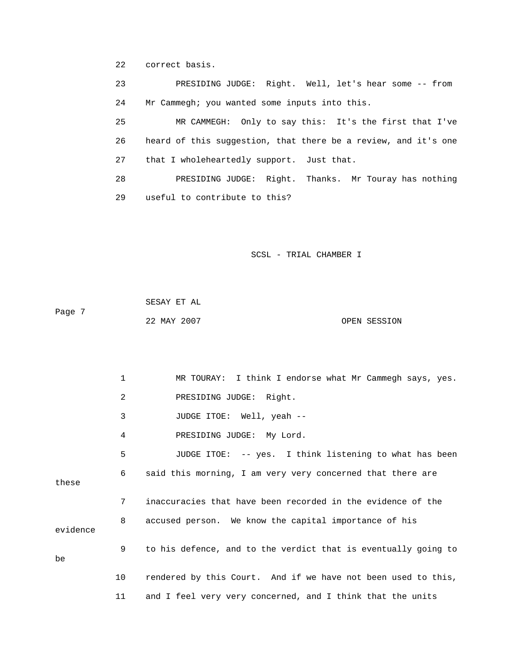22 correct basis.

 23 PRESIDING JUDGE: Right. Well, let's hear some -- from 24 Mr Cammegh; you wanted some inputs into this.

 25 MR CAMMEGH: Only to say this: It's the first that I've 26 heard of this suggestion, that there be a review, and it's one 27 that I wholeheartedly support. Just that.

 28 PRESIDING JUDGE: Right. Thanks. Mr Touray has nothing 29 useful to contribute to this?

SCSL - TRIAL CHAMBER I

 22 MAY 2007 OPEN SESSION SESAY ET AL Page 7

 1 MR TOURAY: I think I endorse what Mr Cammegh says, yes. 2 PRESIDING JUDGE: Right. 3 JUDGE ITOE: Well, yeah -- 4 PRESIDING JUDGE: My Lord. 5 JUDGE ITOE: -- yes. I think listening to what has been 7 inaccuracies that have been recorded in the evidence of the 8 accused person. We know the capital importance of his 9 to his defence, and to the verdict that is eventually going to 10 rendered by this Court. And if we have not been used to this, 11 and I feel very very concerned, and I think that the units 6 said this morning, I am very very concerned that there are these evidence be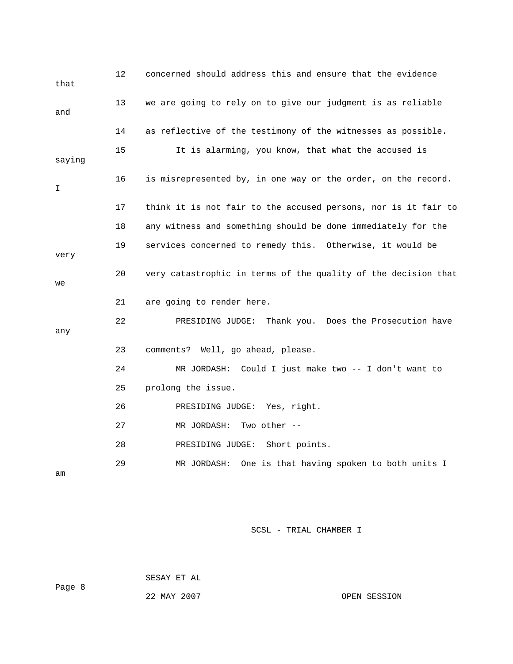| that   | 12 | concerned should address this and ensure that the evidence     |
|--------|----|----------------------------------------------------------------|
| and    | 13 | we are going to rely on to give our judgment is as reliable    |
|        | 14 | as reflective of the testimony of the witnesses as possible.   |
| saying | 15 | It is alarming, you know, that what the accused is             |
| I      | 16 | is misrepresented by, in one way or the order, on the record.  |
|        | 17 | think it is not fair to the accused persons, nor is it fair to |
|        | 18 | any witness and something should be done immediately for the   |
| very   | 19 | services concerned to remedy this. Otherwise, it would be      |
| we     | 20 | very catastrophic in terms of the quality of the decision that |
|        | 21 | are going to render here.                                      |
| any    | 22 | PRESIDING JUDGE:<br>Thank you. Does the Prosecution have       |
|        | 23 | comments? Well, go ahead, please.                              |
|        | 24 | MR JORDASH: Could I just make two -- I don't want to           |
|        | 25 | prolong the issue.                                             |
|        | 26 | PRESIDING JUDGE: Yes, right.                                   |
|        | 27 | MR JORDASH:<br>Two other $--$                                  |
|        | 28 | Short points.<br>PRESIDING JUDGE:                              |
| am     | 29 | One is that having spoken to both units I<br>MR JORDASH:       |

SESAY ET AL

22 MAY 2007 OPEN SESSION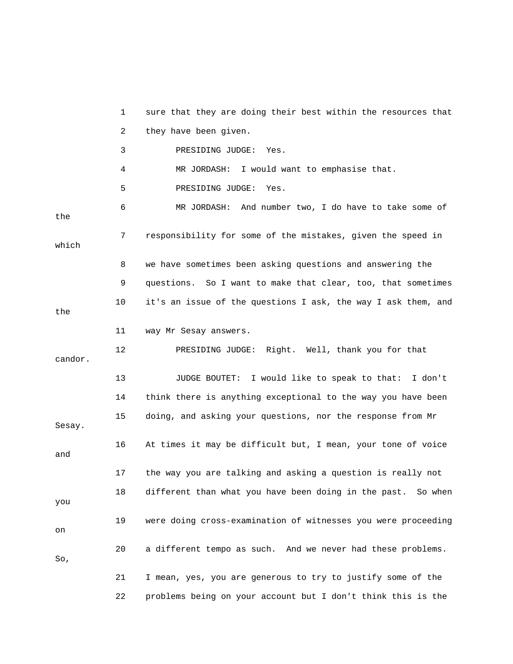1 sure that they are doing their best within the resources that 3 PRESIDING JUDGE: Yes. 4 MR JORDASH: I would want to emphasise that. 6 MR JORDASH: And number two, I do have to take some of 7 responsibility for some of the mistakes, given the speed in 8 we have sometimes been asking questions and answering the 9 questions. So I want to make that clear, too, that sometimes 11 way Mr Sesay answers. 12 PRESIDING JUDGE: Right. Well, thank you for that 13 JUDGE BOUTET: I would like to speak to that: I don't 14 think there is anything exceptional to the way you have been 16 At times it may be difficult but, I mean, your tone of voice 17 the way you are talking and asking a question is really not 18 different than what you have been doing in the past. So when 19 were doing cross-examination of witnesses you were proceeding 20 a different tempo as such. And we never had these problems. 21 I mean, yes, you are generous to try to justify some of the 22 problems being on your account but I don't think this is the 2 they have been given. 5 PRESIDING JUDGE: Yes. the which 10 it's an issue of the questions I ask, the way I ask them, and the candor. 15 doing, and asking your questions, nor the response from Mr Sesay. and you on So,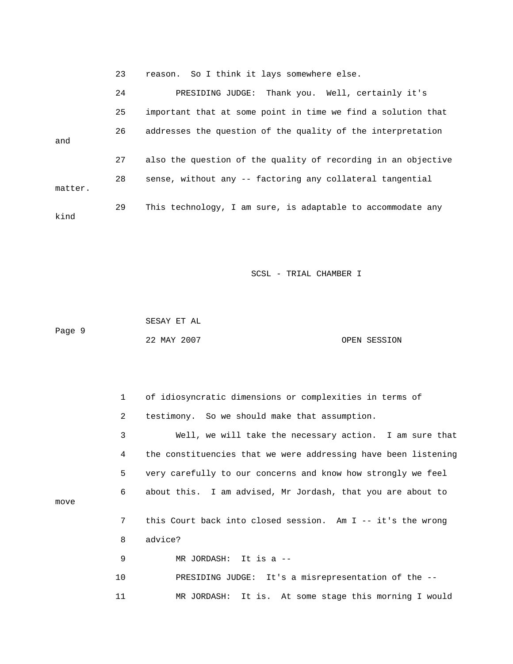23 reason. So I think it lays somewhere else.

|         | 24 | PRESIDING JUDGE: Thank you. Well, certainly it's              |
|---------|----|---------------------------------------------------------------|
|         | 25 | important that at some point in time we find a solution that  |
| and     | 26 | addresses the question of the quality of the interpretation   |
|         | 27 | also the question of the quality of recording in an objective |
| matter. | 28 | sense, without any -- factoring any collateral tangential     |
| kind    | 29 | This technology, I am sure, is adaptable to accommodate any   |

SCSL - TRIAL CHAMBER I

 SESAY ET AL 22 MAY 2007 OPEN SESSION Page 9

 1 of idiosyncratic dimensions or complexities in terms of 3 Well, we will take the necessary action. I am sure that 4 the constituencies that we were addressing have been listening 6 about this. I am advised, Mr Jordash, that you are about to 7 this Court back into closed session. Am I -- it's the wrong 8 advice? MR JORDASH: It is a -- 10 PRESIDING JUDGE: It's a misrepresentation of the -- 11 MR JORDASH: It is. At some stage this morning I would 2 testimony. So we should make that assumption. 5 very carefully to our concerns and know how strongly we feel move 9 MR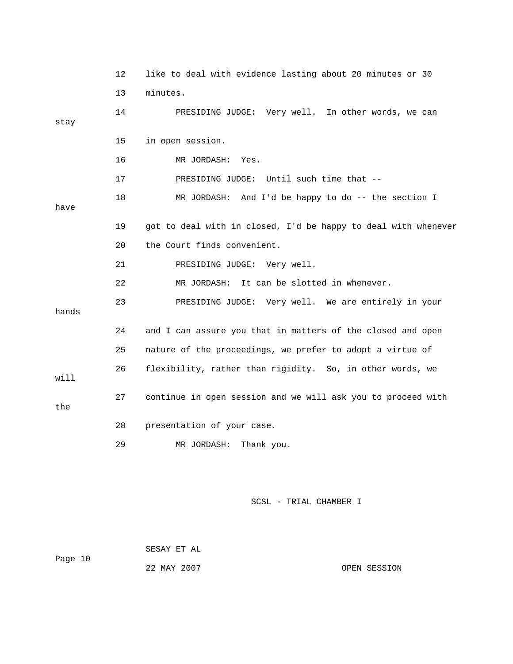|       | 12 | like to deal with evidence lasting about 20 minutes or 30      |
|-------|----|----------------------------------------------------------------|
|       | 13 | minutes.                                                       |
| stay  | 14 | PRESIDING JUDGE: Very well. In other words, we can             |
|       | 15 | in open session.                                               |
|       | 16 | MR JORDASH: Yes.                                               |
|       | 17 | PRESIDING JUDGE: Until such time that --                       |
| have  | 18 | MR JORDASH: And I'd be happy to do -- the section I            |
|       | 19 | got to deal with in closed, I'd be happy to deal with whenever |
|       | 20 | the Court finds convenient.                                    |
|       | 21 | PRESIDING JUDGE: Very well.                                    |
|       | 22 | MR JORDASH: It can be slotted in whenever.                     |
| hands | 23 | PRESIDING JUDGE: Very well. We are entirely in your            |
|       | 24 | and I can assure you that in matters of the closed and open    |
|       | 25 | nature of the proceedings, we prefer to adopt a virtue of      |
| will  | 26 | flexibility, rather than rigidity. So, in other words, we      |
| the   | 27 | continue in open session and we will ask you to proceed with   |
|       | 28 | presentation of your case.                                     |
|       | 29 | Thank you.<br>MR JORDASH:                                      |
|       |    |                                                                |

 SESAY ET AL Page 10 22 MAY 2007 OPEN SESSION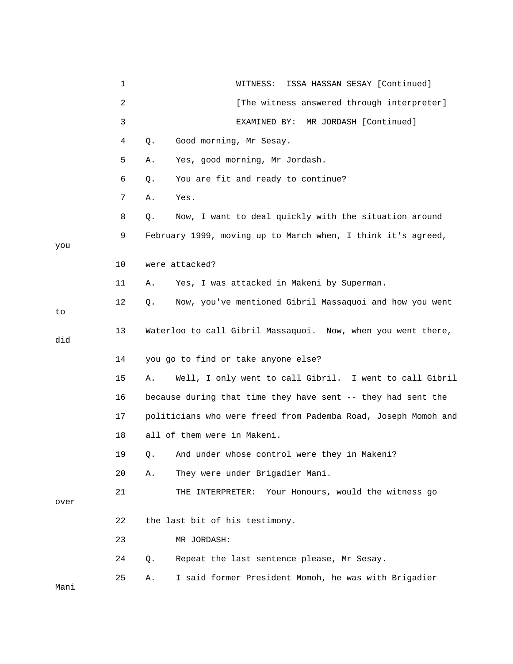|      | 1  | ISSA HASSAN SESAY [Continued]<br>WITNESS:                      |
|------|----|----------------------------------------------------------------|
|      | 2  | [The witness answered through interpreter]                     |
|      | 3  | MR JORDASH [Continued]<br>EXAMINED BY:                         |
|      | 4  | Good morning, Mr Sesay.<br>Q.                                  |
|      | 5  | Yes, good morning, Mr Jordash.<br>Α.                           |
|      | 6  | You are fit and ready to continue?<br>Q.                       |
|      | 7  | Yes.<br>Α.                                                     |
|      | 8  | Q.<br>Now, I want to deal quickly with the situation around    |
| you  | 9  | February 1999, moving up to March when, I think it's agreed,   |
|      | 10 | were attacked?                                                 |
|      | 11 | Yes, I was attacked in Makeni by Superman.<br>Α.               |
| to   | 12 | Now, you've mentioned Gibril Massaquoi and how you went<br>Q.  |
| did  | 13 | Waterloo to call Gibril Massaquoi. Now, when you went there,   |
|      | 14 | you go to find or take anyone else?                            |
|      | 15 | Well, I only went to call Gibril. I went to call Gibril<br>Α.  |
|      | 16 | because during that time they have sent -- they had sent the   |
|      | 17 | politicians who were freed from Pademba Road, Joseph Momoh and |
|      | 18 | all of them were in Makeni.                                    |
|      | 19 | And under whose control were they in Makeni?<br>Q.             |
|      | 20 | They were under Brigadier Mani.<br>Α.                          |
| over | 21 | Your Honours, would the witness go<br>THE INTERPRETER:         |
|      | 22 | the last bit of his testimony.                                 |
|      | 23 | MR JORDASH:                                                    |
|      | 24 | Repeat the last sentence please, Mr Sesay.<br>Q.               |
| Mani | 25 | I said former President Momoh, he was with Brigadier<br>Α.     |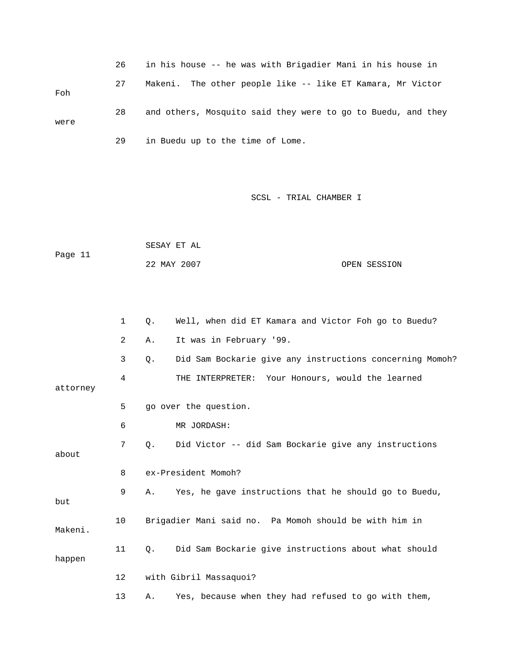|      | 26 | in his house -- he was with Brigadier Mani in his house in   |
|------|----|--------------------------------------------------------------|
| Foh  | 27 | Makeni. The other people like -- like ET Kamara, Mr Victor   |
| were | 28 | and others, Mosquito said they were to go to Buedu, and they |
|      | 29 | in Buedu up to the time of Lome.                             |

|         | SESAY ET AL |              |
|---------|-------------|--------------|
| Page 11 |             |              |
|         | 22 MAY 2007 | OPEN SESSION |

|          | 1              | $Q$ . | Well, when did ET Kamara and Victor Foh go to Buedu?     |
|----------|----------------|-------|----------------------------------------------------------|
|          | $\overline{2}$ | Α.    | It was in February '99.                                  |
|          | 3              | Q.    | Did Sam Bockarie give any instructions concerning Momoh? |
| attorney | 4              |       | THE INTERPRETER: Your Honours, would the learned         |
|          | 5              |       | go over the question.                                    |
|          | 6              |       | MR JORDASH:                                              |
| about    | 7              | Q.    | Did Victor -- did Sam Bockarie give any instructions     |
|          | 8              |       | ex-President Momoh?                                      |
| but      | 9              | Α.    | Yes, he gave instructions that he should go to Buedu,    |
| Makeni.  | 10             |       | Brigadier Mani said no. Pa Momoh should be with him in   |
| happen   | 11             | Q.    | Did Sam Bockarie give instructions about what should     |
|          | $12 \,$        |       | with Gibril Massaquoi?                                   |
|          | 13             | Α.    | Yes, because when they had refused to go with them,      |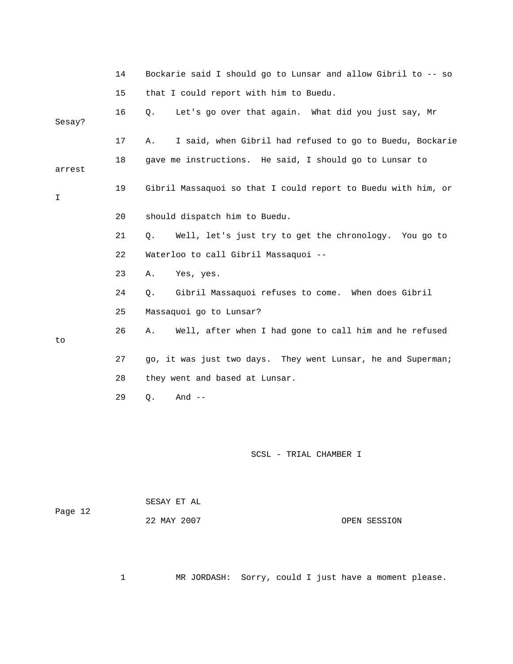|         | 14 | Bockarie said I should go to Lunsar and allow Gibril to -- so  |
|---------|----|----------------------------------------------------------------|
|         | 15 | that I could report with him to Buedu.                         |
| Sesay?  | 16 | Let's go over that again. What did you just say, Mr<br>Q.      |
|         | 17 | I said, when Gibril had refused to go to Buedu, Bockarie<br>Α. |
| arrest  | 18 | gave me instructions. He said, I should go to Lunsar to        |
| I       | 19 | Gibril Massaquoi so that I could report to Buedu with him, or  |
|         | 20 | should dispatch him to Buedu.                                  |
|         | 21 | Well, let's just try to get the chronology. You go to<br>Q.    |
|         | 22 | Waterloo to call Gibril Massaquoi --                           |
|         | 23 | Yes, yes.<br>Α.                                                |
|         | 24 | Gibril Massaquoi refuses to come. When does Gibril<br>Q.       |
|         | 25 | Massaquoi go to Lunsar?                                        |
| to      | 26 | Well, after when I had gone to call him and he refused<br>Α.   |
|         | 27 | go, it was just two days. They went Lunsar, he and Superman;   |
|         | 28 | they went and based at Lunsar.                                 |
|         | 29 | And $--$<br>Q.                                                 |
|         |    |                                                                |
|         |    | SCSL - TRIAL CHAMBER I                                         |
|         |    | SESAY ET AL                                                    |
| Page 12 |    | 22 MAY 2007<br>OPEN SESSION                                    |

1 MR JORDASH: Sorry, could I just have a moment please.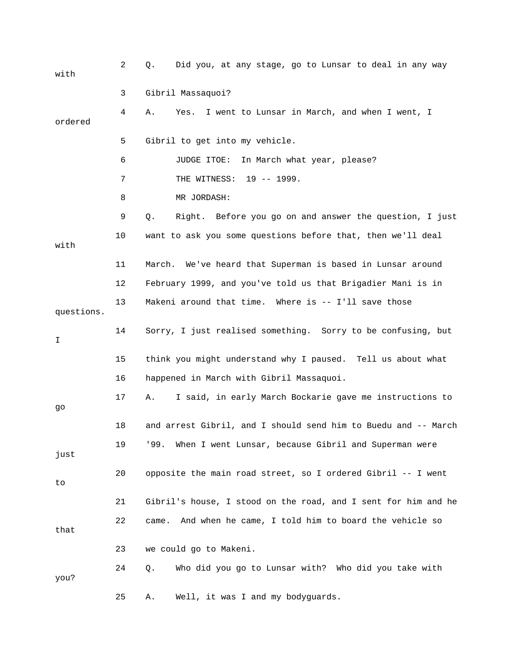| with       | 2  | Did you, at any stage, go to Lunsar to deal in any way<br>Q.   |
|------------|----|----------------------------------------------------------------|
|            | 3  | Gibril Massaquoi?                                              |
| ordered    | 4  | I went to Lunsar in March, and when I went, I<br>Α.<br>Yes.    |
|            | 5  | Gibril to get into my vehicle.                                 |
|            | 6  | JUDGE ITOE:<br>In March what year, please?                     |
|            | 7  | THE WITNESS: 19 -- 1999.                                       |
|            | 8  | MR JORDASH:                                                    |
|            | 9  | Right. Before you go on and answer the question, I just<br>Q.  |
| with       | 10 | want to ask you some questions before that, then we'll deal    |
|            | 11 | March. We've heard that Superman is based in Lunsar around     |
|            | 12 | February 1999, and you've told us that Brigadier Mani is in    |
| questions. | 13 | Makeni around that time. Where is -- I'll save those           |
| I          | 14 | Sorry, I just realised something. Sorry to be confusing, but   |
|            | 15 | think you might understand why I paused. Tell us about what    |
|            | 16 | happened in March with Gibril Massaquoi.                       |
| go         | 17 | I said, in early March Bockarie gave me instructions to<br>Α.  |
|            | 18 | and arrest Gibril, and I should send him to Buedu and -- March |
| just       | 19 | When I went Lunsar, because Gibril and Superman were<br>'99.   |
| to         | 20 | opposite the main road street, so I ordered Gibril -- I went   |
|            | 21 | Gibril's house, I stood on the road, and I sent for him and he |
| that       | 22 | And when he came, I told him to board the vehicle so<br>came.  |
|            | 23 | we could go to Makeni.                                         |
| you?       | 24 | Who did you go to Lunsar with? Who did you take with<br>Q.     |
|            | 25 | Well, it was I and my bodyguards.<br>Α.                        |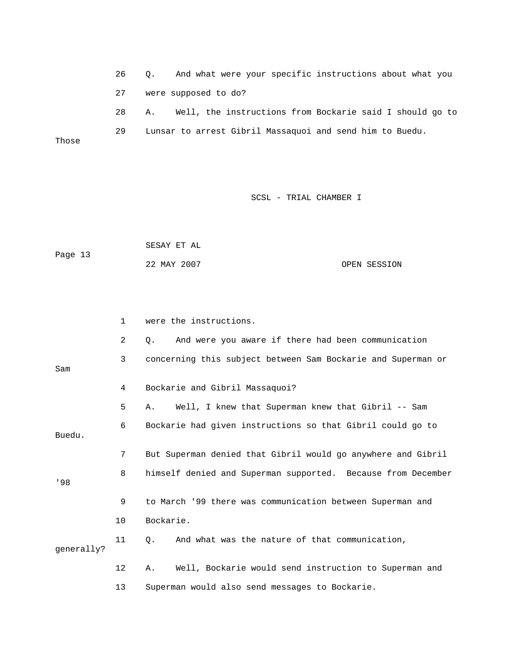26 Q. And what were your specific instructions about what you 27 were supposed to do? 28 A. Well, the instructions from Bockarie said I should go to 29 Lunsar to arrest Gibril Massaquoi and send him to Buedu. Those

|         | SESAY ET AL |              |
|---------|-------------|--------------|
| Page 13 |             |              |
|         | 22 MAY 2007 | OPEN SESSION |

|            | $\mathbf{1}$ | were the instructions.                                       |
|------------|--------------|--------------------------------------------------------------|
|            | 2            | And were you aware if there had been communication<br>Q.     |
| Sam        | 3            | concerning this subject between Sam Bockarie and Superman or |
|            | 4            | Bockarie and Gibril Massaquoi?                               |
|            | 5            | Well, I knew that Superman knew that Gibril -- Sam<br>Α.     |
| Buedu.     | 6            | Bockarie had given instructions so that Gibril could go to   |
|            | 7            | But Superman denied that Gibril would go anywhere and Gibril |
| 198        | 8            | himself denied and Superman supported. Because from December |
|            | 9            | to March '99 there was communication between Superman and    |
|            | 10           | Bockarie.                                                    |
| qenerally? | 11           | And what was the nature of that communication,<br>0.         |
|            | 12           | Well, Bockarie would send instruction to Superman and<br>Α.  |
|            | 13           | Superman would also send messages to Bockarie.               |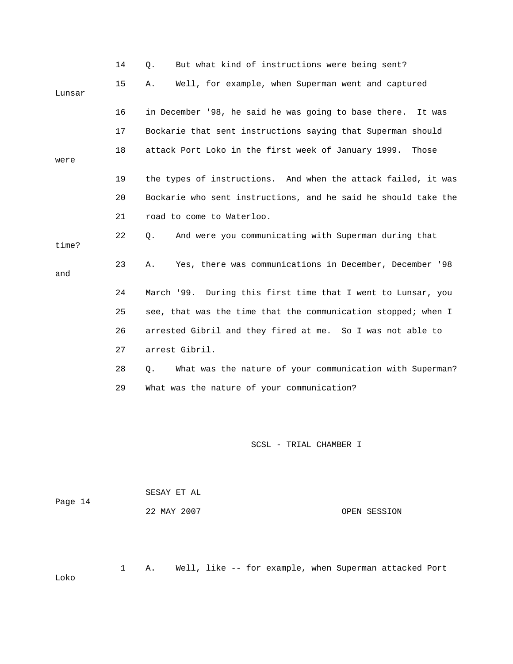|        | 14 | But what kind of instructions were being sent?<br>Ο.           |
|--------|----|----------------------------------------------------------------|
| Lunsar | 15 | Well, for example, when Superman went and captured<br>Α.       |
|        | 16 | in December '98, he said he was going to base there.<br>It was |
|        | 17 | Bockarie that sent instructions saying that Superman should    |
| were   | 18 | attack Port Loko in the first week of January 1999.<br>Those   |
|        | 19 | the types of instructions. And when the attack failed, it was  |
|        | 20 | Bockarie who sent instructions, and he said he should take the |
|        | 21 | road to come to Waterloo.                                      |
| time?  | 22 | And were you communicating with Superman during that<br>Q.     |
| and    | 23 | Yes, there was communications in December, December '98<br>Α.  |
|        | 24 | March '99. During this first time that I went to Lunsar, you   |
|        | 25 | see, that was the time that the communication stopped; when I  |
|        | 26 | arrested Gibril and they fired at me. So I was not able to     |
|        | 27 | arrest Gibril.                                                 |
|        | 28 | What was the nature of your communication with Superman?<br>О. |
|        | 29 | What was the nature of your communication?                     |
|        |    |                                                                |

| Page 14 | SESAY ET AL |              |
|---------|-------------|--------------|
|         | 22 MAY 2007 | OPEN SESSION |

1 A. Well, like -- for example, when Superman attacked Port

Loko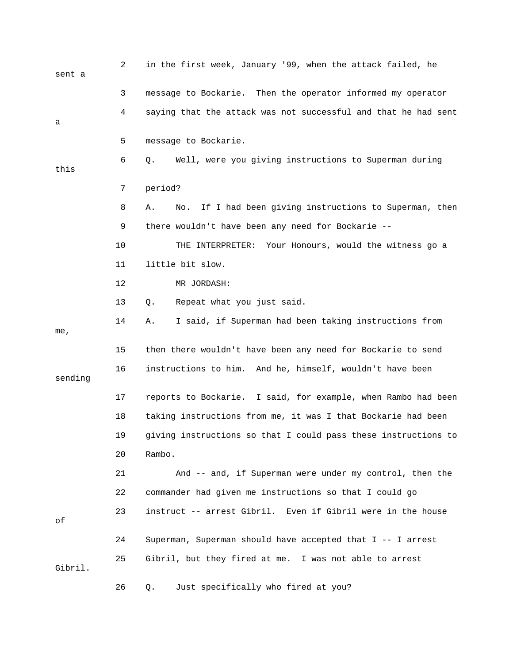| sent a  | 2  | in the first week, January '99, when the attack failed, he       |
|---------|----|------------------------------------------------------------------|
|         | 3  | message to Bockarie. Then the operator informed my operator      |
| a       | 4  | saying that the attack was not successful and that he had sent   |
|         | 5  | message to Bockarie.                                             |
| this    | 6  | Well, were you giving instructions to Superman during<br>Q.      |
|         | 7  | period?                                                          |
|         | 8  | If I had been giving instructions to Superman, then<br>Α.<br>No. |
|         | 9  | there wouldn't have been any need for Bockarie --                |
|         | 10 | THE INTERPRETER: Your Honours, would the witness go a            |
|         | 11 | little bit slow.                                                 |
|         | 12 | MR JORDASH:                                                      |
|         | 13 | Repeat what you just said.<br>Q.                                 |
| me,     | 14 | I said, if Superman had been taking instructions from<br>Α.      |
|         | 15 | then there wouldn't have been any need for Bockarie to send      |
| sending | 16 | instructions to him. And he, himself, wouldn't have been         |
|         | 17 | reports to Bockarie. I said, for example, when Rambo had been    |
|         | 18 | taking instructions from me, it was I that Bockarie had been     |
|         | 19 | giving instructions so that I could pass these instructions to   |
|         | 20 | Rambo.                                                           |
|         | 21 | And -- and, if Superman were under my control, then the          |
|         | 22 | commander had given me instructions so that I could go           |
| оf      | 23 | instruct -- arrest Gibril. Even if Gibril were in the house      |
|         | 24 | Superman, Superman should have accepted that I -- I arrest       |
| Gibril. | 25 | Gibril, but they fired at me. I was not able to arrest           |
|         | 26 | Just specifically who fired at you?<br>Q.                        |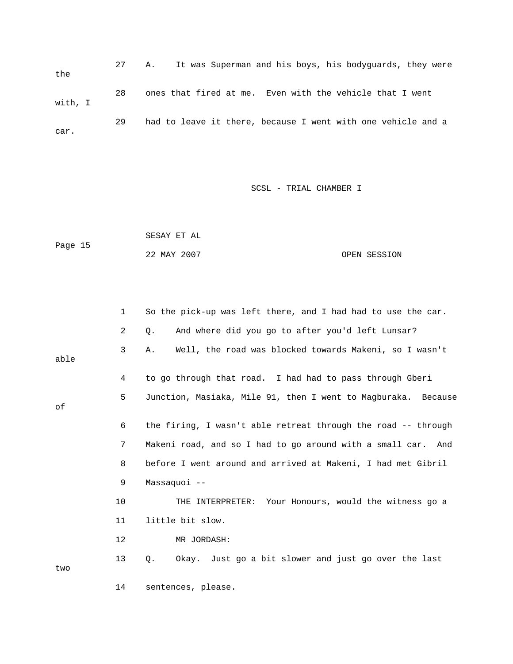27 A. It was Superman and his boys, his bodyguards, they were the 28 ones that fired at me. Even with the vehicle that I went with, I 29 had to leave it there, because I went with one vehicle and a car.

| Page 15 | SESAY ET AL |              |
|---------|-------------|--------------|
|         | 22 MAY 2007 | OPEN SESSION |

|      | 1                 | So the pick-up was left there, and I had had to use the car.  |
|------|-------------------|---------------------------------------------------------------|
|      | 2                 | And where did you go to after you'd left Lunsar?<br>Q.        |
| able | 3                 | Well, the road was blocked towards Makeni, so I wasn't<br>Α.  |
|      | 4                 | to go through that road. I had had to pass through Gberi      |
| оf   | 5                 | Junction, Masiaka, Mile 91, then I went to Magburaka. Because |
|      | 6                 | the firing, I wasn't able retreat through the road -- through |
|      | 7                 | Makeni road, and so I had to go around with a small car. And  |
|      | 8                 | before I went around and arrived at Makeni, I had met Gibril  |
|      | 9                 | Massaquoi --                                                  |
|      | 10                | THE INTERPRETER: Your Honours, would the witness go a         |
|      | 11                | little bit slow.                                              |
|      | $12 \overline{ }$ | MR JORDASH:                                                   |
| two  | 13                | Q.<br>Okay. Just go a bit slower and just go over the last    |
|      | 14                | sentences, please.                                            |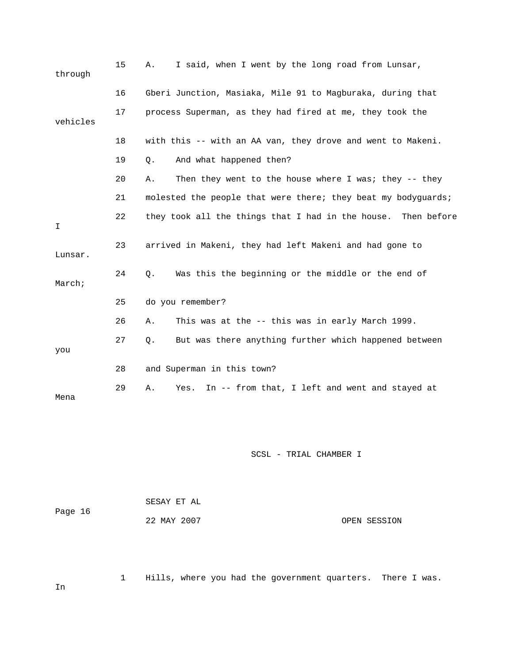| through  | 15 | I said, when I went by the long road from Lunsar,<br>Α.       |
|----------|----|---------------------------------------------------------------|
|          | 16 | Gberi Junction, Masiaka, Mile 91 to Magburaka, during that    |
| vehicles | 17 | process Superman, as they had fired at me, they took the      |
|          | 18 | with this -- with an AA van, they drove and went to Makeni.   |
|          | 19 | And what happened then?<br>Q.                                 |
|          | 20 | Then they went to the house where I was; they $-$ they<br>Α.  |
|          | 21 | molested the people that were there; they beat my bodyguards; |
| I        | 22 | they took all the things that I had in the house. Then before |
| Lunsar.  | 23 | arrived in Makeni, they had left Makeni and had gone to       |
| March;   | 24 | Was this the beginning or the middle or the end of<br>Q.      |
|          | 25 | do you remember?                                              |
|          | 26 | This was at the -- this was in early March 1999.<br>Α.        |
| you      | 27 | But was there anything further which happened between<br>Q.   |
|          | 28 | and Superman in this town?                                    |
| Mena     | 29 | In -- from that, I left and went and stayed at<br>Α.<br>Yes.  |

|         | SESAY ET AL |              |
|---------|-------------|--------------|
| Page 16 |             |              |
|         | 22 MAY 2007 | OPEN SESSION |

1 Hills, where you had the government quarters. There I was.

In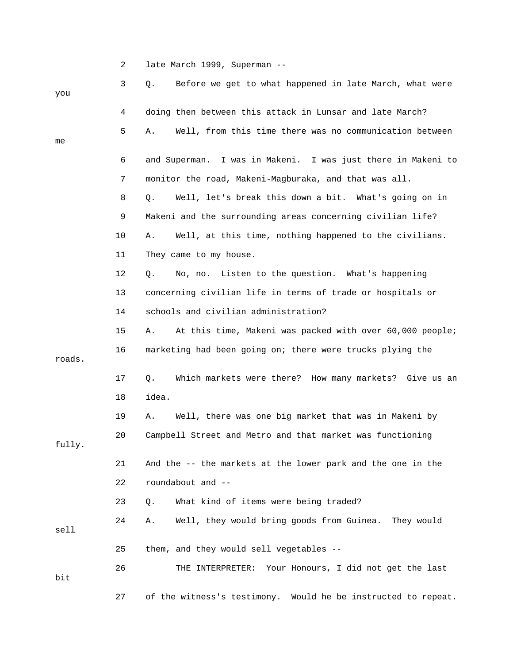2 late March 1999, Superman --

| you    | 3  | Before we get to what happened in late March, what were<br>Q.  |
|--------|----|----------------------------------------------------------------|
|        | 4  | doing then between this attack in Lunsar and late March?       |
| me     | 5  | Well, from this time there was no communication between<br>Α.  |
|        | 6  | and Superman. I was in Makeni. I was just there in Makeni to   |
|        | 7  | monitor the road, Makeni-Magburaka, and that was all.          |
|        | 8  | Well, let's break this down a bit. What's going on in<br>Q.    |
|        | 9  | Makeni and the surrounding areas concerning civilian life?     |
|        | 10 | Well, at this time, nothing happened to the civilians.<br>Α.   |
|        | 11 | They came to my house.                                         |
|        | 12 | No, no. Listen to the question. What's happening<br>Q.         |
|        | 13 | concerning civilian life in terms of trade or hospitals or     |
|        | 14 | schools and civilian administration?                           |
|        | 15 | At this time, Makeni was packed with over 60,000 people;<br>Α. |
| roads. | 16 | marketing had been going on; there were trucks plying the      |
|        | 17 | Which markets were there? How many markets? Give us an<br>Q.   |
|        | 18 | idea.                                                          |
|        | 19 | Well, there was one big market that was in Makeni by<br>Α.     |
| fully. | 20 | Campbell Street and Metro and that market was functioning      |
|        | 21 | And the -- the markets at the lower park and the one in the    |
|        | 22 | roundabout and --                                              |
|        | 23 | What kind of items were being traded?<br>Q.                    |
| sell   | 24 | Well, they would bring goods from Guinea. They would<br>Α.     |
|        | 25 | them, and they would sell vegetables --                        |
| bit    | 26 | THE INTERPRETER: Your Honours, I did not get the last          |
|        | 27 | of the witness's testimony. Would he be instructed to repeat.  |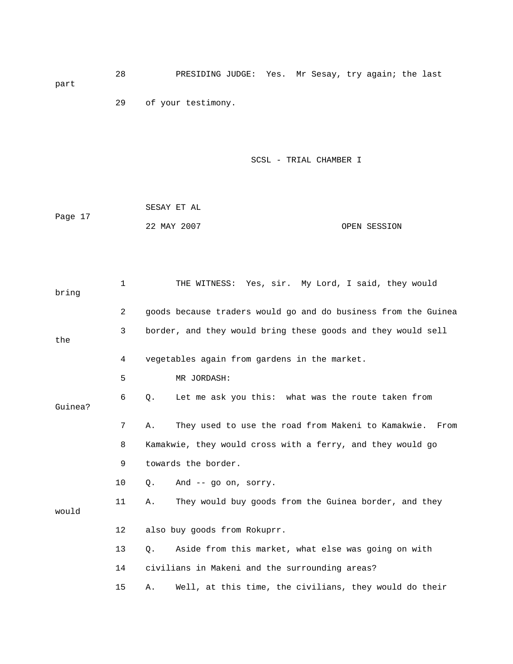28 PRESIDING JUDGE: Yes. Mr Sesay, try again; the last part

29 of your testimony.

|         | SESAY ET AL |              |
|---------|-------------|--------------|
| Page 17 |             |              |
|         | 22 MAY 2007 | OPEN SESSION |

| bring   | 1  | THE WITNESS: Yes, sir. My Lord, I said, they would               |
|---------|----|------------------------------------------------------------------|
|         | 2  | goods because traders would go and do business from the Guinea   |
| the     | 3  | border, and they would bring these goods and they would sell     |
|         | 4  | vegetables again from gardens in the market.                     |
|         | 5  | MR JORDASH:                                                      |
| Guinea? | 6  | Let me ask you this: what was the route taken from<br>Q.         |
|         | 7  | They used to use the road from Makeni to Kamakwie.<br>Α.<br>From |
|         | 8  | Kamakwie, they would cross with a ferry, and they would go       |
|         | 9  | towards the border.                                              |
|         | 10 | And $-$ qo on, sorry.<br>О.                                      |
| would   | 11 | They would buy goods from the Guinea border, and they<br>Α.      |
|         | 12 | also buy goods from Rokuprr.                                     |
|         | 13 | Aside from this market, what else was going on with<br>О.        |
|         | 14 | civilians in Makeni and the surrounding areas?                   |
|         | 15 | Well, at this time, the civilians, they would do their<br>Α.     |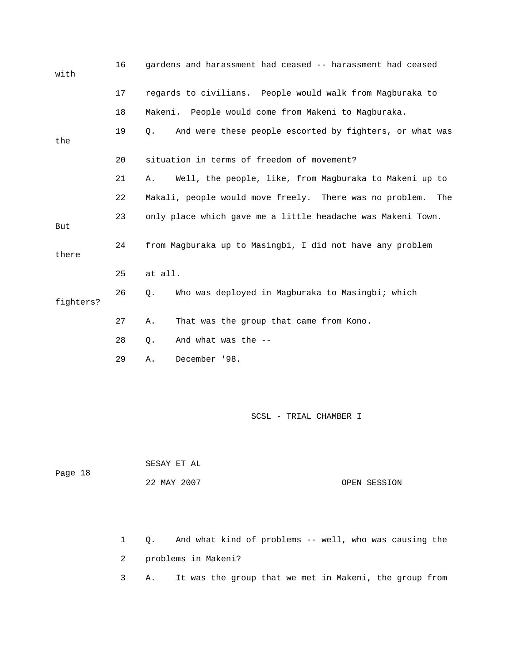| with      | 16 | gardens and harassment had ceased -- harassment had ceased       |
|-----------|----|------------------------------------------------------------------|
|           | 17 | regards to civilians. People would walk from Magburaka to        |
|           | 18 | Makeni. People would come from Makeni to Magburaka.              |
| the       | 19 | And were these people escorted by fighters, or what was<br>$Q$ . |
|           | 20 | situation in terms of freedom of movement?                       |
|           | 21 | Well, the people, like, from Magburaka to Makeni up to<br>Α.     |
|           | 22 | Makali, people would move freely. There was no problem.<br>The   |
| But       | 23 | only place which gave me a little headache was Makeni Town.      |
| there     | 24 | from Magburaka up to Masingbi, I did not have any problem        |
|           | 25 | at all.                                                          |
| fighters? | 26 | Who was deployed in Magburaka to Masingbi; which<br>Q.           |
|           | 27 | Α.<br>That was the group that came from Kono.                    |
|           | 28 | And what was the --<br>$Q$ .                                     |
|           | 29 | December '98.<br>Α.                                              |

| Page 18 | SESAY ET AL |              |
|---------|-------------|--------------|
|         | 22 MAY 2007 | OPEN SESSION |

 1 Q. And what kind of problems -- well, who was causing the 2 problems in Makeni?

3 A. It was the group that we met in Makeni, the group from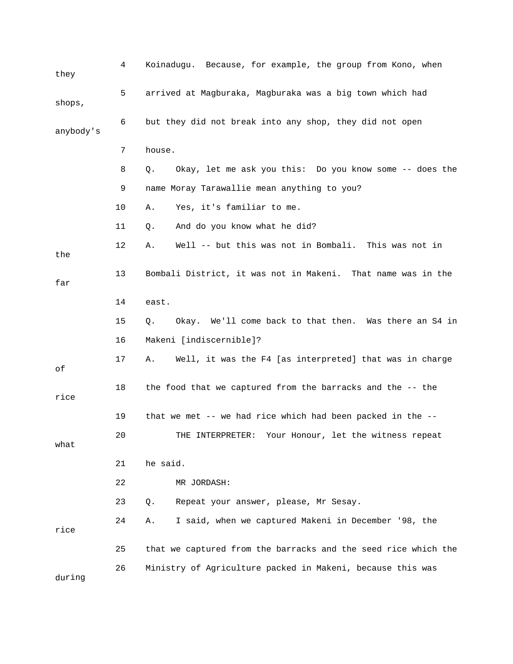| they      | 4  | Koinadugu. Because, for example, the group from Kono, when     |
|-----------|----|----------------------------------------------------------------|
| shops,    | 5  | arrived at Magburaka, Magburaka was a big town which had       |
| anybody's | 6  | but they did not break into any shop, they did not open        |
|           | 7  | house.                                                         |
|           | 8  | Okay, let me ask you this: Do you know some -- does the<br>Q.  |
|           | 9  | name Moray Tarawallie mean anything to you?                    |
|           | 10 | Yes, it's familiar to me.<br>Α.                                |
|           | 11 | And do you know what he did?<br>Q.                             |
| the       | 12 | Well -- but this was not in Bombali. This was not in<br>Α.     |
| far       | 13 | Bombali District, it was not in Makeni. That name was in the   |
|           | 14 | east.                                                          |
|           | 15 | Okay. We'll come back to that then. Was there an S4 in<br>Q.   |
|           | 16 | Makeni [indiscernible]?                                        |
| оf        | 17 | Well, it was the F4 [as interpreted] that was in charge<br>Α.  |
| rice      | 18 | the food that we captured from the barracks and the -- the     |
|           | 19 | that we met -- we had rice which had been packed in the --     |
| what      | 20 | THE INTERPRETER: Your Honour, let the witness repeat           |
|           | 21 | he said.                                                       |
|           | 22 | MR JORDASH:                                                    |
|           | 23 | Repeat your answer, please, Mr Sesay.<br>Q.                    |
| rice      | 24 | I said, when we captured Makeni in December '98, the<br>Α.     |
|           | 25 | that we captured from the barracks and the seed rice which the |
| during    | 26 | Ministry of Agriculture packed in Makeni, because this was     |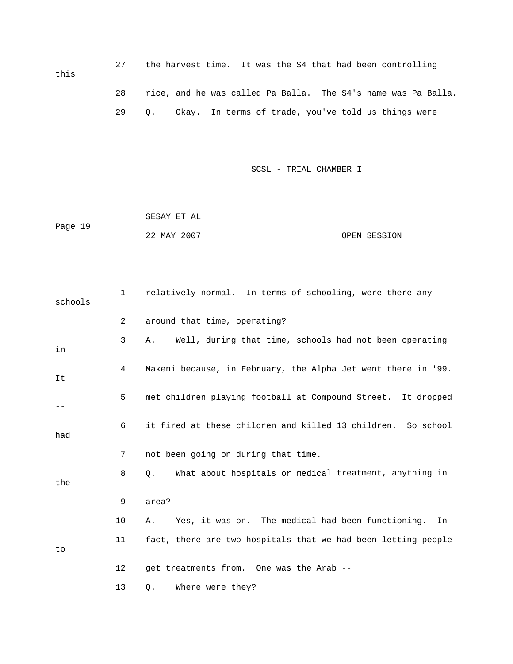27 the harvest time. It was the S4 that had been controlling 28 rice, and he was called Pa Balla. The S4's name was Pa Balla. 29 Q. Okay. In terms of trade, you've told us things were this

SCSL - TRIAL CHAMBER I

 22 MAY 2007 OPEN SESSION SESAY ET AL Page 19

| schools | 1              | relatively normal. In terms of schooling, were there any      |
|---------|----------------|---------------------------------------------------------------|
|         | $\overline{2}$ | around that time, operating?                                  |
| in      | 3              | Well, during that time, schools had not been operating<br>Α.  |
| It      | 4              | Makeni because, in February, the Alpha Jet went there in '99. |
|         | 5              | met children playing football at Compound Street. It dropped  |
| had     | 6              | it fired at these children and killed 13 children. So school  |
|         | 7              | not been going on during that time.                           |
| the     | 8              | What about hospitals or medical treatment, anything in<br>Q.  |
|         | 9              | area?                                                         |
|         | 10             | Yes, it was on. The medical had been functioning.<br>Α.<br>In |
| to      | 11             | fact, there are two hospitals that we had been letting people |
|         | 12             | get treatments from. One was the Arab --                      |
|         | 13             | Where were they?<br>Q.                                        |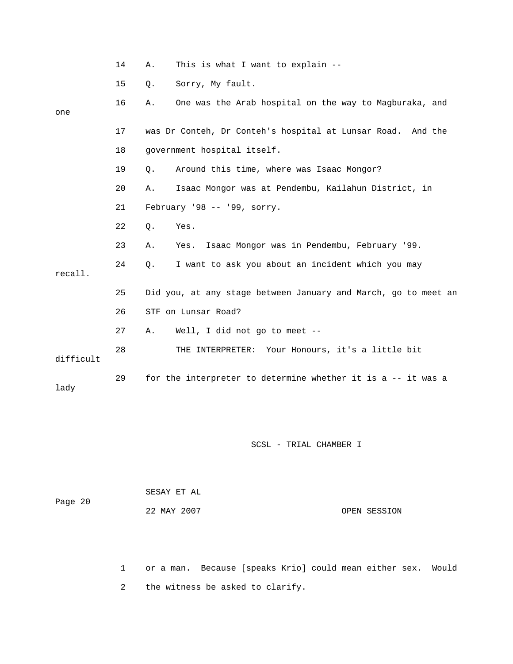|           | 14 | Α.    | This is what I want to explain --                              |
|-----------|----|-------|----------------------------------------------------------------|
|           | 15 | Q.    | Sorry, My fault.                                               |
| one       | 16 | Α.    | One was the Arab hospital on the way to Magburaka, and         |
|           | 17 |       | was Dr Conteh, Dr Conteh's hospital at Lunsar Road. And the    |
|           | 18 |       | government hospital itself.                                    |
|           | 19 | Q.    | Around this time, where was Isaac Mongor?                      |
|           | 20 | Α.    | Isaac Mongor was at Pendembu, Kailahun District, in            |
|           | 21 |       | February '98 -- '99, sorry.                                    |
|           | 22 | $Q$ . | Yes.                                                           |
|           | 23 | Α.    | Isaac Mongor was in Pendembu, February '99.<br>Yes.            |
| recall.   | 24 | Q.    | I want to ask you about an incident which you may              |
|           | 25 |       | Did you, at any stage between January and March, go to meet an |
|           | 26 |       | STF on Lunsar Road?                                            |
|           | 27 | Α.    | Well, I did not go to meet --                                  |
| difficult | 28 |       | THE INTERPRETER: Your Honours, it's a little bit               |
| lady      | 29 |       | for the interpreter to determine whether it is a -- it was a   |

| Page 20 | SESAY ET AL |              |  |
|---------|-------------|--------------|--|
|         | 22 MAY 2007 | OPEN SESSION |  |

 1 or a man. Because [speaks Krio] could mean either sex. Would 2 the witness be asked to clarify.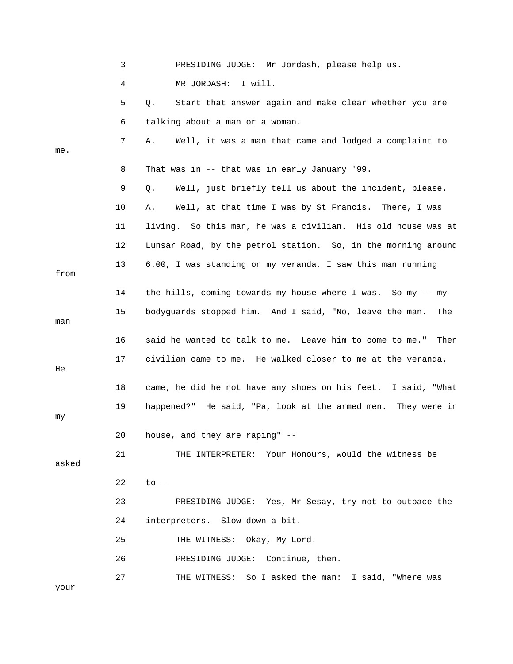|       | 3  | PRESIDING JUDGE: Mr Jordash, please help us.                    |
|-------|----|-----------------------------------------------------------------|
|       | 4  | MR JORDASH:<br>I will.                                          |
|       | 5  | Start that answer again and make clear whether you are<br>Q.    |
|       | 6  | talking about a man or a woman.                                 |
| me.   | 7  | Well, it was a man that came and lodged a complaint to<br>Α.    |
|       | 8  | That was in -- that was in early January '99.                   |
|       | 9  | Well, just briefly tell us about the incident, please.<br>Q.    |
|       | 10 | Well, at that time I was by St Francis. There, I was<br>Α.      |
|       | 11 | living. So this man, he was a civilian. His old house was at    |
|       | 12 | Lunsar Road, by the petrol station. So, in the morning around   |
| from  | 13 | 6.00, I was standing on my veranda, I saw this man running      |
|       | 14 | the hills, coming towards my house where I was. So my -- my     |
| man   | 15 | bodyguards stopped him. And I said, "No, leave the man.<br>The  |
|       | 16 | said he wanted to talk to me. Leave him to come to me."<br>Then |
| He    | 17 | civilian came to me. He walked closer to me at the veranda.     |
|       | 18 | came, he did he not have any shoes on his feet. I said, "What   |
| my    | 19 | happened?" He said, "Pa, look at the armed men. They were in    |
|       | 20 | house, and they are raping" --                                  |
| asked | 21 | THE INTERPRETER: Your Honours, would the witness be             |
|       | 22 | $to$ $--$                                                       |
|       | 23 | PRESIDING JUDGE: Yes, Mr Sesay, try not to outpace the          |
|       | 24 | interpreters. Slow down a bit.                                  |
|       | 25 | THE WITNESS: Okay, My Lord.                                     |
|       | 26 | PRESIDING JUDGE: Continue, then.                                |
| your  | 27 | THE WITNESS: So I asked the man: I said, "Where was             |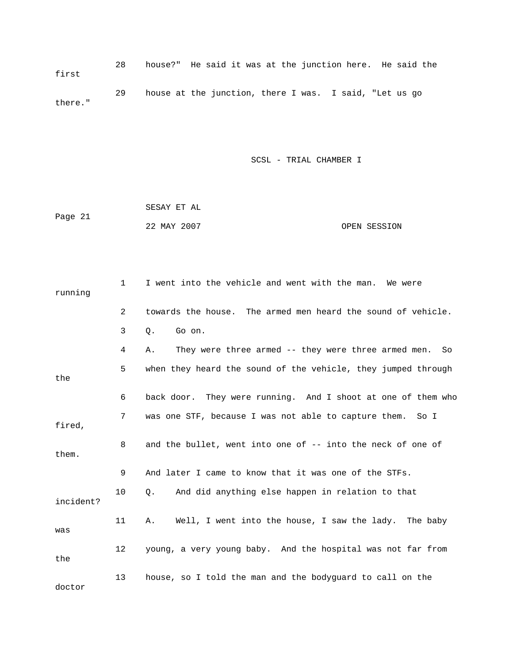28 house?" He said it was at the junction here. He said the 29 house at the junction, there I was. I said, "Let us go first there."

|         | SESAY ET AL |  |              |
|---------|-------------|--|--------------|
| Page 21 |             |  |              |
|         | 22 MAY 2007 |  | OPEN SESSION |

| running   | 1  | I went into the vehicle and went with the man.<br>We were     |
|-----------|----|---------------------------------------------------------------|
|           | 2  | towards the house. The armed men heard the sound of vehicle.  |
|           | 3  | Q.<br>Go on.                                                  |
|           | 4  | They were three armed -- they were three armed men. So<br>Α.  |
| the       | 5  | when they heard the sound of the vehicle, they jumped through |
|           | 6  | back door. They were running. And I shoot at one of them who  |
| fired,    | 7  | was one STF, because I was not able to capture them. So I     |
| them.     | 8  | and the bullet, went into one of -- into the neck of one of   |
|           | 9  | And later I came to know that it was one of the STFs.         |
| incident? | 10 | And did anything else happen in relation to that<br>Q.        |
| was       | 11 | Well, I went into the house, I saw the lady. The baby<br>Α.   |
| the       | 12 | young, a very young baby. And the hospital was not far from   |
| doctor    | 13 | house, so I told the man and the bodyquard to call on the     |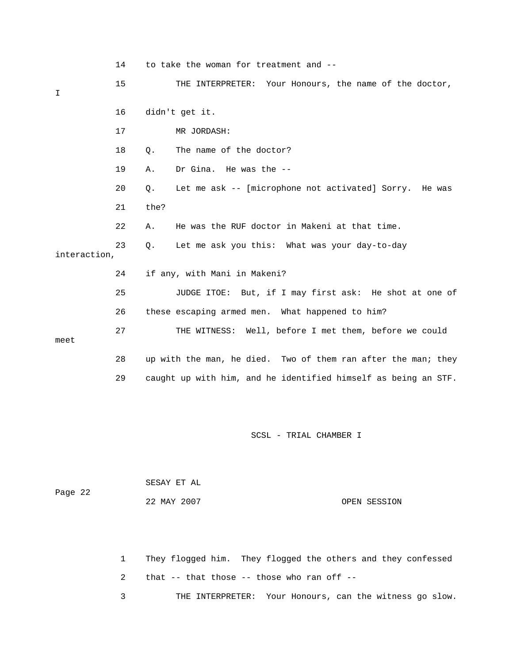14 to take the woman for treatment and -- 15 THE INTERPRETER: Your Honours, the name of the doctor, 16 didn't get it. 18 0. The name of the doctor? 19 A. Dr Gina. He was the -- 21 the? 22 A. He was the RUF doctor in Makeni at that time. 25 JUDGE ITOE: But, if I may first ask: He shot at one of 26 these escaping armed men. What happened to him? 27 THE WITNESS: Well, before I met them, before we could 28 up with the man, he died. Two of them ran after the man; they 29 caught up with him, and he identified himself as being an STF. I 17 MR JORDASH: 20 Q. Let me ask -- [microphone not activated] Sorry. He was 23 Q. Let me ask you this: What was your day-to-day interaction, 24 if any, with Mani in Makeni? meet

SCSL - TRIAL CHAMBER I

| Page 22 | SESAY ET AL |              |
|---------|-------------|--------------|
|         | 22 MAY 2007 | OPEN SESSION |

 1 They flogged him. They flogged the others and they confessed 2 that -- that those -- those who ran off -- 3 THE INTERPRETER: Your Honours, can the witness go slow.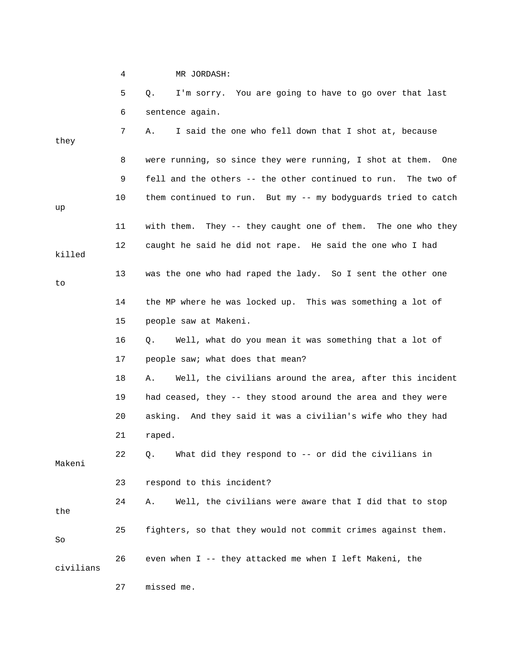|           | 4  | MR JORDASH:                                                    |
|-----------|----|----------------------------------------------------------------|
|           | 5  | I'm sorry. You are going to have to go over that last<br>Q.    |
|           | 6  | sentence again.                                                |
| they      | 7  | I said the one who fell down that I shot at, because<br>Α.     |
|           | 8  | were running, so since they were running, I shot at them. One  |
|           | 9  | fell and the others -- the other continued to run. The two of  |
| up        | 10 | them continued to run. But my -- my bodyguards tried to catch  |
|           | 11 | with them. They -- they caught one of them. The one who they   |
| killed    | 12 | caught he said he did not rape. He said the one who I had      |
| to        | 13 | was the one who had raped the lady. So I sent the other one    |
|           | 14 | the MP where he was locked up. This was something a lot of     |
|           | 15 | people saw at Makeni.                                          |
|           | 16 | Well, what do you mean it was something that a lot of<br>Q.    |
|           | 17 | people saw; what does that mean?                               |
|           | 18 | Well, the civilians around the area, after this incident<br>Α. |
|           | 19 | had ceased, they -- they stood around the area and they were   |
|           | 20 | asking. And they said it was a civilian's wife who they had    |
|           | 21 | raped.                                                         |
| Makeni    | 22 | What did they respond to -- or did the civilians in<br>Q.      |
|           | 23 | respond to this incident?                                      |
| the       | 24 | Well, the civilians were aware that I did that to stop<br>Α.   |
| So        | 25 | fighters, so that they would not commit crimes against them.   |
| civilians | 26 | even when I -- they attacked me when I left Makeni, the        |

27 missed me.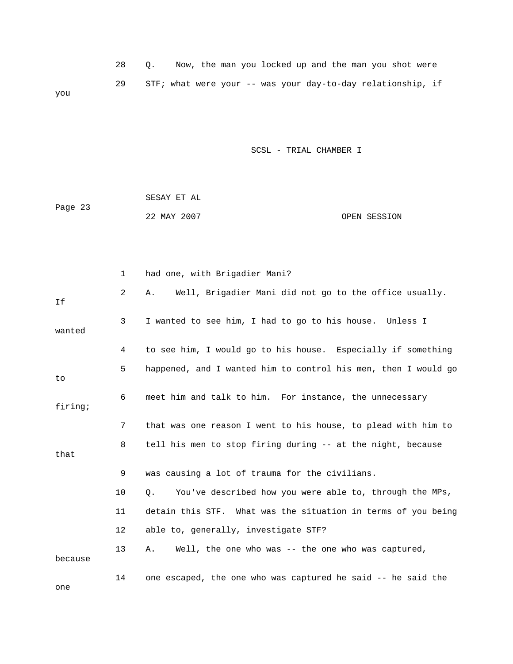|     |  |  |  | Now, the man you locked up and the man you shot were        |  |  |  |  |
|-----|--|--|--|-------------------------------------------------------------|--|--|--|--|
|     |  |  |  | STF; what were your -- was your day-to-day relationship, if |  |  |  |  |
| you |  |  |  |                                                             |  |  |  |  |

 SESAY ET AL ge 23 Pa 22 MAY 2007 OPEN SESSION

|         | 1              | had one, with Brigadier Mani?                                        |
|---------|----------------|----------------------------------------------------------------------|
| If      | $\overline{2}$ | Well, Brigadier Mani did not go to the office usually.<br>Α.         |
| wanted  | 3              | I wanted to see him, I had to go to his house. Unless I              |
|         | 4              | to see him, I would go to his house. Especially if something         |
| to      | 5              | happened, and I wanted him to control his men, then I would go       |
| firing; | 6              | meet him and talk to him. For instance, the unnecessary              |
|         | 7              | that was one reason I went to his house, to plead with him to        |
| that    | 8              | tell his men to stop firing during -- at the night, because          |
|         | 9              | was causing a lot of trauma for the civilians.                       |
|         | 10             | You've described how you were able to, through the MPs,<br>$\circ$ . |
|         | 11             | detain this STF. What was the situation in terms of you being        |
|         | 12             | able to, generally, investigate STF?                                 |
| because | 13             | Well, the one who was -- the one who was captured,<br>Α.             |
| one     | 14             | one escaped, the one who was captured he said -- he said the         |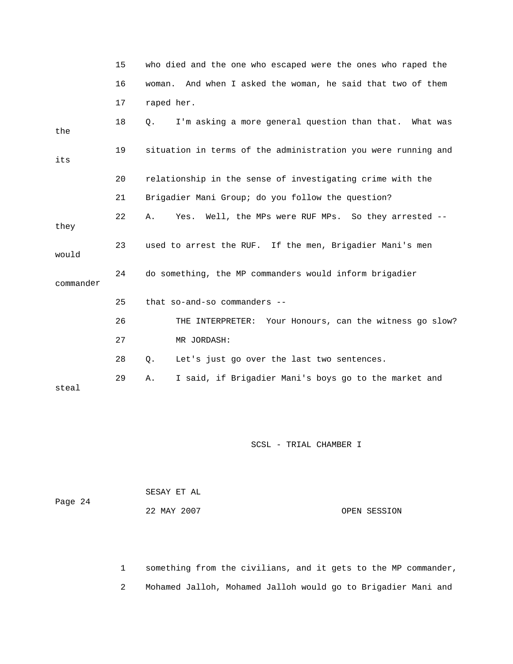|           | 15 | who died and the one who escaped were the ones who raped the   |
|-----------|----|----------------------------------------------------------------|
|           | 16 | And when I asked the woman, he said that two of them<br>woman. |
|           | 17 | raped her.                                                     |
| the       | 18 | I'm asking a more general question than that. What was<br>Q.   |
| its       | 19 | situation in terms of the administration you were running and  |
|           | 20 | relationship in the sense of investigating crime with the      |
|           | 21 | Brigadier Mani Group; do you follow the question?              |
| they      | 22 | Well, the MPs were RUF MPs. So they arrested --<br>Yes.<br>Α.  |
| would     | 23 | used to arrest the RUF. If the men, Brigadier Mani's men       |
| commander | 24 | do something, the MP commanders would inform brigadier         |
|           | 25 | that so-and-so commanders --                                   |
|           | 26 | THE INTERPRETER: Your Honours, can the witness go slow?        |
|           | 27 | MR JORDASH:                                                    |
|           | 28 | Q.<br>Let's just go over the last two sentences.               |
| steal     | 29 | I said, if Brigadier Mani's boys go to the market and<br>Α.    |

| Page 24 | SESAY ET AL |              |  |
|---------|-------------|--------------|--|
|         | 22 MAY 2007 | OPEN SESSION |  |

 1 something from the civilians, and it gets to the MP commander, 2 Mohamed Jalloh, Mohamed Jalloh would go to Brigadier Mani and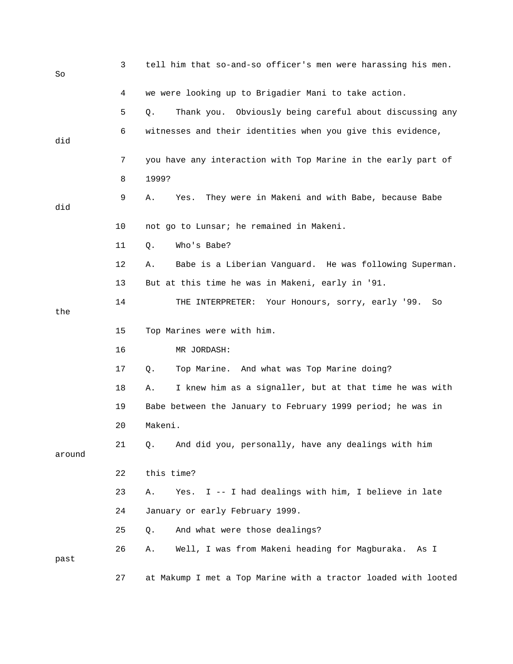| So     | 3  | tell him that so-and-so officer's men were harassing his men.  |
|--------|----|----------------------------------------------------------------|
|        | 4  | we were looking up to Brigadier Mani to take action.           |
|        | 5  | Thank you. Obviously being careful about discussing any<br>Q.  |
| did    | 6  | witnesses and their identities when you give this evidence,    |
|        | 7  | you have any interaction with Top Marine in the early part of  |
|        | 8  | 1999?                                                          |
| did    | 9  | They were in Makeni and with Babe, because Babe<br>Yes.<br>Α.  |
|        | 10 | not go to Lunsar; he remained in Makeni.                       |
|        | 11 | Who's Babe?<br>Q.                                              |
|        | 12 | Babe is a Liberian Vanguard. He was following Superman.<br>Α.  |
|        | 13 | But at this time he was in Makeni, early in '91.               |
| the    | 14 | Your Honours, sorry, early '99.<br>THE INTERPRETER:<br>So      |
|        | 15 | Top Marines were with him.                                     |
|        | 16 | MR JORDASH:                                                    |
|        | 17 | Top Marine. And what was Top Marine doing?<br>Q.               |
|        | 18 | I knew him as a signaller, but at that time he was with<br>Α.  |
|        | 19 | Babe between the January to February 1999 period; he was in    |
|        | 20 | Makeni.                                                        |
| around | 21 | And did you, personally, have any dealings with him<br>Q.      |
|        | 22 | this time?                                                     |
|        | 23 | I -- I had dealings with him, I believe in late<br>Α.<br>Yes.  |
|        | 24 | January or early February 1999.                                |
|        | 25 | And what were those dealings?<br>Q.                            |
| past   | 26 | Well, I was from Makeni heading for Magburaka. As I<br>Α.      |
|        | 27 | at Makump I met a Top Marine with a tractor loaded with looted |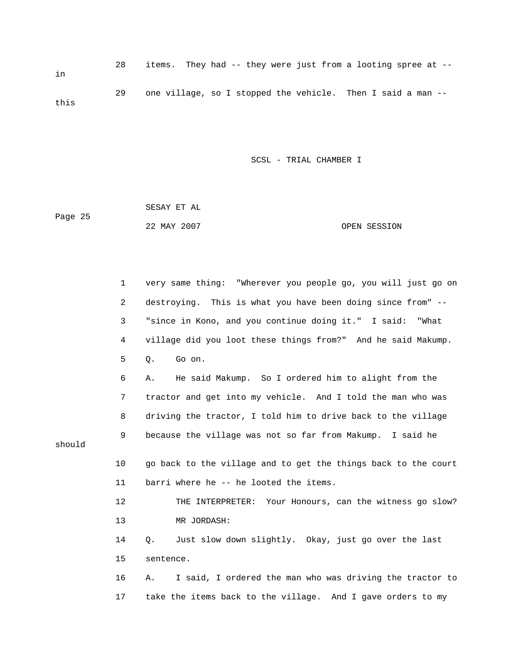28 items. They had -- they were just from a looting spree at - in 29 one village, so I stopped the vehicle. Then I said a man - this

SCSL - TRIAL CHAMBER I

|         | SESAY ET AL |              |
|---------|-------------|--------------|
| Page 25 |             |              |
|         | 22 MAY 2007 | OPEN SESSION |

 1 very same thing: "Wherever you people go, you will just go on 6 A. He said Makump. So I ordered him to alight from the 10 go back to the village and to get the things back to the court 12 THE INTERPRETER: Your Honours, can the witness go slow? 14 Q. Just slow down slightly. Okay, just go over the last 16 A. I said, I ordered the man who was driving the tractor to 2 destroying. This is what you have been doing since from" -- 3 "since in Kono, and you continue doing it." I said: "What 4 village did you loot these things from?" And he said Makump. 5 Q. Go on. 7 tractor and get into my vehicle. And I told the man who was 8 driving the tractor, I told him to drive back to the village 9 because the village was not so far from Makump. I said he should 11 barri where he -- he looted the items. 13 MR JORDASH: 15 sentence. 17 take the items back to the village. And I gave orders to my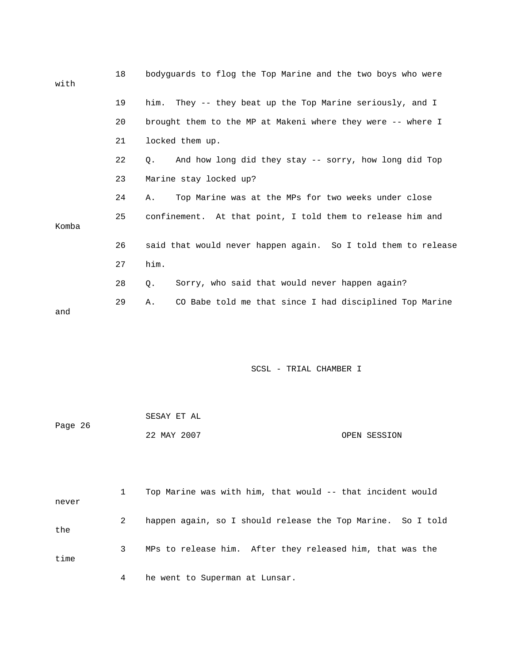| with  | 18 | bodyquards to flog the Top Marine and the two boys who were        |
|-------|----|--------------------------------------------------------------------|
|       | 19 | him. They -- they beat up the Top Marine seriously, and I          |
|       | 20 | brought them to the MP at Makeni where they were -- where I        |
|       | 21 | locked them up.                                                    |
|       | 22 | And how long did they stay -- sorry, how long did Top<br>$\circ$ . |
|       | 23 | Marine stay locked up?                                             |
|       | 24 | Top Marine was at the MPs for two weeks under close<br>Α.          |
| Komba | 25 | confinement. At that point, I told them to release him and         |
|       | 26 | said that would never happen again. So I told them to release      |
|       | 27 | him.                                                               |
|       | 28 | Sorry, who said that would never happen again?<br>0.               |
| and   | 29 | CO Babe told me that since I had disciplined Top Marine<br>Α.      |

| Page 26 | SESAY ET AL |              |
|---------|-------------|--------------|
|         | 22 MAY 2007 | OPEN SESSION |

| never |   | Top Marine was with him, that would -- that incident would  |
|-------|---|-------------------------------------------------------------|
| the   | 2 | happen again, so I should release the Top Marine. So I told |
| time  |   | MPs to release him. After they released him, that was the   |
|       | 4 | he went to Superman at Lunsar.                              |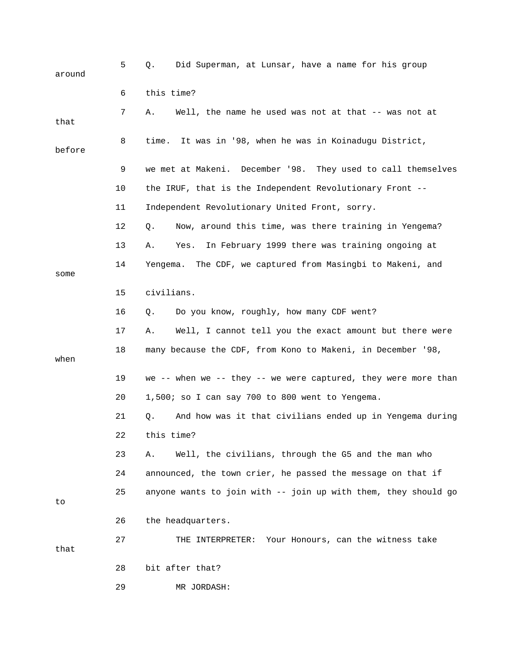| around | 5  | Did Superman, at Lunsar, have a name for his group<br>Q.       |
|--------|----|----------------------------------------------------------------|
|        | 6  | this time?                                                     |
| that   | 7  | Well, the name he used was not at that -- was not at<br>Α.     |
| before | 8  | time. It was in '98, when he was in Koinadugu District,        |
|        | 9  | we met at Makeni. December '98. They used to call themselves   |
|        | 10 | the IRUF, that is the Independent Revolutionary Front --       |
|        | 11 | Independent Revolutionary United Front, sorry.                 |
|        | 12 | Now, around this time, was there training in Yengema?<br>Q.    |
|        | 13 | In February 1999 there was training ongoing at<br>Α.<br>Yes.   |
| some   | 14 | The CDF, we captured from Masingbi to Makeni, and<br>Yengema.  |
|        | 15 | civilians.                                                     |
|        | 16 | Do you know, roughly, how many CDF went?<br>Q.                 |
|        | 17 | Well, I cannot tell you the exact amount but there were<br>Α.  |
| when   | 18 | many because the CDF, from Kono to Makeni, in December '98,    |
|        | 19 | we -- when we -- they -- we were captured, they were more than |
|        | 20 | 1,500; so I can say 700 to 800 went to Yengema.                |
|        | 21 | And how was it that civilians ended up in Yengema during<br>Q. |
|        | 22 | this time?                                                     |
|        | 23 | Well, the civilians, through the G5 and the man who<br>Α.      |
|        | 24 | announced, the town crier, he passed the message on that if    |
| to     | 25 | anyone wants to join with -- join up with them, they should go |
|        | 26 | the headquarters.                                              |
| that   | 27 | Your Honours, can the witness take<br>THE INTERPRETER:         |
|        | 28 | bit after that?                                                |
|        | 29 | MR JORDASH:                                                    |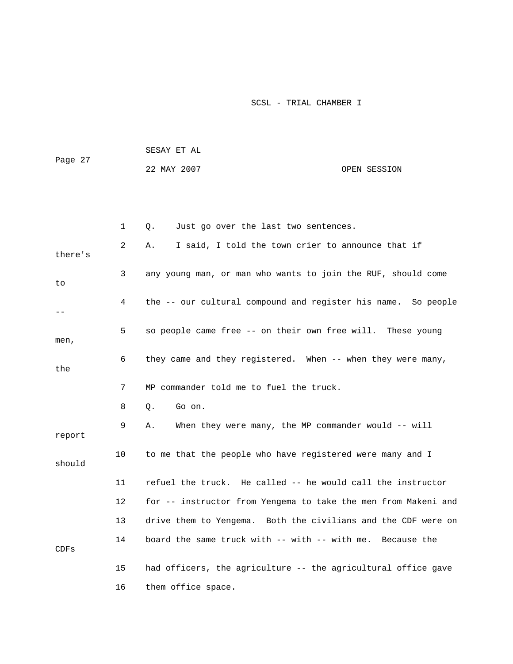|         |              | SESAY ET AL                                                    |              |
|---------|--------------|----------------------------------------------------------------|--------------|
| Page 27 |              | 22 MAY 2007                                                    | OPEN SESSION |
|         |              |                                                                |              |
|         |              |                                                                |              |
|         | $\mathbf{1}$ | Just go over the last two sentences.<br>$\circ$ .              |              |
| there's | 2            | I said, I told the town crier to announce that if<br>Α.        |              |
| to      | 3            | any young man, or man who wants to join the RUF, should come   |              |
| $- -$   | 4            | the -- our cultural compound and register his name. So people  |              |
| men,    | 5            | so people came free -- on their own free will. These young     |              |
| the     | 6            | they came and they registered. When -- when they were many,    |              |
|         | 7            | MP commander told me to fuel the truck.                        |              |
|         | 8            | Go on.<br>Q.                                                   |              |
| report  | 9            | When they were many, the MP commander would -- will<br>Α.      |              |
| should  | 10           | to me that the people who have registered were many and I      |              |
|         | 11           | refuel the truck. He called -- he would call the instructor    |              |
|         | 12           | for -- instructor from Yengema to take the men from Makeni and |              |
|         | 13           | drive them to Yengema. Both the civilians and the CDF were on  |              |
| CDFs    | 14           | board the same truck with $--$ with $--$ with me.              | Because the  |
|         | 15           | had officers, the agriculture -- the agricultural office gave  |              |
|         | 16           | them office space.                                             |              |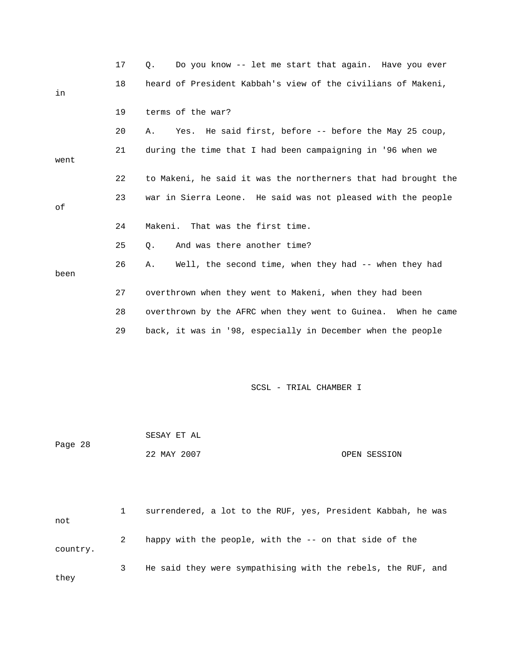|          | 17 | Do you know -- let me start that again. Have you ever<br>Q.    |
|----------|----|----------------------------------------------------------------|
| in       | 18 | heard of President Kabbah's view of the civilians of Makeni,   |
|          | 19 | terms of the war?                                              |
|          | 20 | Yes. He said first, before -- before the May 25 coup,<br>Α.    |
| went     | 21 | during the time that I had been campaigning in '96 when we     |
|          | 22 | to Makeni, he said it was the northerners that had brought the |
| οf       | 23 | war in Sierra Leone. He said was not pleased with the people   |
|          | 24 | That was the first time.<br>Makeni.                            |
|          | 25 | And was there another time?<br>Q.                              |
| been     | 26 | Well, the second time, when they had -- when they had<br>Α.    |
|          | 27 | overthrown when they went to Makeni, when they had been        |
|          | 28 | overthrown by the AFRC when they went to Guinea. When he came  |
|          | 29 | back, it was in '98, especially in December when the people    |
|          |    |                                                                |
|          |    | SCSL - TRIAL CHAMBER I                                         |
|          |    |                                                                |
|          |    | SESAY ET AL                                                    |
| Page 28  |    | 22 MAY 2007<br>OPEN SESSION                                    |
|          |    |                                                                |
| not      | 1  | surrendered, a lot to the RUF, yes, President Kabbah, he was   |
| country. | 2  | happy with the people, with the -- on that side of the         |
| they     | 3  | He said they were sympathising with the rebels, the RUF, and   |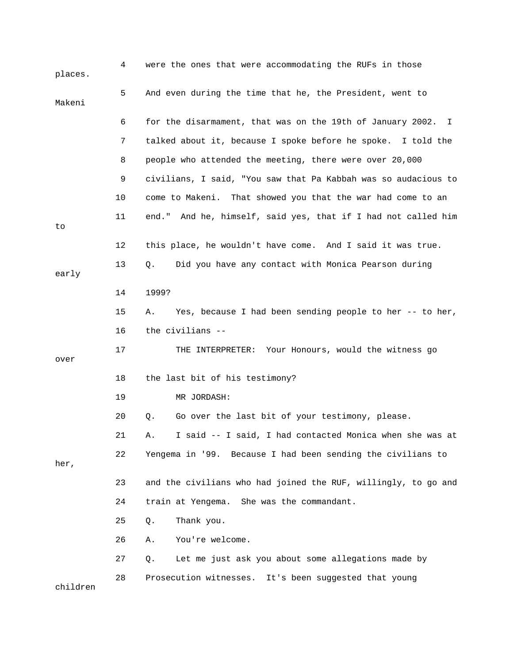| places.  | 4  | were the ones that were accommodating the RUFs in those        |
|----------|----|----------------------------------------------------------------|
| Makeni   | 5  | And even during the time that he, the President, went to       |
|          | 6  | for the disarmament, that was on the 19th of January 2002. I   |
|          | 7  | talked about it, because I spoke before he spoke. I told the   |
|          | 8  | people who attended the meeting, there were over 20,000        |
|          | 9  | civilians, I said, "You saw that Pa Kabbah was so audacious to |
|          | 10 | come to Makeni. That showed you that the war had come to an    |
| to       | 11 | end." And he, himself, said yes, that if I had not called him  |
|          | 12 | this place, he wouldn't have come. And I said it was true.     |
| early    | 13 | Did you have any contact with Monica Pearson during<br>Q.      |
|          | 14 | 1999?                                                          |
|          | 15 | Yes, because I had been sending people to her -- to her,<br>Α. |
|          | 16 | the civilians --                                               |
| over     | 17 | THE INTERPRETER: Your Honours, would the witness go            |
|          | 18 | the last bit of his testimony?                                 |
|          | 19 | MR JORDASH:                                                    |
|          | 20 | Go over the last bit of your testimony, please.<br>Q.          |
|          | 21 | I said -- I said, I had contacted Monica when she was at<br>Α. |
| her,     | 22 | Yengema in '99. Because I had been sending the civilians to    |
|          | 23 | and the civilians who had joined the RUF, willingly, to go and |
|          | 24 | train at Yengema. She was the commandant.                      |
|          | 25 | Thank you.<br>Q.                                               |
|          | 26 | You're welcome.<br>Α.                                          |
|          | 27 | Let me just ask you about some allegations made by<br>Q.       |
| children | 28 | Prosecution witnesses. It's been suggested that young          |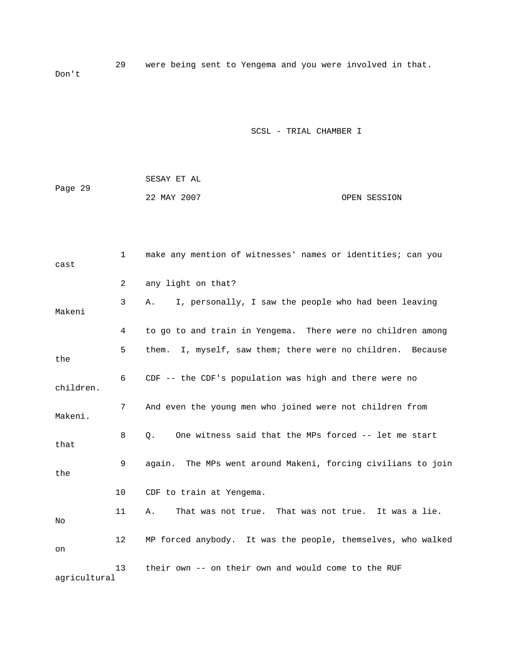29 were being sent to Yengema and you were involved in that. Don't

|         | SESAY ET AL |  |              |
|---------|-------------|--|--------------|
| Page 29 |             |  |              |
|         | 22 MAY 2007 |  | OPEN SESSION |

| cast         | $\mathbf 1$ | make any mention of witnesses' names or identities; can you   |
|--------------|-------------|---------------------------------------------------------------|
|              | 2           | any light on that?                                            |
| Makeni       | 3           | I, personally, I saw the people who had been leaving<br>Α.    |
|              | 4           | to go to and train in Yengema. There were no children among   |
| the          | 5           | I, myself, saw them; there were no children. Because<br>them. |
| children.    | 6           | $CDF$ -- the CDF's population was high and there were no      |
| Makeni.      | 7           | And even the young men who joined were not children from      |
| that         | 8           | One witness said that the MPs forced -- let me start<br>О.    |
| the          | 9           | again. The MPs went around Makeni, forcing civilians to join  |
|              | 10          | CDF to train at Yengema.                                      |
| No           | 11          | That was not true. That was not true. It was a lie.<br>Α.     |
| on           | 12          | MP forced anybody. It was the people, themselves, who walked  |
| agricultural | 13          | their own -- on their own and would come to the RUF           |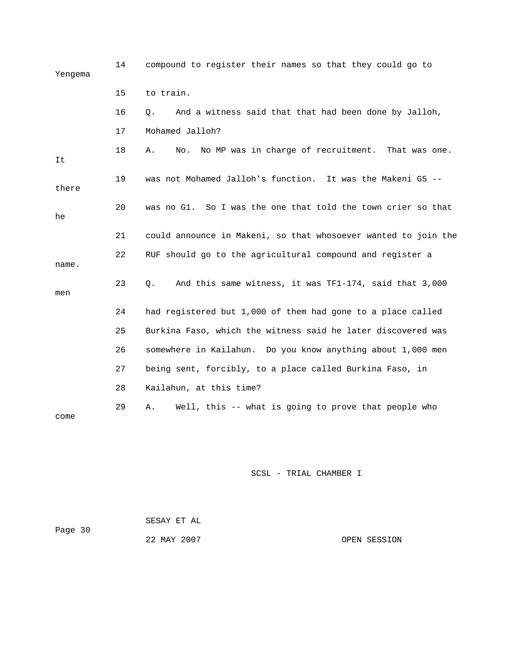| Yengema | 14 | compound to register their names so that they could go to      |
|---------|----|----------------------------------------------------------------|
|         | 15 | to train.                                                      |
|         | 16 | Q.<br>And a witness said that that had been done by Jalloh,    |
|         | 17 | Mohamed Jalloh?                                                |
| It      | 18 | Α.<br>No MP was in charge of recruitment. That was one.<br>No. |
| there   | 19 | was not Mohamed Jalloh's function. It was the Makeni G5 --     |
| he      | 20 | was no G1. So I was the one that told the town crier so that   |
|         | 21 | could announce in Makeni, so that whosoever wanted to join the |
| name.   | 22 | RUF should go to the agricultural compound and register a      |
| men     | 23 | And this same witness, it was TF1-174, said that 3,000<br>Q.   |
|         | 24 | had registered but 1,000 of them had gone to a place called    |
|         | 25 | Burkina Faso, which the witness said he later discovered was   |
|         | 26 | somewhere in Kailahun. Do you know anything about 1,000 men    |
|         | 27 | being sent, forcibly, to a place called Burkina Faso, in       |
|         | 28 | Kailahun, at this time?                                        |
| come    | 29 | Well, this -- what is going to prove that people who<br>Α.     |

| Page 30 | SESAY ET AL |              |
|---------|-------------|--------------|
|         | 22 MAY 2007 | OPEN SESSION |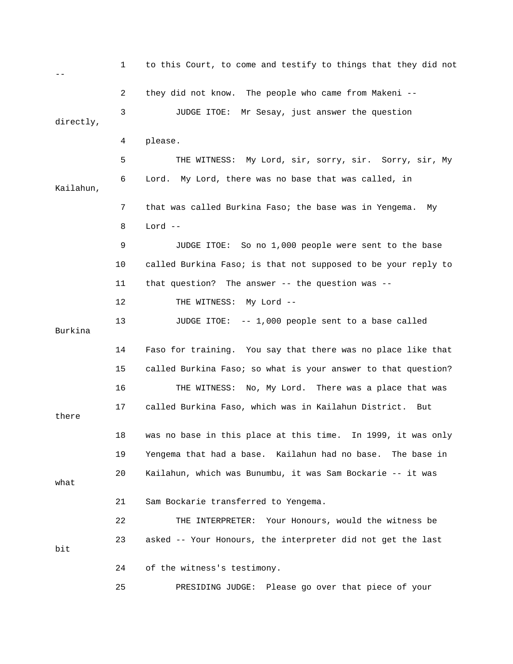1 to this Court, to come and testify to things that they did not  $-$  2 they did not know. The people who came from Makeni -- 3 JUDGE ITOE: Mr Sesay, just answer the question directly, 4 please. 5 THE WITNESS: My Lord, sir, sorry, sir. Sorry, sir, My 6 Lord. My Lord, there was no base that was called, in Kailahun, 7 that was called Burkina Faso; the base was in Yengema. My 8 Lord -- 9 JUDGE ITOE: So no 1,000 people were sent to the base 10 called Burkina Faso; is that not supposed to be your reply to 11 that question? The answer -- the question was -- 12 THE WITNESS: My Lord -- 13 JUDGE ITOE: -- 1,000 people sent to a base called Burkina 14 Faso for training. You say that there was no place like that 15 called Burkina Faso; so what is your answer to that question? 16 THE WITNESS: No, My Lord. There was a place that was 17 called Burkina Faso, which was in Kailahun District. But there 18 was no base in this place at this time. In 1999, it was only 19 Yengema that had a base. Kailahun had no base. The base in 20 Kailahun, which was Bunumbu, it was Sam Bockarie -- it was what 21 Sam Bockarie transferred to Yengema. 22 THE INTERPRETER: Your Honours, would the witness be 23 asked -- Your Honours, the interpreter did not get the last bit 24 of the witness's testimony. 25 PRESIDING JUDGE: Please go over that piece of your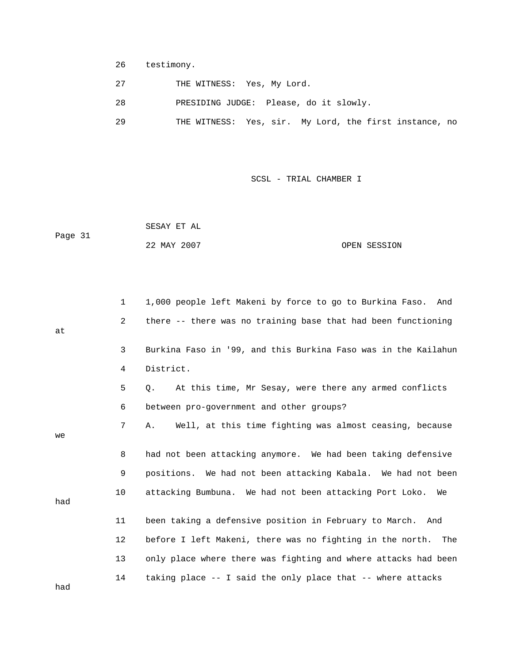- 26 testimony.
- 27 THE WITNESS: Yes, My Lord.
- 28 PRESIDING JUDGE: Please, do it slowly.
- 29 THE WITNESS: Yes, sir. My Lord, the first instance, no

 SESAY ET AL Page 31 22 MAY 2007 OPEN SESSION

|     | $\mathbf{1}$ | 1,000 people left Makeni by force to go to Burkina Faso. And   |
|-----|--------------|----------------------------------------------------------------|
| at  | 2            | there -- there was no training base that had been functioning  |
|     | 3            | Burkina Faso in '99, and this Burkina Faso was in the Kailahun |
|     | 4            | District.                                                      |
|     | 5            | At this time, Mr Sesay, were there any armed conflicts<br>0.   |
|     | 6            | between pro-government and other groups?                       |
| we  | 7            | Well, at this time fighting was almost ceasing, because<br>Α.  |
|     | 8            | had not been attacking anymore. We had been taking defensive   |
|     | 9            | positions. We had not been attacking Kabala. We had not been   |
| had | 10           | attacking Bumbuna. We had not been attacking Port Loko.<br>We  |
|     | 11           | been taking a defensive position in February to March. And     |
|     | 12           | before I left Makeni, there was no fighting in the north. The  |
|     | 13           | only place where there was fighting and where attacks had been |
| had | 14           | taking place -- I said the only place that -- where attacks    |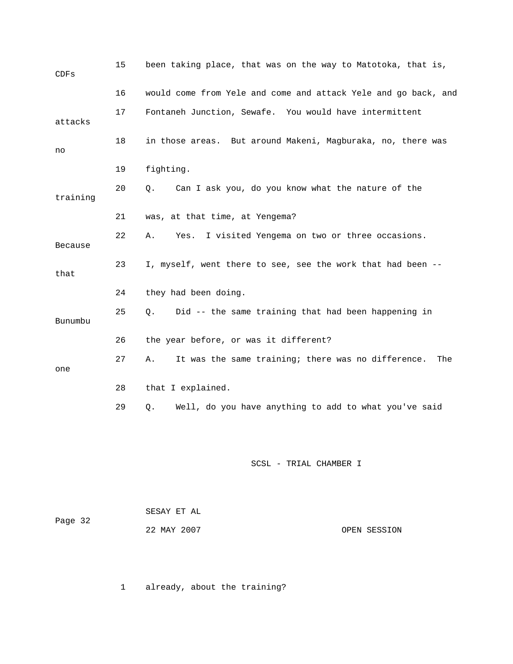| CDFs     | 15 | been taking place, that was on the way to Matotoka, that is,    |
|----------|----|-----------------------------------------------------------------|
|          | 16 | would come from Yele and come and attack Yele and go back, and  |
| attacks  | 17 | Fontaneh Junction, Sewafe. You would have intermittent          |
| no       | 18 | in those areas. But around Makeni, Magburaka, no, there was     |
|          | 19 | fighting.                                                       |
| training | 20 | Can I ask you, do you know what the nature of the<br>Q.         |
|          | 21 | was, at that time, at Yengema?                                  |
| Because  | 22 | I visited Yengema on two or three occasions.<br>Α.<br>Yes.      |
| that     | 23 | I, myself, went there to see, see the work that had been --     |
|          | 24 | they had been doing.                                            |
| Bunumbu  | 25 | Did -- the same training that had been happening in<br>Q.       |
|          | 26 | the year before, or was it different?                           |
| one      | 27 | It was the same training; there was no difference.<br>Α.<br>The |
|          | 28 | that I explained.                                               |
|          | 29 | Well, do you have anything to add to what you've said<br>Q.     |
|          |    | SCSL - TRIAL CHAMBER I                                          |

|         | SESAY ET AL |              |
|---------|-------------|--------------|
| Page 32 |             |              |
|         | 22 MAY 2007 | OPEN SESSION |

1 already, about the training?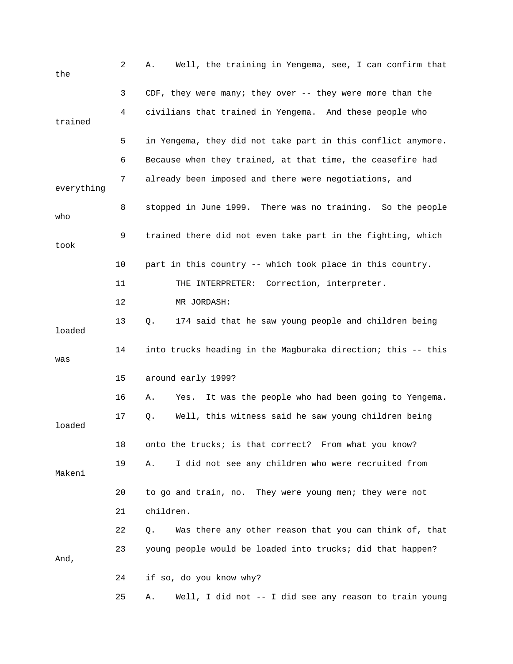| the        | 2  | Well, the training in Yengema, see, I can confirm that<br>Α.   |
|------------|----|----------------------------------------------------------------|
|            | 3  | CDF, they were many; they over $-$ - they were more than the   |
| trained    | 4  | civilians that trained in Yengema. And these people who        |
|            | 5  | in Yengema, they did not take part in this conflict anymore.   |
|            | 6  | Because when they trained, at that time, the ceasefire had     |
| everything | 7  | already been imposed and there were negotiations, and          |
| who        | 8  | stopped in June 1999. There was no training. So the people     |
| took       | 9  | trained there did not even take part in the fighting, which    |
|            | 10 | part in this country -- which took place in this country.      |
|            | 11 | Correction, interpreter.<br>THE INTERPRETER:                   |
|            | 12 | MR JORDASH:                                                    |
| loaded     | 13 | 174 said that he saw young people and children being<br>Q.     |
| was        | 14 | into trucks heading in the Magburaka direction; this -- this   |
|            | 15 | around early 1999?                                             |
|            | 16 | It was the people who had been going to Yengema.<br>Α.<br>Yes. |
| loaded     | 17 | Well, this witness said he saw young children being<br>Q.      |
|            | 18 | onto the trucks; is that correct? From what you know?          |
| Makeni     | 19 | I did not see any children who were recruited from<br>Α.       |
|            | 20 | to go and train, no. They were young men; they were not        |
|            | 21 | children.                                                      |
|            | 22 | Was there any other reason that you can think of, that<br>Q.   |
| And,       | 23 | young people would be loaded into trucks; did that happen?     |
|            | 24 | if so, do you know why?                                        |
|            | 25 | Well, I did not -- I did see any reason to train young<br>Α.   |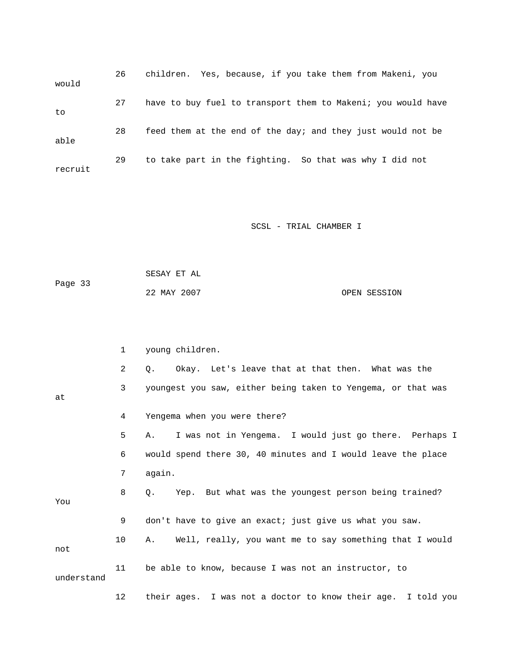| would   | 26 | children. Yes, because, if you take them from Makeni, you    |
|---------|----|--------------------------------------------------------------|
| to      | 27 | have to buy fuel to transport them to Makeni; you would have |
| able    | 28 | feed them at the end of the day; and they just would not be  |
| recruit | 29 | to take part in the fighting. So that was why I did not      |

|         | SESAY ET AL |              |
|---------|-------------|--------------|
| Page 33 |             |              |
|         | 22 MAY 2007 | OPEN SESSION |

|            | $\mathbf{1}$ | young children.                                                |
|------------|--------------|----------------------------------------------------------------|
|            | 2            | Okay. Let's leave that at that then. What was the<br>$\circ$ . |
| at         | 3            | youngest you saw, either being taken to Yengema, or that was   |
|            |              |                                                                |
|            | 4            | Yengema when you were there?                                   |
|            | 5            | I was not in Yengema. I would just go there. Perhaps I<br>Α.   |
|            | 6            | would spend there 30, 40 minutes and I would leave the place   |
|            | 7            | again.                                                         |
| You        | 8            | Yep. But what was the youngest person being trained?<br>$Q$ .  |
|            |              |                                                                |
|            | 9            | don't have to give an exact; just give us what you saw.        |
| not        | 10           | Well, really, you want me to say something that I would<br>Α.  |
| understand | 11           | be able to know, because I was not an instructor, to           |
|            | 12           | their ages. I was not a doctor to know their age. I told you   |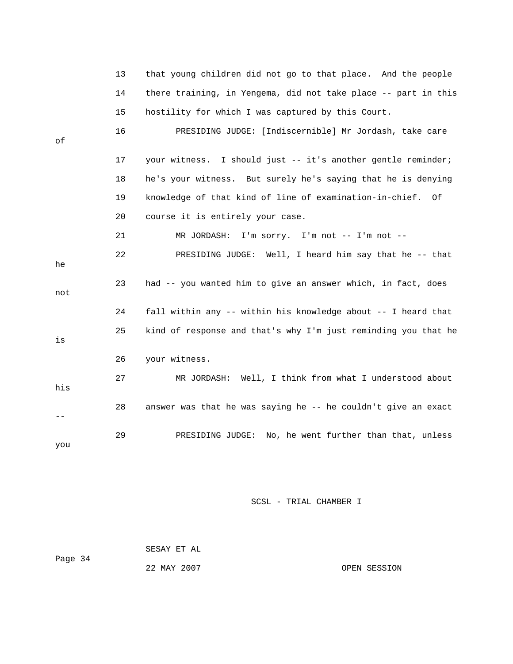|     | 13 | that young children did not go to that place. And the people   |
|-----|----|----------------------------------------------------------------|
|     | 14 | there training, in Yengema, did not take place -- part in this |
|     | 15 | hostility for which I was captured by this Court.              |
| οf  | 16 | PRESIDING JUDGE: [Indiscernible] Mr Jordash, take care         |
|     | 17 | your witness. I should just -- it's another gentle reminder;   |
|     | 18 | he's your witness. But surely he's saying that he is denying   |
|     | 19 | knowledge of that kind of line of examination-in-chief. Of     |
|     | 20 | course it is entirely your case.                               |
|     | 21 | MR JORDASH: I'm sorry. I'm not -- I'm not --                   |
| he  | 22 | PRESIDING JUDGE: Well, I heard him say that he -- that         |
| not | 23 | had -- you wanted him to give an answer which, in fact, does   |
|     | 24 | fall within any -- within his knowledge about -- I heard that  |
| is  | 25 | kind of response and that's why I'm just reminding you that he |
|     | 26 | your witness.                                                  |
| his | 27 | MR JORDASH: Well, I think from what I understood about         |
|     | 28 | answer was that he was saying he -- he couldn't give an exact  |
| you | 29 | PRESIDING JUDGE: No, he went further than that, unless         |

 SESAY ET AL Page 34 22 MAY 2007 OPEN SESSION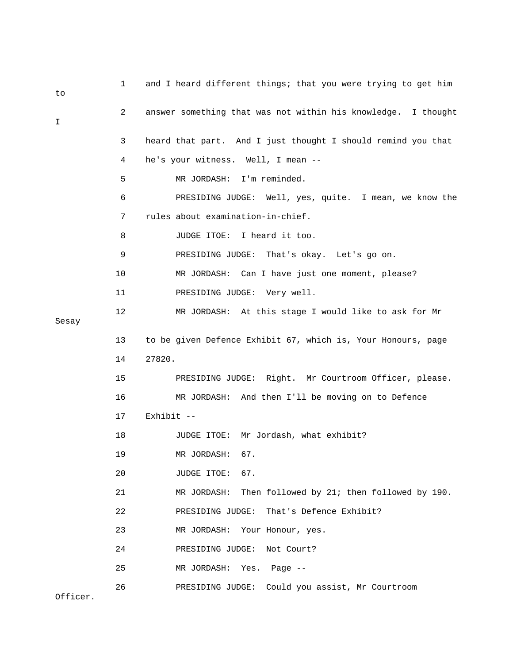| to       | 1  | and I heard different things; that you were trying to get him |
|----------|----|---------------------------------------------------------------|
| I        | 2  | answer something that was not within his knowledge. I thought |
|          | 3  | heard that part. And I just thought I should remind you that  |
|          | 4  | he's your witness. Well, I mean --                            |
|          | 5  | MR JORDASH:<br>I'm reminded.                                  |
|          | 6  | PRESIDING JUDGE: Well, yes, quite. I mean, we know the        |
|          | 7  | rules about examination-in-chief.                             |
|          | 8  | JUDGE ITOE: I heard it too.                                   |
|          | 9  | PRESIDING JUDGE: That's okay. Let's go on.                    |
|          | 10 | MR JORDASH: Can I have just one moment, please?               |
|          | 11 | PRESIDING JUDGE: Very well.                                   |
| Sesay    | 12 | MR JORDASH: At this stage I would like to ask for Mr          |
|          | 13 | to be given Defence Exhibit 67, which is, Your Honours, page  |
|          | 14 | 27820.                                                        |
|          | 15 | PRESIDING JUDGE: Right. Mr Courtroom Officer, please.         |
|          | 16 | MR JORDASH: And then I'll be moving on to Defence             |
|          | 17 | Exhibit --                                                    |
|          | 18 | JUDGE ITOE: Mr Jordash, what exhibit?                         |
|          | 19 | MR JORDASH:<br>67.                                            |
|          | 20 | JUDGE ITOE: 67.                                               |
|          | 21 | Then followed by 21; then followed by 190.<br>MR JORDASH:     |
|          | 22 | That's Defence Exhibit?<br>PRESIDING JUDGE:                   |
|          | 23 | MR JORDASH:<br>Your Honour, yes.                              |
|          | 24 | PRESIDING JUDGE:<br>Not Court?                                |
|          | 25 | MR JORDASH:<br>Yes.<br>Page $--$                              |
| Officer. | 26 | PRESIDING JUDGE: Could you assist, Mr Courtroom               |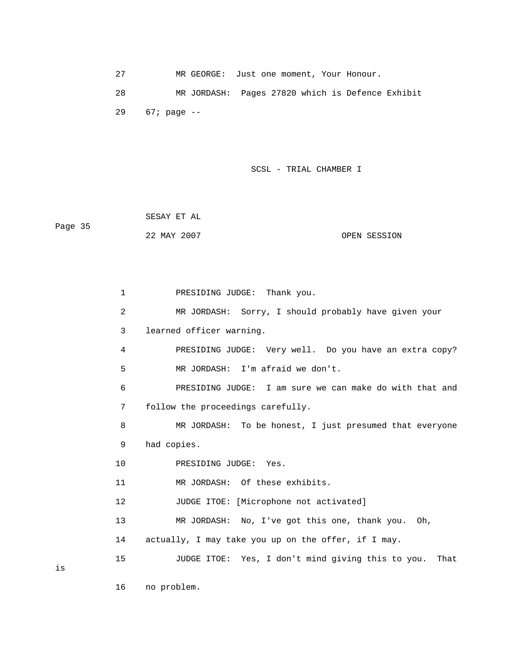27 MR GEORGE: Just one moment, Your Honour. 28 MR JORDASH: Pages 27820 which is Defence Exhibit 29 67; page --

SCSL - TRIAL CHAMBER I

 SESAY ET AL Page 35 22 MAY 2007 OPEN SESSION

> 1 PRESIDING JUDGE: Thank you. 2 MR JORDASH: Sorry, I should probably have given your 3 learned officer warning. 4 PRESIDING JUDGE: Very well. Do you have an extra copy? 5 MR JORDASH: I'm afraid we don't. 6 PRESIDING JUDGE: I am sure we can make do with that and 7 follow the proceedings carefully. 8 MR JORDASH: To be honest, I just presumed that everyone 9 had copies. 10 PRESIDING JUDGE: Yes. 11 MR JORDASH: Of these exhibits. 12 JUDGE ITOE: [Microphone not activated] 13 MR JORDASH: No, I've got this one, thank you. Oh, 14 actually, I may take you up on the offer, if I may. 15 JUDGE ITOE: Yes, I don't mind giving this to you. That

is

16 no problem.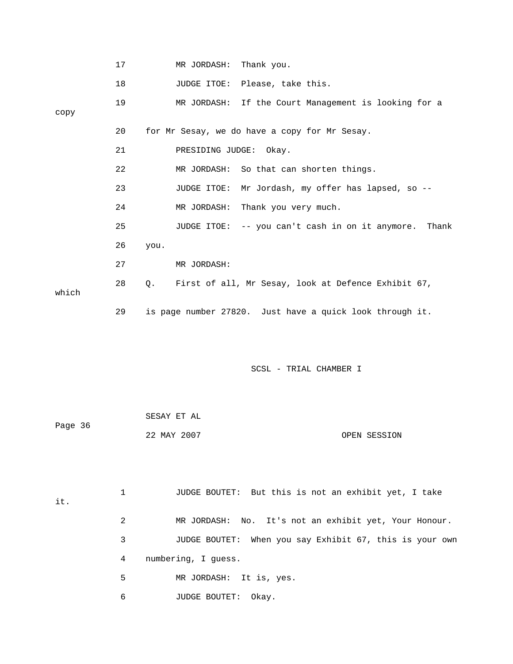|       | 17 | MR JORDASH: Thank you.                                           |
|-------|----|------------------------------------------------------------------|
|       | 18 | JUDGE ITOE: Please, take this.                                   |
| сору  | 19 | MR JORDASH: If the Court Management is looking for a             |
|       | 20 | for Mr Sesay, we do have a copy for Mr Sesay.                    |
|       | 21 | PRESIDING JUDGE: Okay.                                           |
|       | 22 | MR JORDASH: So that can shorten things.                          |
|       | 23 | JUDGE ITOE: Mr Jordash, my offer has lapsed, so --               |
|       | 24 | Thank you very much.<br>MR JORDASH:                              |
|       | 25 | JUDGE ITOE: -- you can't cash in on it anymore. Thank            |
|       | 26 | you.                                                             |
|       | 27 | MR JORDASH:                                                      |
| which | 28 | First of all, Mr Sesay, look at Defence Exhibit 67,<br>$\circ$ . |
|       | 29 | is page number 27820. Just have a quick look through it.         |
|       |    | SCSL - TRIAL CHAMBER I                                           |

| Page 36 | SESAY ET AL |              |
|---------|-------------|--------------|
|         | 22 MAY 2007 | OPEN SESSION |

| it. |   | JUDGE BOUTET: But this is not an exhibit yet, I take    |
|-----|---|---------------------------------------------------------|
|     | 2 | MR JORDASH: No. It's not an exhibit yet, Your Honour.   |
|     | 3 | JUDGE BOUTET: When you say Exhibit 67, this is your own |
|     | 4 | numbering, I quess.                                     |
|     | 5 | MR JORDASH: It is, yes.                                 |
|     | 6 | <b>JUDGE BOUTET:</b><br>Okay.                           |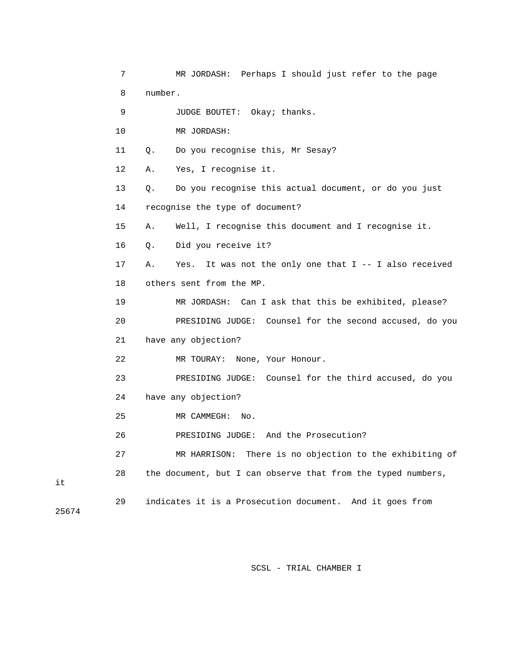|       | 7  | MR JORDASH: Perhaps I should just refer to the page               |
|-------|----|-------------------------------------------------------------------|
|       | 8  | number.                                                           |
|       | 9  | JUDGE BOUTET: Okay; thanks.                                       |
|       | 10 | MR JORDASH:                                                       |
|       | 11 | Do you recognise this, Mr Sesay?<br>Q.                            |
|       | 12 | Yes, I recognise it.<br>Α.                                        |
|       | 13 | Do you recognise this actual document, or do you just<br>Q.       |
|       | 14 | recognise the type of document?                                   |
|       | 15 | Well, I recognise this document and I recognise it.<br>Α.         |
|       | 16 | Did you receive it?<br>Q.                                         |
|       | 17 | It was not the only one that $I$ -- I also received<br>Α.<br>Yes. |
|       | 18 | others sent from the MP.                                          |
|       | 19 | MR JORDASH: Can I ask that this be exhibited, please?             |
|       | 20 | PRESIDING JUDGE: Counsel for the second accused, do you           |
|       | 21 | have any objection?                                               |
|       | 22 | MR TOURAY: None, Your Honour.                                     |
|       | 23 | PRESIDING JUDGE: Counsel for the third accused, do you            |
|       | 24 | have any objection?                                               |
|       | 25 | MR CAMMEGH:<br>No.                                                |
|       | 26 | PRESIDING JUDGE:<br>And the Prosecution?                          |
|       | 27 | MR HARRISON: There is no objection to the exhibiting of           |
| it    | 28 | the document, but I can observe that from the typed numbers,      |
| 25674 | 29 | indicates it is a Prosecution document.<br>And it goes from       |

it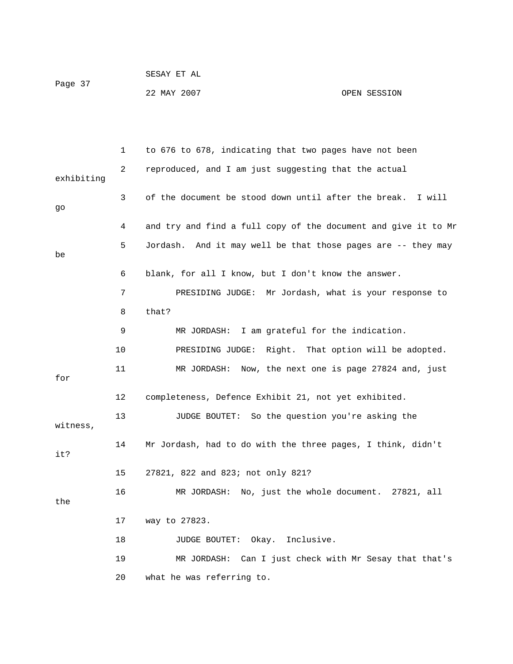|         | SESAY ET AL |              |
|---------|-------------|--------------|
| Page 37 | 22 MAY 2007 | OPEN SESSION |

|            | 1  | to 676 to 678, indicating that two pages have not been         |
|------------|----|----------------------------------------------------------------|
| exhibiting | 2  | reproduced, and I am just suggesting that the actual           |
| go         | 3  | of the document be stood down until after the break.<br>I will |
|            | 4  | and try and find a full copy of the document and give it to Mr |
| be         | 5  | Jordash. And it may well be that those pages are -- they may   |
|            | 6  | blank, for all I know, but I don't know the answer.            |
|            | 7  | PRESIDING JUDGE: Mr Jordash, what is your response to          |
|            | 8  | that?                                                          |
|            | 9  | MR JORDASH: I am grateful for the indication.                  |
|            | 10 | PRESIDING JUDGE: Right. That option will be adopted.           |
| for        | 11 | MR JORDASH: Now, the next one is page 27824 and, just          |
|            | 12 | completeness, Defence Exhibit 21, not yet exhibited.           |
| witness,   | 13 | JUDGE BOUTET: So the question you're asking the                |
| it?        | 14 | Mr Jordash, had to do with the three pages, I think, didn't    |
|            | 15 | 27821, 822 and 823; not only 821?                              |
| the        | 16 | MR JORDASH: No, just the whole document. 27821, all            |
|            | 17 | way to 27823.                                                  |
|            | 18 | JUDGE BOUTET: Okay. Inclusive.                                 |
|            | 19 | Can I just check with Mr Sesay that that's<br>MR JORDASH:      |
|            | 20 | what he was referring to.                                      |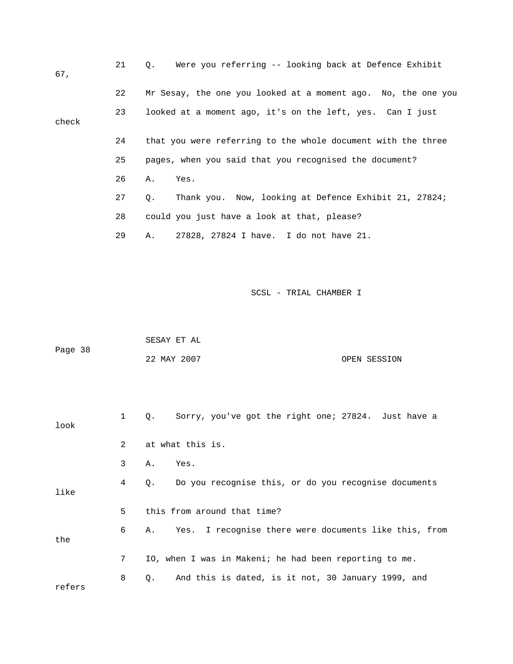| 67,   | 21 | Were you referring -- looking back at Defence Exhibit<br>$Q_{\star}$ |
|-------|----|----------------------------------------------------------------------|
|       | 22 | Mr Sesay, the one you looked at a moment ago. No, the one you        |
| check | 23 | looked at a moment ago, it's on the left, yes. Can I just            |
|       | 24 | that you were referring to the whole document with the three         |
|       | 25 | pages, when you said that you recognised the document?               |
|       | 26 | Α.<br>Yes.                                                           |
|       | 27 | Thank you. Now, looking at Defence Exhibit 21, 27824;<br>Q.          |
|       | 28 | could you just have a look at that, please?                          |
|       | 29 | 27828, 27824 I have. I do not have 21.<br>Α.                         |
|       |    |                                                                      |

|         | SESAY ET AL |              |
|---------|-------------|--------------|
| Page 38 |             |              |
|         | 22 MAY 2007 | OPEN SESSION |

| look   | $\mathbf{1}$  | Sorry, you've got the right one; 27824. Just have a<br>0.         |
|--------|---------------|-------------------------------------------------------------------|
|        | $\mathcal{L}$ | at what this is.                                                  |
|        | 3             | Yes.<br>Α.                                                        |
| like   | 4             | Do you recognise this, or do you recognise documents<br>$\circ$ . |
|        | 5             | this from around that time?                                       |
| the    | 6             | A. Yes. I recognise there were documents like this, from          |
|        | 7             | IO, when I was in Makeni; he had been reporting to me.            |
| refers | 8             | And this is dated, is it not, 30 January 1999, and<br>Q.          |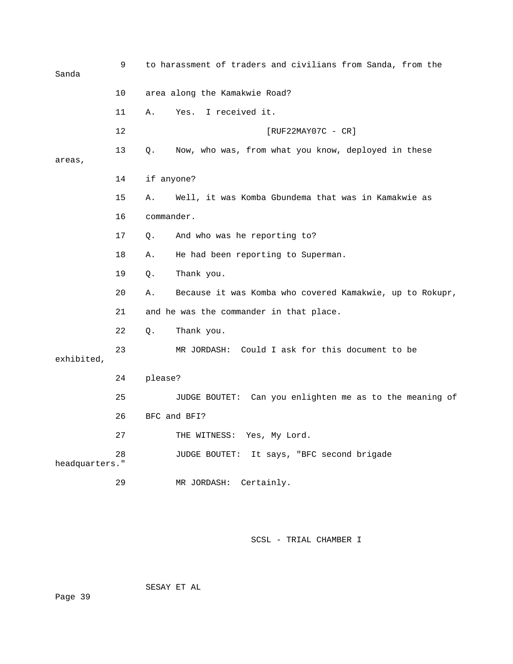| Sanda          | 9  | to harassment of traders and civilians from Sanda, from the    |  |
|----------------|----|----------------------------------------------------------------|--|
|                | 10 | area along the Kamakwie Road?                                  |  |
|                | 11 | I received it.<br>Α.<br>Yes.                                   |  |
|                | 12 | $[RUF22MAY07C - CR]$                                           |  |
| areas,         | 13 | Now, who was, from what you know, deployed in these<br>Q.      |  |
|                | 14 | if anyone?                                                     |  |
|                | 15 | Well, it was Komba Gbundema that was in Kamakwie as<br>Α.      |  |
|                | 16 | commander.                                                     |  |
|                | 17 | And who was he reporting to?<br>Q.                             |  |
|                | 18 | He had been reporting to Superman.<br>Α.                       |  |
|                | 19 | Q.<br>Thank you.                                               |  |
|                | 20 | Because it was Komba who covered Kamakwie, up to Rokupr,<br>Α. |  |
|                | 21 | and he was the commander in that place.                        |  |
|                | 22 | Thank you.<br>Q.                                               |  |
| exhibited,     | 23 | MR JORDASH: Could I ask for this document to be                |  |
|                | 24 | please?                                                        |  |
|                | 25 | JUDGE BOUTET: Can you enlighten me as to the meaning of        |  |
|                | 26 | BFC and BFI?                                                   |  |
|                | 27 | THE WITNESS: Yes, My Lord.                                     |  |
| headquarters." | 28 | It says, "BFC second brigade<br>JUDGE BOUTET:                  |  |
|                | 29 | Certainly.<br>MR JORDASH:                                      |  |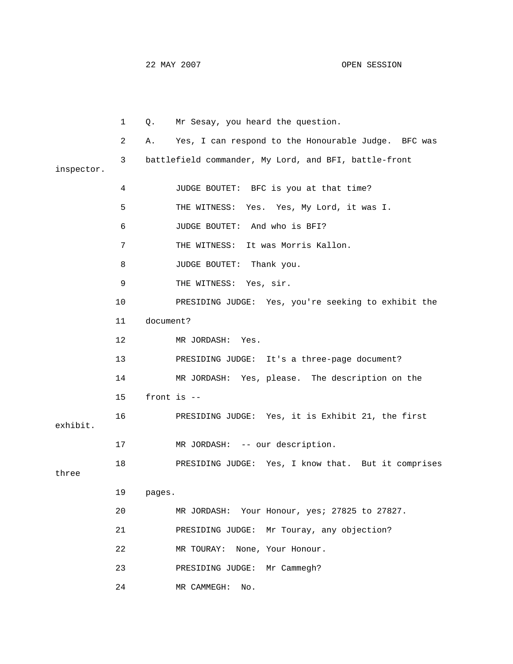22 MAY 2007 OPEN SESSION

 1 Q. Mr Sesay, you heard the question. 2 A. Yes, I can respond to the Honourable Judge. BFC was 3 battlefield commander, My Lord, and BFI, battle-front inspector. 4 JUDGE BOUTET: BFC is you at that time? 5 THE WITNESS: Yes. Yes, My Lord, it was I. 6 JUDGE BOUTET: And who is BFI? 7 THE WITNESS: It was Morris Kallon. 8 JUDGE BOUTET: Thank you. 9 THE WITNESS: Yes, sir. 10 PRESIDING JUDGE: Yes, you're seeking to exhibit the 11 document? 12 MR JORDASH: Yes. 13 PRESIDING JUDGE: It's a three-page document? 14 MR JORDASH: Yes, please. The description on the 15 front is -- 16 PRESIDING JUDGE: Yes, it is Exhibit 21, the first 17 MR JORDASH: -- our description. 18 PRESIDING JUDGE: Yes, I know that. But it comprises 19 pages. 20 MR JORDASH: Your Honour, yes; 27825 to 27827. 22 MR TOURAY: None, Your Honour. exhibit. three 21 PRESIDING JUDGE: Mr Touray, any objection? 23 PRESIDING JUDGE: Mr Cammegh? 24 MR CAMMEGH: No.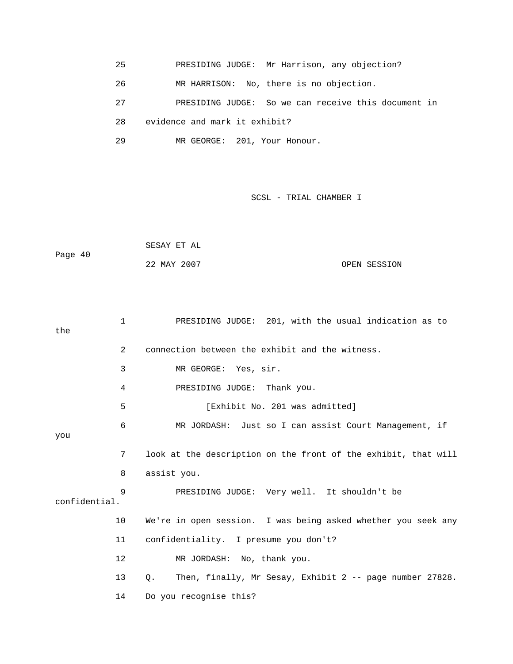25 PRESIDING JUDGE: Mr Harrison, any objection?

26 MR HARRISON: No, there is no objection.

27 PRESIDING JUDGE: So we can receive this document in

28 evidence and mark it exhibit?

29 MR GEORGE: 201, Your Honour.

|         | SESAY ET AL |              |
|---------|-------------|--------------|
| Page 40 |             |              |
|         | 22 MAY 2007 | OPEN SESSION |

```
 1 PRESIDING JUDGE: 201, with the usual indication as to 
            2 connection between the exhibit and the witness. 
            3 MR GEORGE: Yes, sir. 
4 PRESIDING JUDGE: Thank you.
            5 [Exhibit No. 201 was admitted] 
            6 MR JORDASH: Just so I can assist Court Management, if 
            7 look at the description on the front of the exhibit, that will 
            9 PRESIDING JUDGE: Very well. It shouldn't be 
           10 We're in open session. I was being asked whether you seek any 
           11 confidentiality. I presume you don't? 
           13 Q. Then, finally, Mr Sesay, Exhibit 2 -- page number 27828. 
           14 Do you recognise this? 
the 
you 
            8 assist you. 
confidential. 
           12 MR JORDASH: No, thank you.
```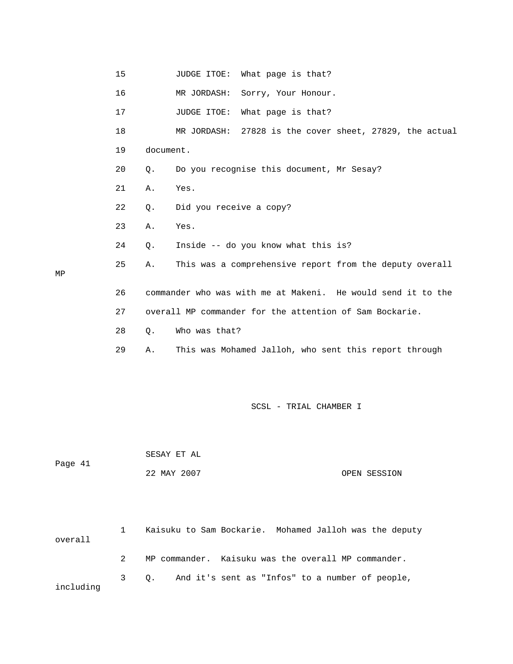|    | 15 |           | What page is that?<br>JUDGE ITOE:                            |
|----|----|-----------|--------------------------------------------------------------|
|    | 16 |           | MR JORDASH:<br>Sorry, Your Honour.                           |
|    | 17 |           | What page is that?<br>JUDGE ITOE:                            |
|    | 18 |           | MR JORDASH:<br>27828 is the cover sheet, 27829, the actual   |
|    | 19 | document. |                                                              |
|    | 20 | Q.        | Do you recognise this document, Mr Sesay?                    |
|    | 21 | Α.        | Yes.                                                         |
|    | 22 | $Q$ .     | Did you receive a copy?                                      |
|    | 23 | Α.        | Yes.                                                         |
|    | 24 | Q.        | Inside -- do you know what this is?                          |
| МP | 25 | Α.        | This was a comprehensive report from the deputy overall      |
|    | 26 |           | commander who was with me at Makeni. He would send it to the |
|    | 27 |           | overall MP commander for the attention of Sam Bockarie.      |
|    | 28 | Q.        | Who was that?                                                |
|    | 29 | Α.        | This was Mohamed Jalloh, who sent this report through        |
|    |    |           |                                                              |

| Page 41 | SESAY ET AL |              |
|---------|-------------|--------------|
|         | 22 MAY 2007 | OPEN SESSION |

MP

| overall   | Kaisuku to Sam Bockarie. Mohamed Jalloh was the deputy |
|-----------|--------------------------------------------------------|
|           | MP commander. Kaisuku was the overall MP commander.    |
| including | 3 0. And it's sent as "Infos" to a number of people,   |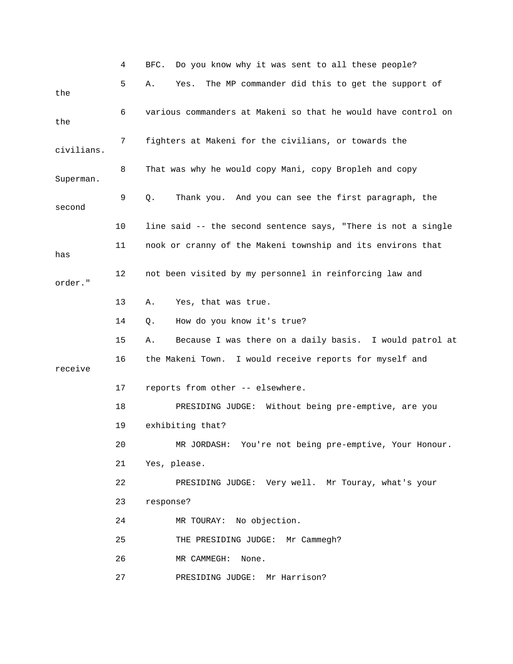|            | 4  | Do you know why it was sent to all these people?<br>BFC.      |
|------------|----|---------------------------------------------------------------|
| the        | 5  | The MP commander did this to get the support of<br>Α.<br>Yes. |
| the        | 6  | various commanders at Makeni so that he would have control on |
| civilians. | 7  | fighters at Makeni for the civilians, or towards the          |
| Superman.  | 8  | That was why he would copy Mani, copy Bropleh and copy        |
| second     | 9  | Thank you. And you can see the first paragraph, the<br>Q.     |
|            | 10 | line said -- the second sentence says, "There is not a single |
| has        | 11 | nook or cranny of the Makeni township and its environs that   |
| order."    | 12 | not been visited by my personnel in reinforcing law and       |
|            | 13 | Yes, that was true.<br>Α.                                     |
|            | 14 | How do you know it's true?<br>Q.                              |
|            | 15 | Because I was there on a daily basis. I would patrol at<br>Α. |
| receive    | 16 | the Makeni Town. I would receive reports for myself and       |
|            | 17 | reports from other -- elsewhere.                              |
|            | 18 | PRESIDING JUDGE: Without being pre-emptive, are you           |
|            | 19 | exhibiting that?                                              |
|            | 20 | MR JORDASH: You're not being pre-emptive, Your Honour.        |
|            | 21 | Yes, please.                                                  |
|            | 22 | PRESIDING JUDGE: Very well. Mr Touray, what's your            |
|            | 23 | response?                                                     |
|            | 24 | MR TOURAY: No objection.                                      |
|            | 25 | THE PRESIDING JUDGE: Mr Cammegh?                              |
|            | 26 | MR CAMMEGH:<br>None.                                          |
|            | 27 | PRESIDING JUDGE: Mr Harrison?                                 |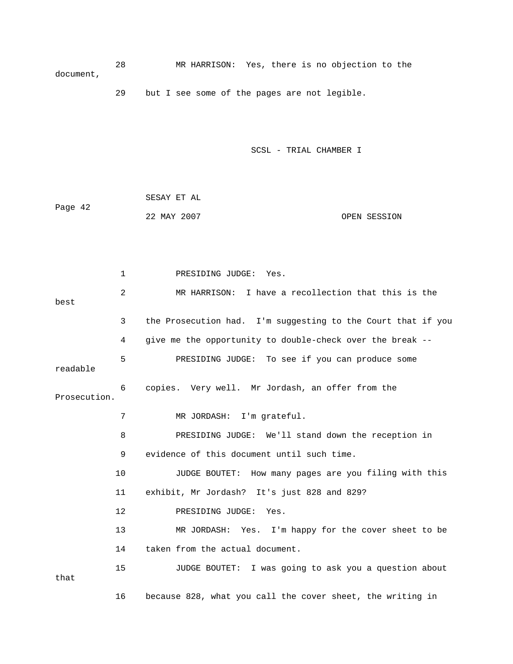28 MR HARRISON: Yes, there is no objection to the document,

29 but I see some of the pages are not legible.

SCSL - TRIAL CHAMBER I

|         | SESAY ET AL |              |
|---------|-------------|--------------|
| Page 42 |             |              |
|         | 22 MAY 2007 | OPEN SESSION |

 1 PRESIDING JUDGE: Yes. 2 MR HARRISON: I have a recollection that this is the 3 the Prosecution had. I'm suggesting to the Court that if you readable Prosecution. 8 The RESIDING JUDGE: We'll stand down the reception in 10 JUDGE BOUTET: How many pages are you filing with this 13 MR JORDASH: Yes. I'm happy for the cover sheet to be 15 JUDGE BOUTET: I was going to ask you a question about that 16 because 828, what you call the cover sheet, the writing in best 4 give me the opportunity to double-check over the break -- 5 PRESIDING JUDGE: To see if you can produce some 6 copies. Very well. Mr Jordash, an offer from the 7 MR JORDASH: I'm grateful. 9 evidence of this document until such time. 11 exhibit, Mr Jordash? It's just 828 and 829? 12 PRESIDING JUDGE: Yes. 14 taken from the actual document.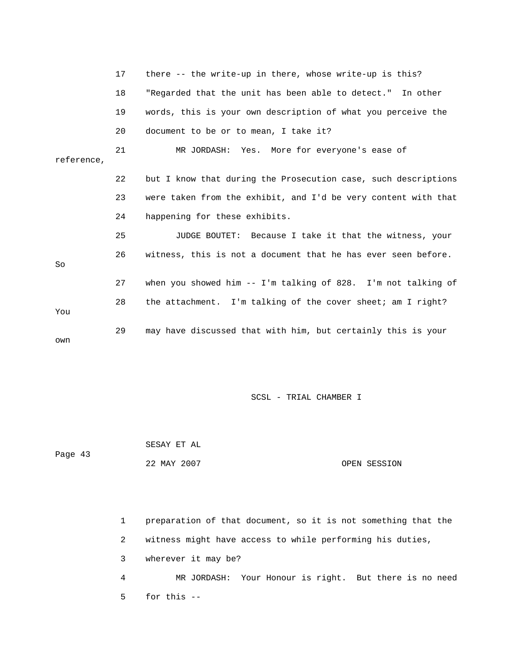|            | 17 | there -- the write-up in there, whose write-up is this?        |
|------------|----|----------------------------------------------------------------|
|            | 18 | "Regarded that the unit has been able to detect." In other     |
|            | 19 | words, this is your own description of what you perceive the   |
|            | 20 | document to be or to mean, I take it?                          |
| reference, | 21 | MR JORDASH: Yes. More for everyone's ease of                   |
|            | 22 | but I know that during the Prosecution case, such descriptions |
|            | 23 | were taken from the exhibit, and I'd be very content with that |
|            | 24 | happening for these exhibits.                                  |
|            | 25 | JUDGE BOUTET: Because I take it that the witness, your         |
| So         | 26 | witness, this is not a document that he has ever seen before.  |
|            | 27 | when you showed him $-$ I'm talking of 828. I'm not talking of |
| You        | 28 | the attachment. I'm talking of the cover sheet; am I right?    |
| own        | 29 | may have discussed that with him, but certainly this is your   |

 SESAY ET AL Page 43 22 MAY 2007 OPEN SESSION

 1 preparation of that document, so it is not something that the 4 MR JORDASH: Your Honour is right. But there is no need 2 witness might have access to while performing his duties, 3 wherever it may be? 5 for this --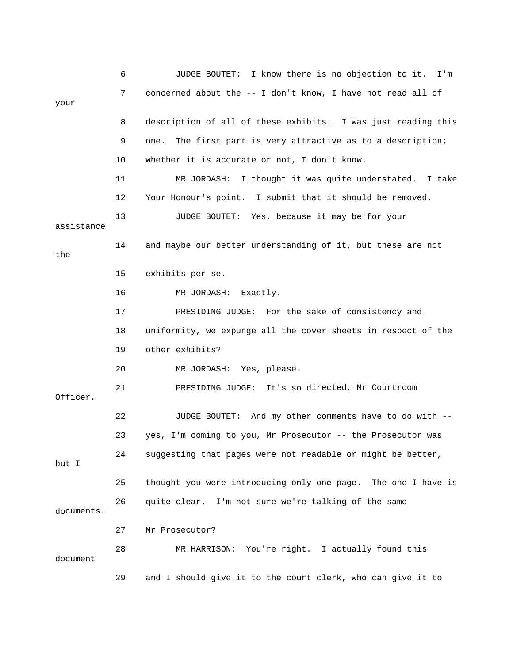|            | 6  | JUDGE BOUTET: I know there is no objection to it. I'm          |
|------------|----|----------------------------------------------------------------|
| your       | 7  | concerned about the -- I don't know, I have not read all of    |
|            | 8  | description of all of these exhibits. I was just reading this  |
|            | 9  | The first part is very attractive as to a description;<br>one. |
|            | 10 | whether it is accurate or not, I don't know.                   |
|            | 11 | I thought it was quite understated. I take<br>MR JORDASH:      |
|            | 12 | Your Honour's point. I submit that it should be removed.       |
| assistance | 13 | JUDGE BOUTET: Yes, because it may be for your                  |
| the        | 14 | and maybe our better understanding of it, but these are not    |
|            | 15 | exhibits per se.                                               |
|            | 16 | MR JORDASH: Exactly.                                           |
|            | 17 | PRESIDING JUDGE: For the sake of consistency and               |
|            | 18 | uniformity, we expunge all the cover sheets in respect of the  |
|            | 19 | other exhibits?                                                |
|            | 20 | MR JORDASH: Yes, please.                                       |
| Officer.   | 21 | PRESIDING JUDGE: It's so directed, Mr Courtroom                |
|            | 22 | JUDGE BOUTET: And my other comments have to do with --         |
|            | 23 | yes, I'm coming to you, Mr Prosecutor -- the Prosecutor was    |
| but I      | 24 | suggesting that pages were not readable or might be better,    |
|            | 25 | thought you were introducing only one page. The one I have is  |
| documents. | 26 | quite clear. I'm not sure we're talking of the same            |
|            | 27 | Mr Prosecutor?                                                 |
| document   | 28 | MR HARRISON: You're right. I actually found this               |
|            | 29 | and I should give it to the court clerk, who can give it to    |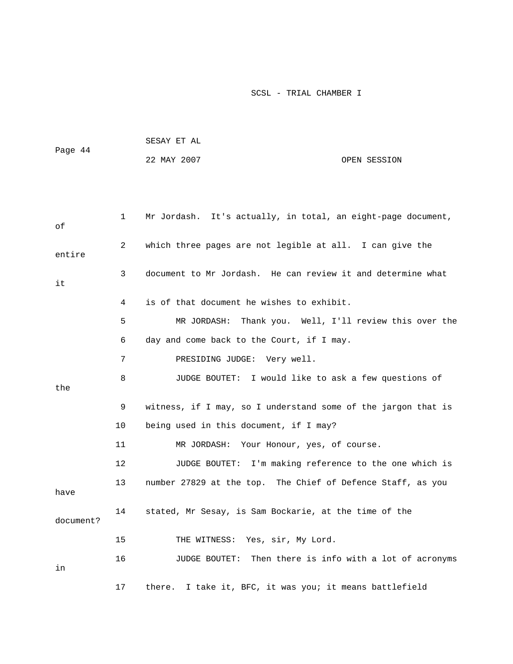|         | SESAY ET AL |              |  |
|---------|-------------|--------------|--|
| Page 44 |             |              |  |
|         | 22 MAY 2007 | OPEN SESSION |  |

| оf        | 1  | Mr Jordash. It's actually, in total, an eight-page document,  |
|-----------|----|---------------------------------------------------------------|
| entire    | 2  | which three pages are not legible at all. I can give the      |
| it        | 3  | document to Mr Jordash. He can review it and determine what   |
|           | 4  | is of that document he wishes to exhibit.                     |
|           | 5  | Thank you. Well, I'll review this over the<br>MR JORDASH:     |
|           | 6  | day and come back to the Court, if I may.                     |
|           | 7  | PRESIDING JUDGE: Very well.                                   |
| the       | 8  | JUDGE BOUTET: I would like to ask a few questions of          |
|           | 9  | witness, if I may, so I understand some of the jargon that is |
|           | 10 | being used in this document, if I may?                        |
|           | 11 | MR JORDASH: Your Honour, yes, of course.                      |
|           | 12 | JUDGE BOUTET: I'm making reference to the one which is        |
| have      | 13 | number 27829 at the top. The Chief of Defence Staff, as you   |
| document? | 14 | stated, Mr Sesay, is Sam Bockarie, at the time of the         |
|           | 15 | THE WITNESS: Yes, sir, My Lord.                               |
| in        | 16 | JUDGE BOUTET: Then there is info with a lot of acronyms       |
|           | 17 | I take it, BFC, it was you; it means battlefield<br>there.    |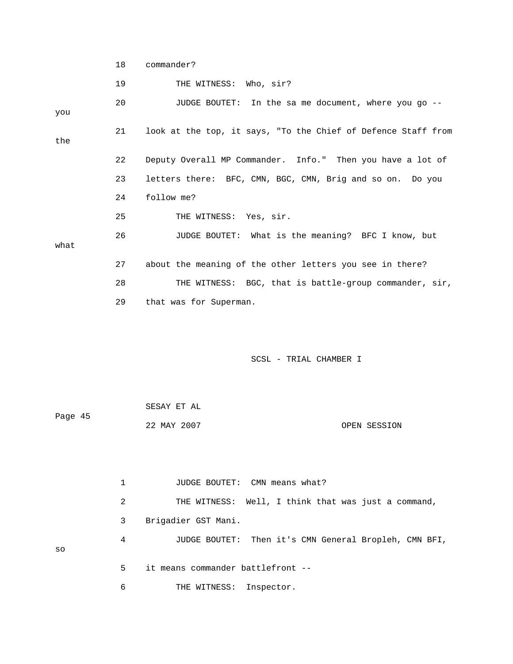```
 18 commander?
```
19 THE WITNESS: Who, sir? 20 JUDGE BOUTET: In the sa me document, where you go -- 23 letters there: BFC, CMN, BGC, CMN, Brig and so on. Do you 24 follow me? 25 THE WITNESS: Yes, sir. 26 JUDGE BOUTET: What is the meaning? BFC I know, but 28 THE WITNESS: BGC, that is battle-group commander, sir, you 21 look at the top, it says, "To the Chief of Defence Staff from the 22 Deputy Overall MP Commander. Info." Then you have a lot of what 27 about the meaning of the other letters you see in there? 29 that was for Superman.

SCSL - TRIAL CHAMBER I

| Page 45 | SESAY ET AL |              |
|---------|-------------|--------------|
|         | 22 MAY 2007 | OPEN SESSION |

1 JUDGE BOUTET: CMN means what? 2 THE WITNESS: Well, I think that was just a command, 3 Brigadier GST Mani. 4 JUDGE BOUTET: Then it's CMN General Bropleh, CMN BFI, 6 THE WITNESS: Inspector. so 5 it means commander battlefront --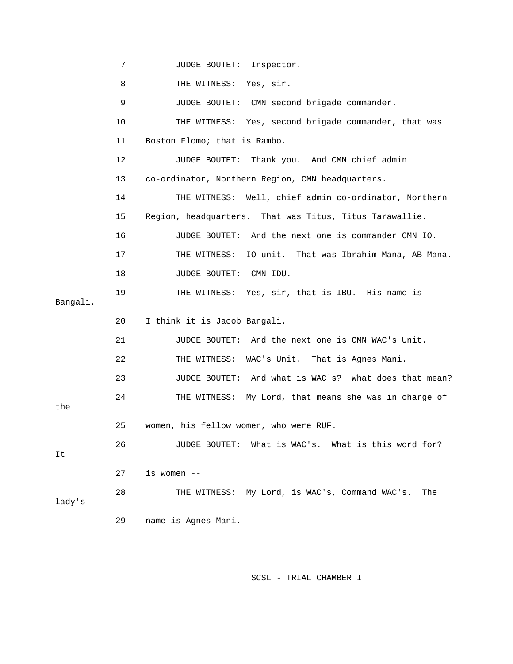7 JUDGE BOUTET: Inspector.

8 THE WITNESS: Yes, sir.

9 JUDGE BOUTET: CMN second brigade commander. 10 THE WITNESS: Yes, second brigade commander, that was 11 Boston Flomo; that is Rambo. 13 co-ordinator, Northern Region, CMN headquarters. 14 THE WITNESS: Well, chief admin co-ordinator, Northern 15 Region, headquarters. That was Titus, Titus Tarawallie. 16 JUDGE BOUTET: And the next one is commander CMN IO. 17 THE WITNESS: IO unit. That was Ibrahim Mana, AB Mana. 19 THE WITNESS: Yes, sir, that is IBU. His name is 22 THE WITNESS: WAC's Unit. That is Agnes Mani. 23 JUDGE BOUTET: And what is WAC's? What does that mean? 24 THE WITNESS: My Lord, that means she was in charge of 12 JUDGE BOUTET: Thank you. And CMN chief admin 18 JUDGE BOUTET: CMN IDU. Bangali. 20 I think it is Jacob Bangali. 21 JUDGE BOUTET: And the next one is CMN WAC's Unit. 25 women, his fellow women, who were RUF. 26 JUDGE BOUTET: What is WAC's. What is this word for? 27 is women -- 28 THE WITNESS: My Lord, is WAC's, Command WAC's. The lady's

29 name is Agnes Mani.

the

It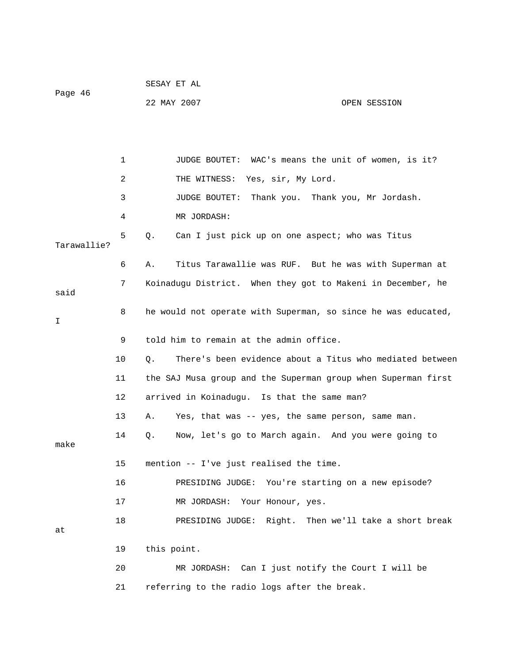| Page 46 | SESAY ET AL |              |
|---------|-------------|--------------|
|         | 22 MAY 2007 | OPEN SESSION |

 1 JUDGE BOUTET: WAC's means the unit of women, is it? 2 THE WITNESS: Yes, sir, My Lord. 3 JUDGE BOUTET: Thank you. Thank you, Mr Jordash. 5 Q. Can I just pick up on one aspect; who was Titus 6 A. Titus Tarawallie was RUF. But he was with Superman at 7 Koinadugu District. When they got to Makeni in December, he 9 told him to remain at the admin office. 11 the SAJ Musa group and the Superman group when Superman first 12 arrived in Koinadugu. Is that the same man? 14 Q. Now, let's go to March again. And you were going to 17 MR JORDASH: Your Honour, yes. 18 PRESIDING JUDGE: Right. Then we'll take a short break 21 referring to the radio logs after the break. 4 MR JORDASH: Tarawallie? said 8 he would not operate with Superman, so since he was educated, I 10 Q. There's been evidence about a Titus who mediated between 13 A. Yes, that was -- yes, the same person, same man. make 15 mention -- I've just realised the time. 16 PRESIDING JUDGE: You're starting on a new episode? at 19 this point. 20 MR JORDASH: Can I just notify the Court I will be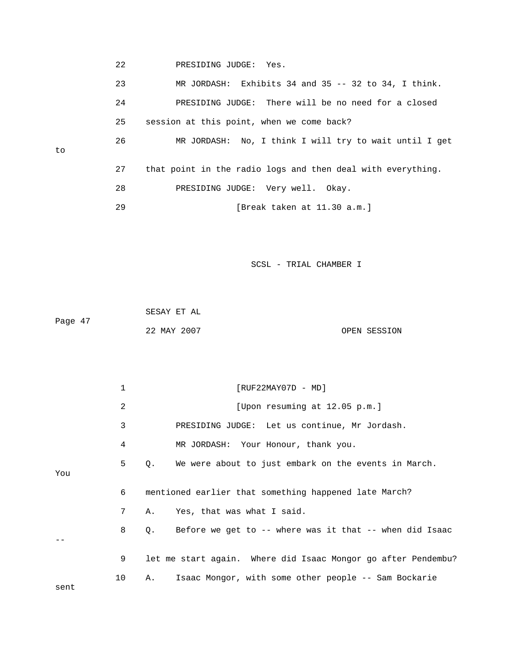22 PRESIDING JUDGE: Yes.

to

- 23 MR JORDASH: Exhibits 34 and 35 -- 32 to 34, I think. 24 PRESIDING JUDGE: There will be no need for a closed 25 session at this point, when we come back? 26 MR JORDASH: No, I think I will try to wait until I get 27 that point in the radio logs and then deal with everything. 28 PRESIDING JUDGE: Very well. Okay.
	- 29 [Break taken at 11.30 a.m.]

|         | SESAY ET AL |              |
|---------|-------------|--------------|
| Page 47 |             |              |
|         | 22 MAY 2007 | OPEN SESSION |

|      | $\mathbf{1}$ | $[RUF22MAY07D - MD]$                                          |
|------|--------------|---------------------------------------------------------------|
|      | 2            | [Upon resuming at 12.05 p.m.]                                 |
|      | 3            | PRESIDING JUDGE: Let us continue, Mr Jordash.                 |
|      | 4            | MR JORDASH: Your Honour, thank you.                           |
| You  | 5            | Q. We were about to just embark on the events in March.       |
|      | 6            | mentioned earlier that something happened late March?         |
|      | 7            | A. Yes, that was what I said.                                 |
|      | 8            | Q. Before we get to -- where was it that -- when did Isaac    |
|      | 9            | let me start again. Where did Isaac Mongor go after Pendembu? |
| sent | 10           | Isaac Mongor, with some other people -- Sam Bockarie<br>A.,   |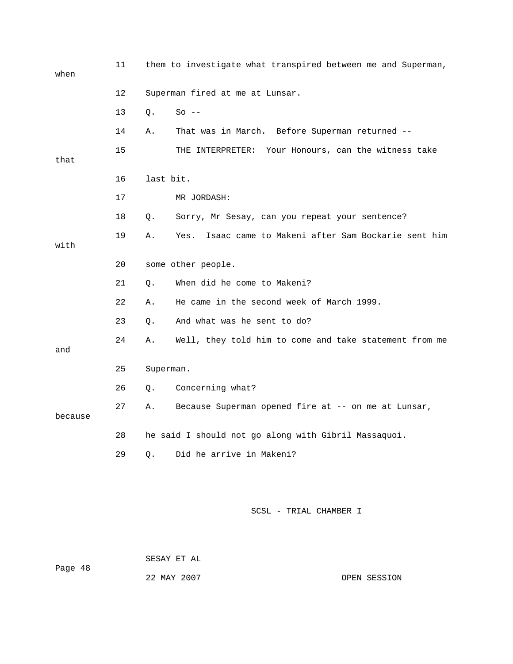| when    | 11 | them to investigate what transpired between me and Superman,   |
|---------|----|----------------------------------------------------------------|
|         | 12 | Superman fired at me at Lunsar.                                |
|         | 13 | Q.<br>$So --$                                                  |
|         | 14 | That was in March. Before Superman returned --<br>Α.           |
| that    | 15 | Your Honours, can the witness take<br>THE INTERPRETER:         |
|         | 16 | last bit.                                                      |
|         | 17 | MR JORDASH:                                                    |
|         | 18 | Sorry, Mr Sesay, can you repeat your sentence?<br>Q.           |
| with    | 19 | Isaac came to Makeni after Sam Bockarie sent him<br>Α.<br>Yes. |
|         | 20 | some other people.                                             |
|         | 21 | When did he come to Makeni?<br>Q.                              |
|         | 22 | He came in the second week of March 1999.<br>Α.                |
|         | 23 | And what was he sent to do?<br>Q.                              |
| and     | 24 | Well, they told him to come and take statement from me<br>Α.   |
|         | 25 | Superman.                                                      |
|         | 26 | Concerning what?<br>Q.                                         |
| because | 27 | Because Superman opened fire at -- on me at Lunsar,<br>Α.      |
|         | 28 | he said I should not go along with Gibril Massaquoi.           |
|         | 29 | Did he arrive in Makeni?<br>О.                                 |

Page 48 22 MAY 2007 OPEN SESSION SESAY ET AL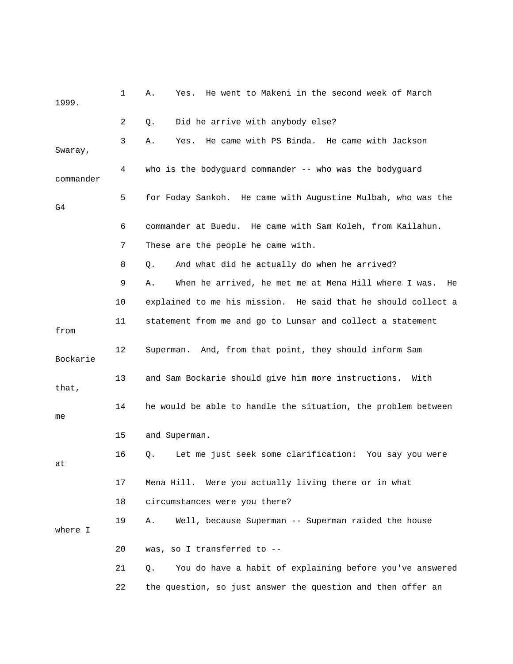| 1999.     | 1  | He went to Makeni in the second week of March<br>Α.<br>Yes.      |
|-----------|----|------------------------------------------------------------------|
|           | 2  | Did he arrive with anybody else?<br>Q.                           |
| Swaray,   | 3  | He came with PS Binda. He came with Jackson<br>Α.<br>Yes.        |
| commander | 4  | who is the bodyguard commander -- who was the bodyguard          |
| G4        | 5  | for Foday Sankoh. He came with Augustine Mulbah, who was the     |
|           | 6  | commander at Buedu. He came with Sam Koleh, from Kailahun.       |
|           | 7  | These are the people he came with.                               |
|           | 8  | And what did he actually do when he arrived?<br>Q.               |
|           | 9  | When he arrived, he met me at Mena Hill where I was.<br>Α.<br>He |
|           | 10 | explained to me his mission. He said that he should collect a    |
| from      | 11 | statement from me and go to Lunsar and collect a statement       |
| Bockarie  | 12 | Superman. And, from that point, they should inform Sam           |
| that,     | 13 | and Sam Bockarie should give him more instructions.<br>With      |
| me        | 14 | he would be able to handle the situation, the problem between    |
|           | 15 | and Superman.                                                    |
| at        | 16 | Let me just seek some clarification: You say you were<br>Q.      |
|           | 17 | Mena Hill. Were you actually living there or in what             |
|           | 18 | circumstances were you there?                                    |
| where I   | 19 | Well, because Superman -- Superman raided the house<br>Α.        |
|           | 20 | was, so I transferred to --                                      |
|           | 21 | You do have a habit of explaining before you've answered<br>Q.   |
|           | 22 | the question, so just answer the question and then offer an      |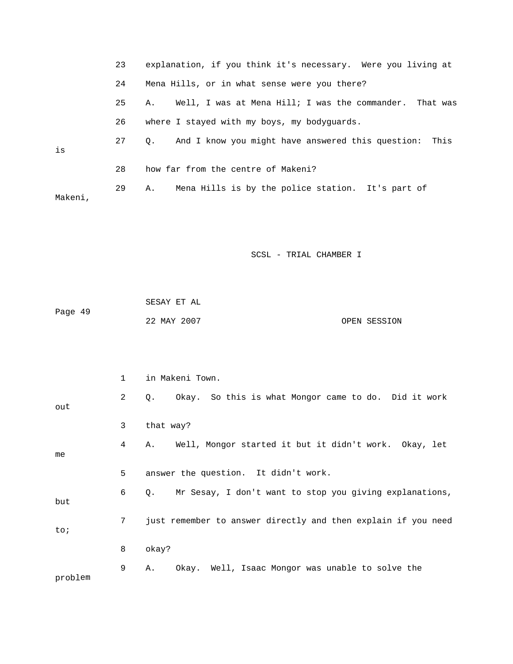|         | 23 | explanation, if you think it's necessary. Were you living at    |
|---------|----|-----------------------------------------------------------------|
|         | 24 | Mena Hills, or in what sense were you there?                    |
|         | 25 | Well, I was at Mena Hill; I was the commander. That was<br>Α.   |
|         | 26 | where I stayed with my boys, my bodyguards.                     |
| is      | 27 | And I know you might have answered this question:<br>This<br>Q. |
|         | 28 | how far from the centre of Makeni?                              |
| Makeni, | 29 | Mena Hills is by the police station. It's part of<br>Α.         |
|         |    |                                                                 |
|         |    | SCSL - TRIAL CHAMBER I                                          |
|         |    |                                                                 |
|         |    | SESAY ET AL                                                     |
| Page 49 |    | 22 MAY 2007<br>OPEN SESSION                                     |
|         |    |                                                                 |
|         |    |                                                                 |
|         | 1  | in Makeni Town.                                                 |
| out     | 2  | Okay. So this is what Mongor came to do. Did it work<br>Q.      |
|         | 3  | that way?                                                       |
| me      | 4  | Well, Mongor started it but it didn't work. Okay, let<br>Α.     |
|         | 5  | answer the question. It didn't work.                            |
| but     | 6  | Mr Sesay, I don't want to stop you giving explanations,<br>Q.   |
| to;     | 7  | just remember to answer directly and then explain if you need   |
|         | 8  | okay?                                                           |
| problem | 9  | Okay. Well, Isaac Mongor was unable to solve the<br>Α.          |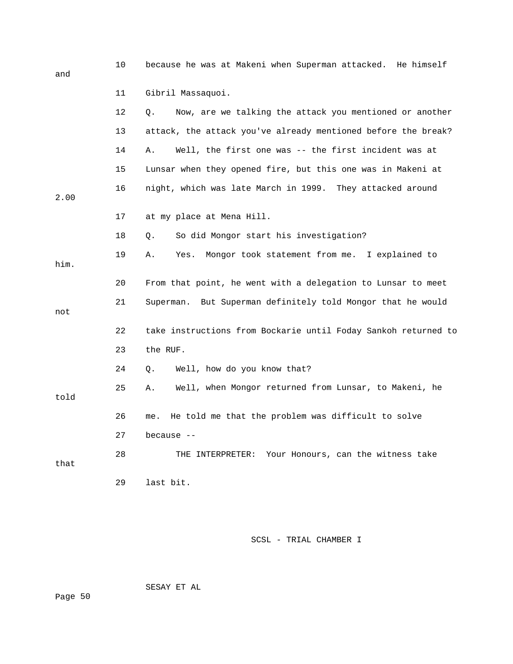| and  | 10 | because he was at Makeni when Superman attacked. He himself    |
|------|----|----------------------------------------------------------------|
|      | 11 | Gibril Massaquoi.                                              |
|      | 12 | Now, are we talking the attack you mentioned or another<br>О.  |
|      | 13 | attack, the attack you've already mentioned before the break?  |
|      | 14 | Well, the first one was -- the first incident was at<br>Α.     |
|      | 15 | Lunsar when they opened fire, but this one was in Makeni at    |
| 2.00 | 16 | night, which was late March in 1999. They attacked around      |
|      | 17 | at my place at Mena Hill.                                      |
|      | 18 | So did Mongor start his investigation?<br>Q.                   |
| him. | 19 | Mongor took statement from me. I explained to<br>Α.<br>Yes.    |
|      | 20 | From that point, he went with a delegation to Lunsar to meet   |
| not  | 21 | Superman. But Superman definitely told Mongor that he would    |
|      | 22 | take instructions from Bockarie until Foday Sankoh returned to |
|      | 23 | the RUF.                                                       |
|      | 24 | Well, how do you know that?<br>Q.                              |
| told | 25 | Well, when Mongor returned from Lunsar, to Makeni, he<br>Α.    |
|      | 26 | He told me that the problem was difficult to solve<br>me.      |
|      | 27 | because $-$                                                    |
| that | 28 | Your Honours, can the witness take<br>THE INTERPRETER:         |
|      | 29 | last bit.                                                      |

SESAY ET AL

Page 50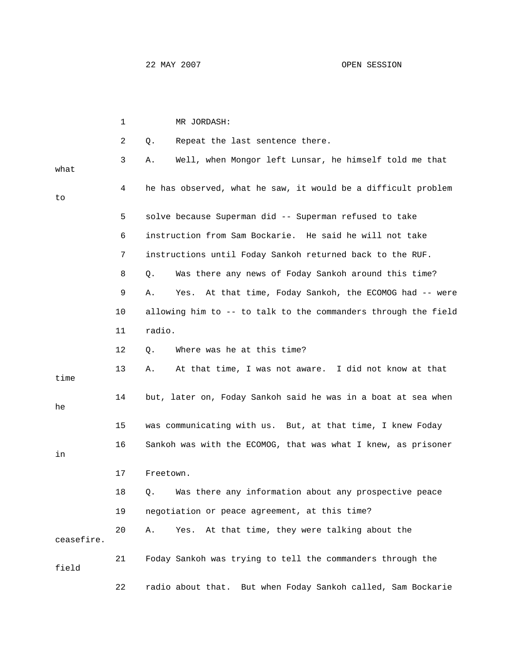|            | 1  | MR JORDASH:                                                      |
|------------|----|------------------------------------------------------------------|
|            | 2  | Repeat the last sentence there.<br>Q.                            |
| what       | 3  | Well, when Mongor left Lunsar, he himself told me that<br>Α.     |
| to         | 4  | he has observed, what he saw, it would be a difficult problem    |
|            | 5  | solve because Superman did -- Superman refused to take           |
|            | 6  | instruction from Sam Bockarie. He said he will not take          |
|            | 7  | instructions until Foday Sankoh returned back to the RUF.        |
|            | 8  | Was there any news of Foday Sankoh around this time?<br>Q.       |
|            | 9  | At that time, Foday Sankoh, the ECOMOG had -- were<br>Α.<br>Yes. |
|            | 10 | allowing him to -- to talk to the commanders through the field   |
|            | 11 | radio.                                                           |
|            | 12 | Where was he at this time?<br>Q.                                 |
| time       | 13 | At that time, I was not aware. I did not know at that<br>Α.      |
| he         | 14 | but, later on, Foday Sankoh said he was in a boat at sea when    |
|            | 15 | was communicating with us. But, at that time, I knew Foday       |
| in         | 16 | Sankoh was with the ECOMOG, that was what I knew, as prisoner    |
|            | 17 | Freetown.                                                        |
|            | 18 | Was there any information about any prospective peace<br>Q.      |
|            | 19 | negotiation or peace agreement, at this time?                    |
| ceasefire. | 20 | At that time, they were talking about the<br>Α.<br>Yes.          |
| field      | 21 | Foday Sankoh was trying to tell the commanders through the       |
|            | 22 | radio about that. But when Foday Sankoh called, Sam Bockarie     |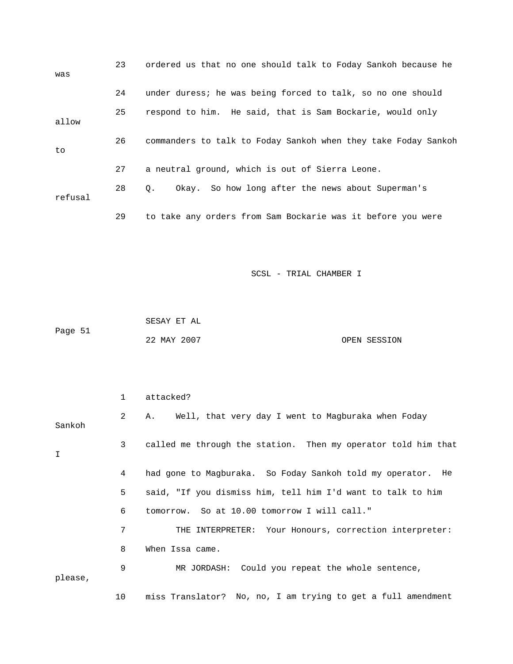| was     | 23 | ordered us that no one should talk to Foday Sankoh because he  |
|---------|----|----------------------------------------------------------------|
|         | 24 | under duress; he was being forced to talk, so no one should    |
| allow   | 25 | respond to him. He said, that is Sam Bockarie, would only      |
| to      | 26 | commanders to talk to Foday Sankoh when they take Foday Sankoh |
|         | 27 | a neutral ground, which is out of Sierra Leone.                |
| refusal | 28 | Okay. So how long after the news about Superman's<br>$\circ$ . |
|         | 29 | to take any orders from Sam Bockarie was it before you were    |

|         | SESAY ET AL |              |
|---------|-------------|--------------|
| Page 51 |             |              |
|         | 22 MAY 2007 | OPEN SESSION |

|         | 1              | attacked?                                                     |  |  |  |
|---------|----------------|---------------------------------------------------------------|--|--|--|
| Sankoh  | 2              | Well, that very day I went to Magburaka when Foday<br>Α.      |  |  |  |
| I       | 3 <sup>7</sup> | called me through the station. Then my operator told him that |  |  |  |
|         | 4              | had gone to Magburaka. So Foday Sankoh told my operator. He   |  |  |  |
|         | 5              | said, "If you dismiss him, tell him I'd want to talk to him   |  |  |  |
|         | 6              | tomorrow. So at 10.00 tomorrow I will call."                  |  |  |  |
|         | 7              | THE INTERPRETER: Your Honours, correction interpreter:        |  |  |  |
|         | 8              | When Issa came.                                               |  |  |  |
| please, | 9              | MR JORDASH: Could you repeat the whole sentence,              |  |  |  |
|         | 10             | miss Translator? No, no, I am trying to get a full amendment  |  |  |  |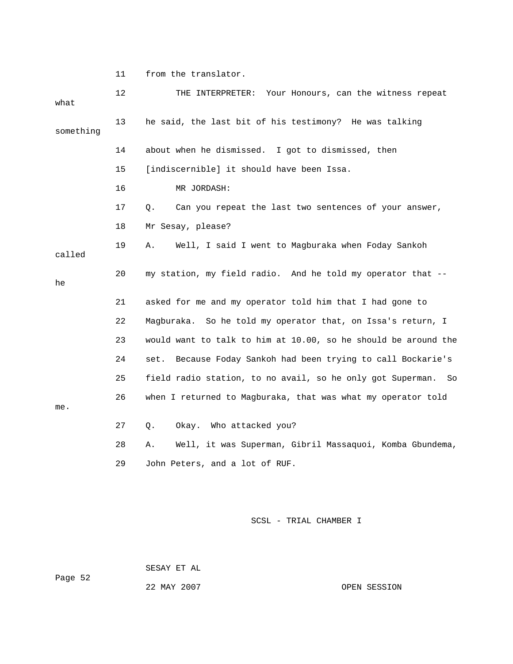11 from the translator.

| what      | 12 | THE INTERPRETER: Your Honours, can the witness repeat            |
|-----------|----|------------------------------------------------------------------|
| something | 13 | he said, the last bit of his testimony? He was talking           |
|           | 14 | about when he dismissed. I got to dismissed, then                |
|           | 15 | [indiscernible] it should have been Issa.                        |
|           | 16 | MR JORDASH:                                                      |
|           | 17 | Can you repeat the last two sentences of your answer,<br>Q.      |
|           | 18 | Mr Sesay, please?                                                |
| called    | 19 | Well, I said I went to Magburaka when Foday Sankoh<br>Α.         |
| he        | 20 | my station, my field radio. And he told my operator that --      |
|           | 21 | asked for me and my operator told him that I had gone to         |
|           | 22 | Magburaka. So he told my operator that, on Issa's return, I      |
|           | 23 | would want to talk to him at 10.00, so he should be around the   |
|           | 24 | Because Foday Sankoh had been trying to call Bockarie's<br>set.  |
|           | 25 | field radio station, to no avail, so he only got Superman.<br>So |
| me.       | 26 | when I returned to Magburaka, that was what my operator told     |
|           | 27 | Okay. Who attacked you?<br>Q.                                    |
|           | 28 | Well, it was Superman, Gibril Massaquoi, Komba Gbundema,<br>Α.   |
|           | 29 | John Peters, and a lot of RUF.                                   |
|           |    |                                                                  |

SCSL - TRIAL CHAMBER I

 SESAY ET AL Page 52 22 MAY 2007

OPEN SESSION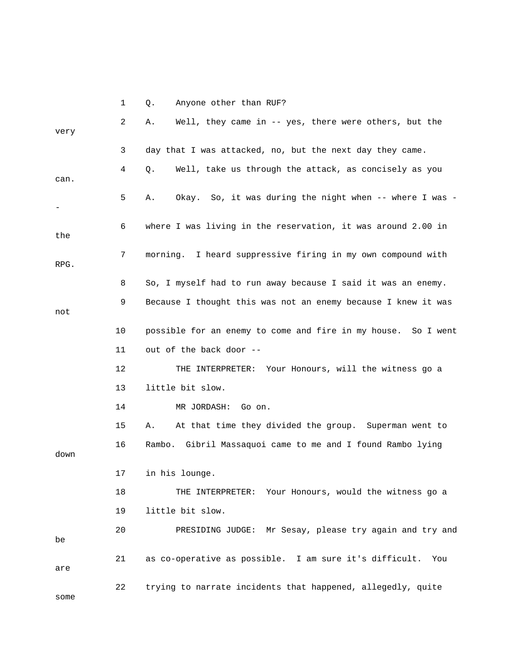|      | $\mathbf 1$ | Anyone other than RUF?<br>Q.                                  |
|------|-------------|---------------------------------------------------------------|
| very | 2           | Well, they came in $-$ yes, there were others, but the<br>Α.  |
|      | 3           | day that I was attacked, no, but the next day they came.      |
| can. | 4           | Q.<br>Well, take us through the attack, as concisely as you   |
|      | 5           | Okay. So, it was during the night when -- where I was -<br>Α. |
| the  | 6           | where I was living in the reservation, it was around 2.00 in  |
| RPG. | 7           | morning. I heard suppressive firing in my own compound with   |
|      | 8           | So, I myself had to run away because I said it was an enemy.  |
| not  | 9           | Because I thought this was not an enemy because I knew it was |
|      | 10          | possible for an enemy to come and fire in my house. So I went |
|      | 11          | out of the back door --                                       |
|      | 12          | THE INTERPRETER: Your Honours, will the witness go a          |
|      | 13          | little bit slow.                                              |
|      | 14          | MR JORDASH:<br>Go on.                                         |
|      | 15          | At that time they divided the group. Superman went to<br>Α.   |
| down | 16          | Rambo. Gibril Massaquoi came to me and I found Rambo lying    |
|      | 17          | in his lounge.                                                |
|      | 18          | THE INTERPRETER: Your Honours, would the witness go a         |
|      | 19          | little bit slow.                                              |
| be   | 20          | PRESIDING JUDGE: Mr Sesay, please try again and try and       |
| are  | 21          | as co-operative as possible. I am sure it's difficult.<br>You |
| some | 22          | trying to narrate incidents that happened, allegedly, quite   |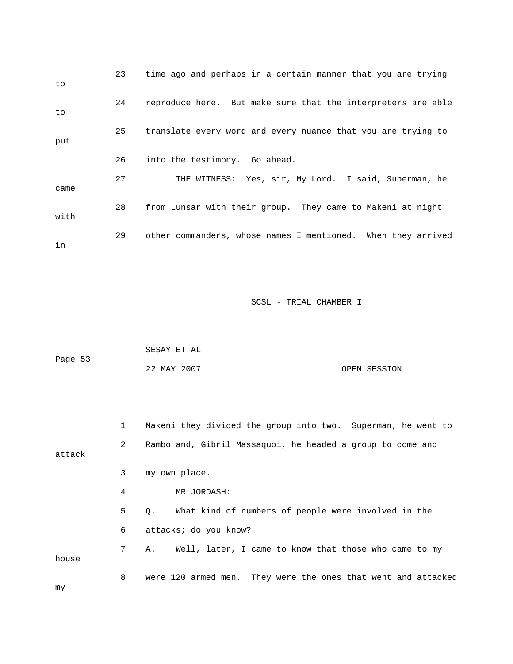| to   | 23 | time ago and perhaps in a certain manner that you are trying |
|------|----|--------------------------------------------------------------|
| to   | 24 | reproduce here. But make sure that the interpreters are able |
| put  | 25 | translate every word and every nuance that you are trying to |
|      | 26 | into the testimony. Go ahead.                                |
| came | 27 | THE WITNESS: Yes, sir, My Lord. I said, Superman, he         |
| with | 28 | from Lunsar with their group. They came to Makeni at night   |
| in   | 29 | other commanders, whose names I mentioned. When they arrived |

|         | SESAY ET AL |              |
|---------|-------------|--------------|
| Page 53 |             |              |
|         | 22 MAY 2007 | OPEN SESSION |

1 Makeni they divided the group into two. Superman, he went to 2 Rambo and, Gibril Massaquoi, he headed a group to come and attack 3 my own place. 4 MR JORDASH: 5 Q. What kind of numbers of people were involved in the 6 attacks; do you know? 7 A. Well, later, I came to know that those who came to my 8 were 120 armed men. They were the ones that went and attacked house my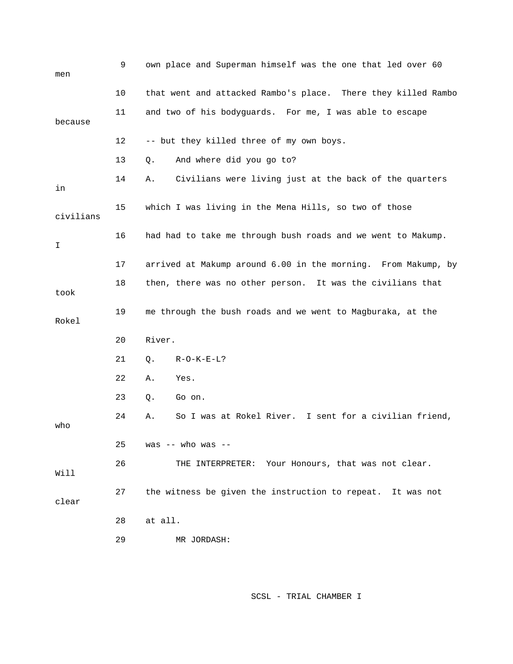| men       | 9  | own place and Superman himself was the one that led over 60   |
|-----------|----|---------------------------------------------------------------|
|           | 10 | that went and attacked Rambo's place. There they killed Rambo |
| because   | 11 | and two of his bodyguards. For me, I was able to escape       |
|           | 12 | -- but they killed three of my own boys.                      |
|           | 13 | And where did you go to?<br>Q.                                |
| in        | 14 | Civilians were living just at the back of the quarters<br>Α.  |
| civilians | 15 | which I was living in the Mena Hills, so two of those         |
| I         | 16 | had had to take me through bush roads and we went to Makump.  |
|           | 17 | arrived at Makump around 6.00 in the morning. From Makump, by |
| took      | 18 | then, there was no other person. It was the civilians that    |
| Rokel     | 19 | me through the bush roads and we went to Magburaka, at the    |
|           | 20 | River.                                                        |
|           | 21 | $R-O-K-E-L?$<br>Q.                                            |
|           | 22 | Α.<br>Yes.                                                    |
|           | 23 |                                                               |
|           |    | Q.<br>Go on.                                                  |
| who       | 24 | So I was at Rokel River. I sent for a civilian friend,<br>Α.  |
|           | 25 | was $--$ who was $--$                                         |
| Will      | 26 | THE INTERPRETER: Your Honours, that was not clear.            |
| clear     | 27 | the witness be given the instruction to repeat. It was not    |
|           | 28 | at all.                                                       |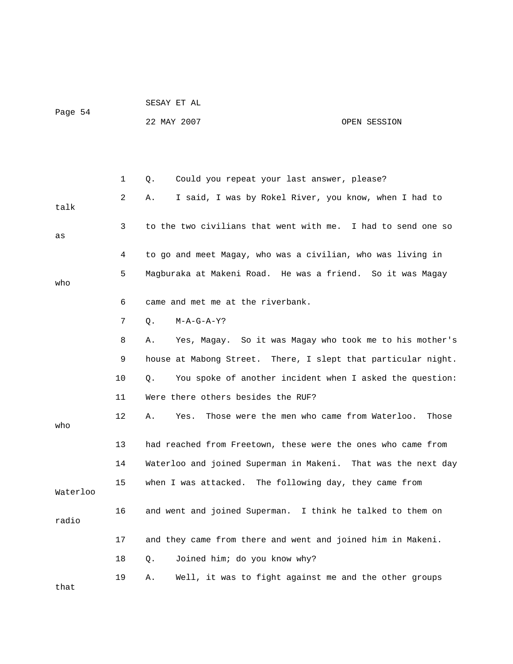| Page 54  |    | SESAY ET AL                                                       |
|----------|----|-------------------------------------------------------------------|
|          |    | 22 MAY 2007<br>OPEN SESSION                                       |
|          |    |                                                                   |
|          |    |                                                                   |
|          | 1  | Could you repeat your last answer, please?<br>Q.                  |
| talk     | 2  | I said, I was by Rokel River, you know, when I had to<br>Α.       |
| as       | 3  | to the two civilians that went with me. I had to send one so      |
|          | 4  | to go and meet Magay, who was a civilian, who was living in       |
| who      | 5  | Magburaka at Makeni Road. He was a friend. So it was Magay        |
|          | 6  | came and met me at the riverbank.                                 |
|          | 7  | Q.<br>$M-A-G-A-Y$ ?                                               |
|          | 8  | Yes, Magay. So it was Magay who took me to his mother's<br>Α.     |
|          | 9  | house at Mabong Street. There, I slept that particular night.     |
|          | 10 | You spoke of another incident when I asked the question:<br>Q.    |
|          | 11 | Were there others besides the RUF?                                |
| who      | 12 | Those were the men who came from Waterloo.<br>Α.<br>Yes.<br>Those |
|          | 13 | had reached from Freetown, these were the ones who came from      |
|          | 14 | Waterloo and joined Superman in Makeni. That was the next day     |
| Waterloo | 15 | when I was attacked. The following day, they came from            |
| radio    | 16 | and went and joined Superman. I think he talked to them on        |
|          | 17 | and they came from there and went and joined him in Makeni.       |
|          | 18 | Joined him; do you know why?<br>Q.                                |
|          | 19 | Well, it was to fight against me and the other groups<br>Α.       |

that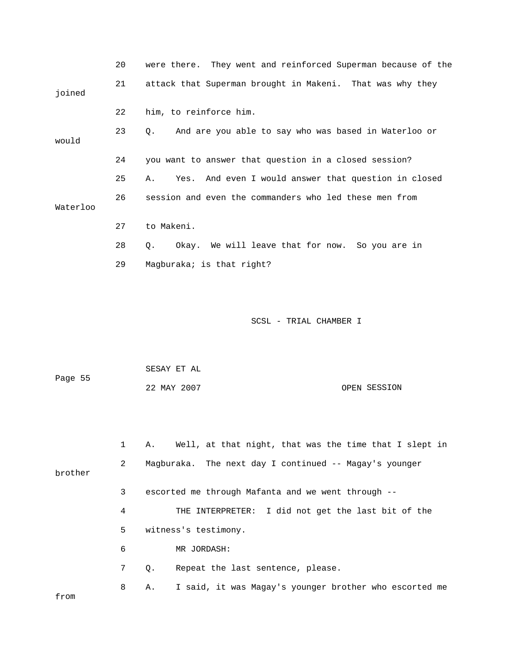|          | 20 | were there. They went and reinforced Superman because of the |
|----------|----|--------------------------------------------------------------|
| joined   | 21 | attack that Superman brought in Makeni. That was why they    |
|          | 22 | him, to reinforce him.                                       |
| would    | 23 | And are you able to say who was based in Waterloo or<br>Q.   |
|          | 24 | you want to answer that question in a closed session?        |
|          | 25 | Yes. And even I would answer that question in closed<br>Α.   |
| Waterloo | 26 | session and even the commanders who led these men from       |
|          | 27 | to Makeni.                                                   |
|          | 28 | Okay. We will leave that for now. So you are in<br>Q.        |
|          | 29 | Magburaka; is that right?                                    |

| Page 55 | SESAY ET AL |              |
|---------|-------------|--------------|
|         | 22 MAY 2007 | OPEN SESSION |

|         |   | Α. | Well, at that night, that was the time that I slept in |
|---------|---|----|--------------------------------------------------------|
| brother | 2 |    | Magburaka. The next day I continued -- Magay's younger |
|         | 3 |    | escorted me through Mafanta and we went through --     |
|         | 4 |    | THE INTERPRETER: I did not get the last bit of the     |
|         | 5 |    | witness's testimony.                                   |
|         | 6 |    | MR JORDASH:                                            |
|         | 7 | Q. | Repeat the last sentence, please.                      |
| from    | 8 | Α. | I said, it was Magay's younger brother who escorted me |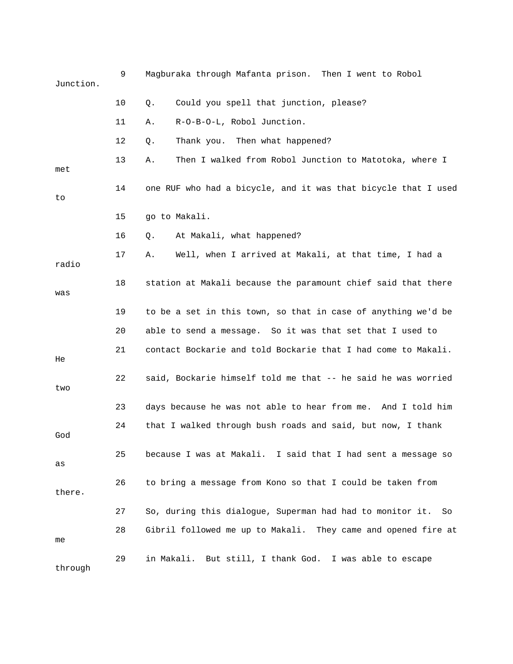| Junction. | 9  | Magburaka through Mafanta prison. Then I went to Robol          |
|-----------|----|-----------------------------------------------------------------|
|           | 10 | Could you spell that junction, please?<br>Q.                    |
|           | 11 | R-O-B-O-L, Robol Junction.<br>Α.                                |
|           | 12 | Thank you. Then what happened?<br>Q.                            |
| met       | 13 | Then I walked from Robol Junction to Matotoka, where I<br>Α.    |
| to        | 14 | one RUF who had a bicycle, and it was that bicycle that I used  |
|           | 15 | go to Makali.                                                   |
|           | 16 | At Makali, what happened?<br>Q.                                 |
| radio     | 17 | Well, when I arrived at Makali, at that time, I had a<br>Α.     |
| was       | 18 | station at Makali because the paramount chief said that there   |
|           | 19 | to be a set in this town, so that in case of anything we'd be   |
|           | 20 | able to send a message. So it was that set that I used to       |
| He        | 21 | contact Bockarie and told Bockarie that I had come to Makali.   |
| two       | 22 | said, Bockarie himself told me that -- he said he was worried   |
|           | 23 | days because he was not able to hear from me. And I told him    |
| God       | 24 | that I walked through bush roads and said, but now, I thank     |
| as        | 25 | because I was at Makali. I said that I had sent a message so    |
| there.    | 26 | to bring a message from Kono so that I could be taken from      |
|           | 27 | So, during this dialogue, Superman had had to monitor it.<br>So |
| me        | 28 | Gibril followed me up to Makali. They came and opened fire at   |
| through   | 29 | in Makali.<br>But still, I thank God. I was able to escape      |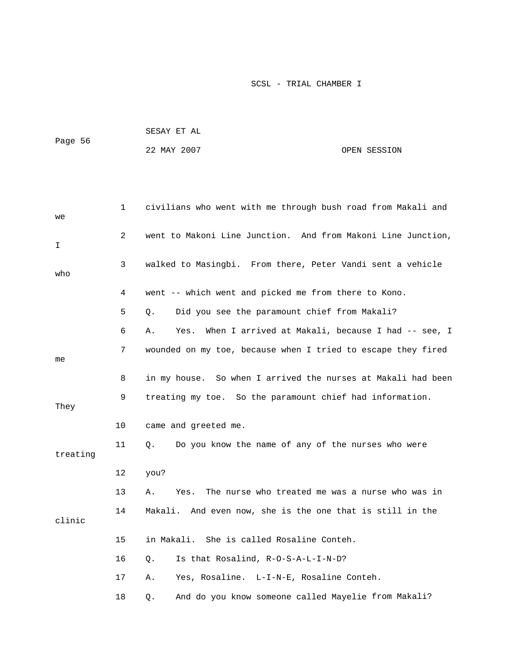| Page 56 | SESAY ET AL |              |
|---------|-------------|--------------|
|         | 22 MAY 2007 | OPEN SESSION |

| we       | 1              | civilians who went with me through bush road from Makali and    |
|----------|----------------|-----------------------------------------------------------------|
| I.       | $\overline{a}$ | went to Makoni Line Junction. And from Makoni Line Junction,    |
| who      | 3              | walked to Masingbi. From there, Peter Vandi sent a vehicle      |
|          | 4              | went -- which went and picked me from there to Kono.            |
|          | 5              | Did you see the paramount chief from Makali?<br>Q.              |
|          | 6              | When I arrived at Makali, because I had -- see, I<br>Α.<br>Yes. |
| me       | 7              | wounded on my toe, because when I tried to escape they fired    |
|          | 8              | in my house. So when I arrived the nurses at Makali had been    |
| They     | 9              | treating my toe. So the paramount chief had information.        |
|          | 10             | came and greeted me.                                            |
| treating | 11             | Do you know the name of any of the nurses who were<br>Q.        |
|          | 12             | you?                                                            |
|          | 13             | The nurse who treated me was a nurse who was in<br>Α.<br>Yes.   |
| clinic   | 14             | Makali. And even now, she is the one that is still in the       |
|          | 15             | She is called Rosaline Conteh.<br>in Makali.                    |
|          | 16             | Is that Rosalind, R-O-S-A-L-I-N-D?<br>Q.                        |
|          | 17             | Yes, Rosaline. L-I-N-E, Rosaline Conteh.<br>Α.                  |
|          | 18             | And do you know someone called Mayelie from Makali?<br>Q.       |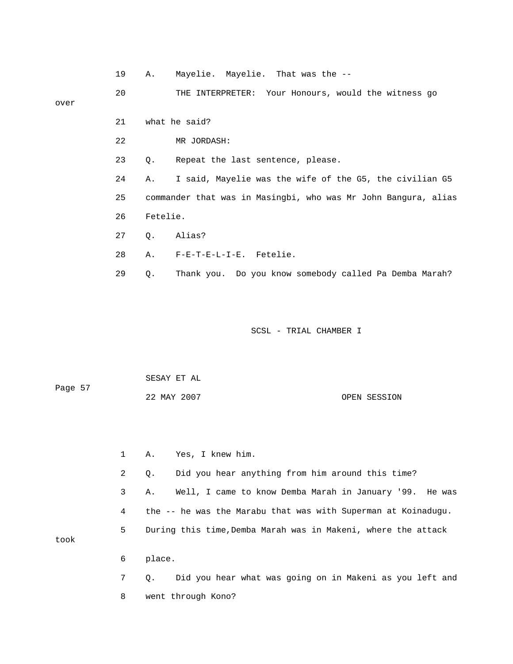|      | 19 | Α.        | Mayelie. Mayelie. That was the --                              |
|------|----|-----------|----------------------------------------------------------------|
| over | 20 |           | THE INTERPRETER: Your Honours, would the witness go            |
|      | 21 |           | what he said?                                                  |
|      | 22 |           | MR JORDASH:                                                    |
|      | 23 | $\circ$ . | Repeat the last sentence, please.                              |
|      | 24 | Α.        | I said, Mayelie was the wife of the G5, the civilian G5        |
|      | 25 |           | commander that was in Masingbi, who was Mr John Bangura, alias |
|      | 26 | Fetelie.  |                                                                |
|      | 27 |           | Q. Alias?                                                      |
|      | 28 |           | A. F-E-T-E-L-I-E. Fetelie.                                     |

29 Q. Thank you. Do you know somebody called Pa Demba Marah?

SCSL - TRIAL CHAMBER I

| Page 57 | SESAY ET AL |              |
|---------|-------------|--------------|
|         | 22 MAY 2007 | OPEN SESSION |

|      | $\mathbf{1}$ | Yes, I knew him.<br>Α.                                         |
|------|--------------|----------------------------------------------------------------|
|      | 2            | Did you hear anything from him around this time?<br>Q.         |
|      | 3            | Well, I came to know Demba Marah in January '99. He was<br>Α.  |
|      | 4            | the -- he was the Marabu that was with Superman at Koinadugu.  |
| took | 5            | During this time, Demba Marah was in Makeni, where the attack  |
|      | 6            | place.                                                         |
|      | $7^{\circ}$  | Did you hear what was going on in Makeni as you left and<br>0. |
|      | 8            | went through Kono?                                             |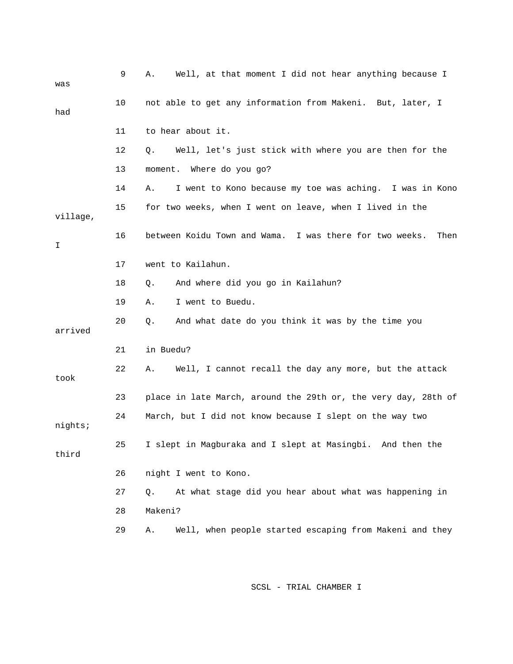| was      | 9  | Well, at that moment I did not hear anything because I<br>Α.    |
|----------|----|-----------------------------------------------------------------|
| had      | 10 | not able to get any information from Makeni. But, later, I      |
|          | 11 | to hear about it.                                               |
|          | 12 | Well, let's just stick with where you are then for the<br>Q.    |
|          | 13 | moment. Where do you go?                                        |
|          | 14 | I went to Kono because my toe was aching. I was in Kono<br>Α.   |
| village, | 15 | for two weeks, when I went on leave, when I lived in the        |
| I        | 16 | between Koidu Town and Wama. I was there for two weeks.<br>Then |
|          | 17 | went to Kailahun.                                               |
|          | 18 | And where did you go in Kailahun?<br>Q.                         |
|          | 19 | I went to Buedu.<br>Α.                                          |
| arrived  | 20 | And what date do you think it was by the time you<br>Q.         |
|          | 21 | in Buedu?                                                       |
| took     | 22 | Well, I cannot recall the day any more, but the attack<br>Α.    |
|          | 23 | place in late March, around the 29th or, the very day, 28th of  |
| nights;  | 24 | March, but I did not know because I slept on the way two        |
| third    | 25 | I slept in Magburaka and I slept at Masingbi. And then the      |
|          | 26 | night I went to Kono.                                           |
|          | 27 | At what stage did you hear about what was happening in<br>Q.    |
|          | 28 | Makeni?                                                         |
|          | 29 | Well, when people started escaping from Makeni and they<br>Α.   |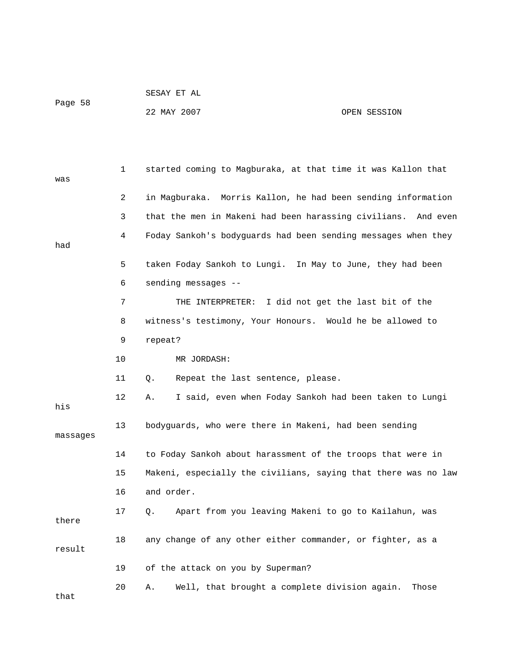| Page 58 | SESAY ET AL |              |
|---------|-------------|--------------|
|         | 22 MAY 2007 | OPEN SESSION |

| was      | 1  | started coming to Magburaka, at that time it was Kallon that     |
|----------|----|------------------------------------------------------------------|
|          | 2  | in Magburaka.  Morris Kallon, he had been sending information    |
|          | 3  | that the men in Makeni had been harassing civilians.<br>And even |
| had      | 4  | Foday Sankoh's bodyguards had been sending messages when they    |
|          |    |                                                                  |
|          | 5  | taken Foday Sankoh to Lungi. In May to June, they had been       |
|          | 6  | sending messages --                                              |
|          | 7  | THE INTERPRETER:<br>I did not get the last bit of the            |
|          | 8  | witness's testimony, Your Honours. Would he be allowed to        |
|          | 9  | repeat?                                                          |
|          | 10 | MR JORDASH:                                                      |
|          | 11 | Q.<br>Repeat the last sentence, please.                          |
| his      | 12 | I said, even when Foday Sankoh had been taken to Lungi<br>Α.     |
| massages | 13 | bodyguards, who were there in Makeni, had been sending           |
|          | 14 | to Foday Sankoh about harassment of the troops that were in      |
|          | 15 | Makeni, especially the civilians, saying that there was no law   |
|          | 16 | and order.                                                       |
| there    | 17 | Apart from you leaving Makeni to go to Kailahun, was<br>Q.       |
| result   | 18 | any change of any other either commander, or fighter, as a       |
|          | 19 | of the attack on you by Superman?                                |
| that     | 20 | Well, that brought a complete division again.<br>Α.<br>Those     |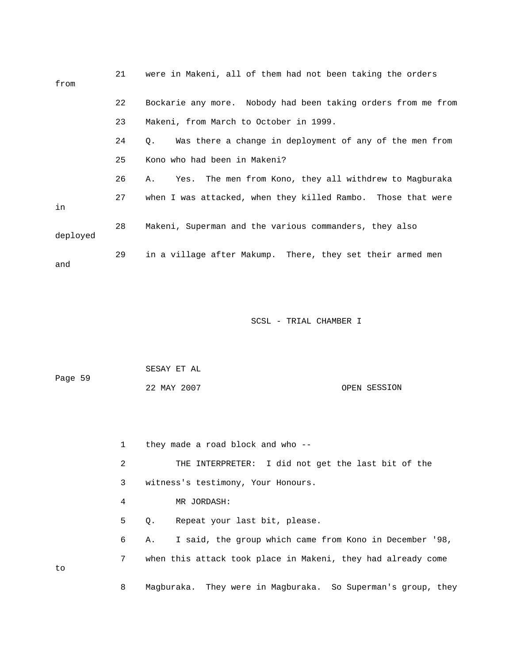| from     | 21 | were in Makeni, all of them had not been taking the orders    |
|----------|----|---------------------------------------------------------------|
|          | 22 | Bockarie any more. Nobody had been taking orders from me from |
|          | 23 | Makeni, from March to October in 1999.                        |
|          | 24 | Was there a change in deployment of any of the men from<br>Q. |
|          | 25 | Kono who had been in Makeni?                                  |
|          | 26 | Yes. The men from Kono, they all withdrew to Magburaka<br>Α.  |
| in       | 27 | when I was attacked, when they killed Rambo. Those that were  |
| deployed | 28 | Makeni, Superman and the various commanders, they also        |
| and      | 29 | in a village after Makump. There, they set their armed men    |

| Page 59 | SESAY ET AL |              |
|---------|-------------|--------------|
|         | 22 MAY 2007 | OPEN SESSION |

|    | 1 | they made a road block and who --                             |
|----|---|---------------------------------------------------------------|
|    | 2 | THE INTERPRETER: I did not get the last bit of the            |
|    | 3 | witness's testimony, Your Honours.                            |
|    | 4 | MR JORDASH:                                                   |
|    | 5 | Repeat your last bit, please.<br>$\circ$ .                    |
|    | 6 | I said, the group which came from Kono in December '98,<br>Α. |
| to | 7 | when this attack took place in Makeni, they had already come  |
|    | 8 | Magburaka. They were in Magburaka. So Superman's group, they  |

to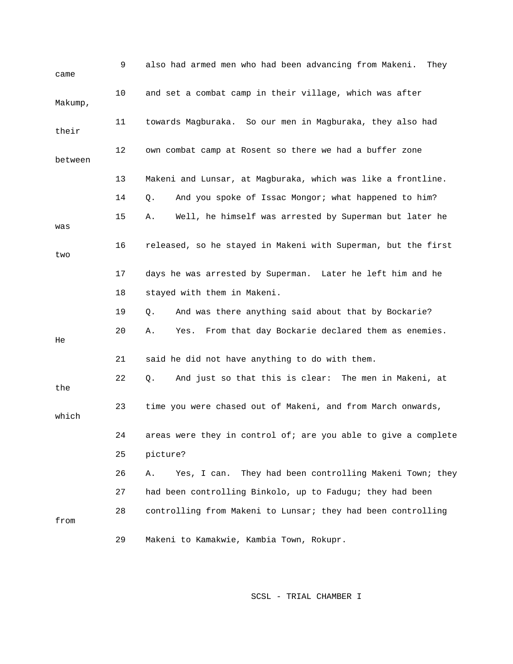| came    | 9  | also had armed men who had been advancing from Makeni.<br>They   |
|---------|----|------------------------------------------------------------------|
| Makump, | 10 | and set a combat camp in their village, which was after          |
| their   | 11 | towards Magburaka. So our men in Magburaka, they also had        |
| between | 12 | own combat camp at Rosent so there we had a buffer zone          |
|         | 13 | Makeni and Lunsar, at Magburaka, which was like a frontline.     |
|         | 14 | And you spoke of Issac Mongor; what happened to him?<br>Q.       |
| was     | 15 | Well, he himself was arrested by Superman but later he<br>Α.     |
| two     | 16 | released, so he stayed in Makeni with Superman, but the first    |
|         | 17 | days he was arrested by Superman. Later he left him and he       |
|         | 18 | stayed with them in Makeni.                                      |
|         | 19 | And was there anything said about that by Bockarie?<br>Q.        |
| He      | 20 | Yes. From that day Bockarie declared them as enemies.<br>Α.      |
|         | 21 | said he did not have anything to do with them.                   |
| the     | 22 | And just so that this is clear: The men in Makeni, at<br>Q.      |
| which   | 23 | time you were chased out of Makeni, and from March onwards,      |
|         | 24 | areas were they in control of; are you able to give a complete   |
|         | 25 | picture?                                                         |
|         | 26 | They had been controlling Makeni Town; they<br>Yes, I can.<br>Α. |
|         | 27 | had been controlling Binkolo, up to Fadugu; they had been        |
| from    | 28 | controlling from Makeni to Lunsar; they had been controlling     |
|         | 29 | Makeni to Kamakwie, Kambia Town, Rokupr.                         |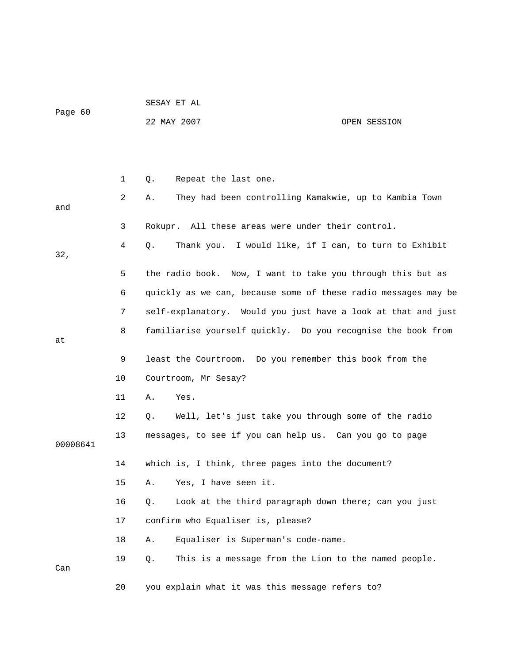|         |  |  | SESAY ET AL |  |
|---------|--|--|-------------|--|
| Page 60 |  |  |             |  |

22 MAY 2007

## OPEN SESSION

|          | $\mathbf 1$    | Repeat the last one.<br>Q.                                     |
|----------|----------------|----------------------------------------------------------------|
| and      | $\overline{2}$ | They had been controlling Kamakwie, up to Kambia Town<br>Α.    |
|          | 3              | Rokupr. All these areas were under their control.              |
| 32,      | 4              | Thank you. I would like, if I can, to turn to Exhibit<br>О.    |
|          | 5              | the radio book. Now, I want to take you through this but as    |
|          | 6              | quickly as we can, because some of these radio messages may be |
|          | 7              | self-explanatory. Would you just have a look at that and just  |
| at       | 8              | familiarise yourself quickly. Do you recognise the book from   |
|          | 9              | least the Courtroom. Do you remember this book from the        |
|          | 10             | Courtroom, Mr Sesay?                                           |
|          | 11             | Α.<br>Yes.                                                     |
|          | 12             | Well, let's just take you through some of the radio<br>Q.      |
| 00008641 | 13             | messages, to see if you can help us. Can you go to page        |
|          | 14             | which is, I think, three pages into the document?              |
|          | 15             | Yes, I have seen it.<br>Α.                                     |
|          | 16             | Look at the third paragraph down there; can you just<br>Q.     |
|          | 17             | confirm who Equaliser is, please?                              |
|          | 18             | Equaliser is Superman's code-name.<br>Α.                       |
| Can      | 19             | This is a message from the Lion to the named people.<br>Q.     |
|          | 20             | you explain what it was this message refers to?                |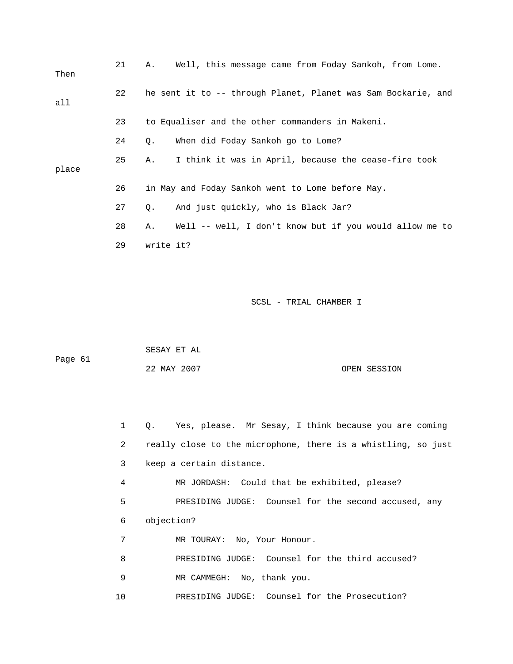| Then  | 21 | Well, this message came from Foday Sankoh, from Lome.<br>Α.   |
|-------|----|---------------------------------------------------------------|
| all   | 22 | he sent it to -- through Planet, Planet was Sam Bockarie, and |
|       | 23 | to Equaliser and the other commanders in Makeni.              |
|       | 24 | When did Foday Sankoh go to Lome?<br>Q.                       |
| place | 25 | I think it was in April, because the cease-fire took<br>Α.    |
|       | 26 | in May and Foday Sankoh went to Lome before May.              |
|       | 27 | And just quickly, who is Black Jar?<br>Q.                     |
|       | 28 | Well -- well, I don't know but if you would allow me to<br>Α. |
|       | 29 | write it?                                                     |

 SESAY ET AL Page 61 22 MAY 2007 OPEN SESSION

2 really close to the microphone, there is a whistling, so just 3 keep a certain distance. 4 MR JORDASH: Could that be exhibited, please? 7 MR TOURAY: No, Your Honour. 8 BRESIDING JUDGE: Counsel for the third accused? 10 PRESIDING JUDGE: Counsel for the Prosecution? 1 Q. Yes, please. Mr Sesay, I think because you are coming 5 PRESIDING JUDGE: Counsel for the second accused, any 6 objection? 9 MR CAMMEGH: No, thank you.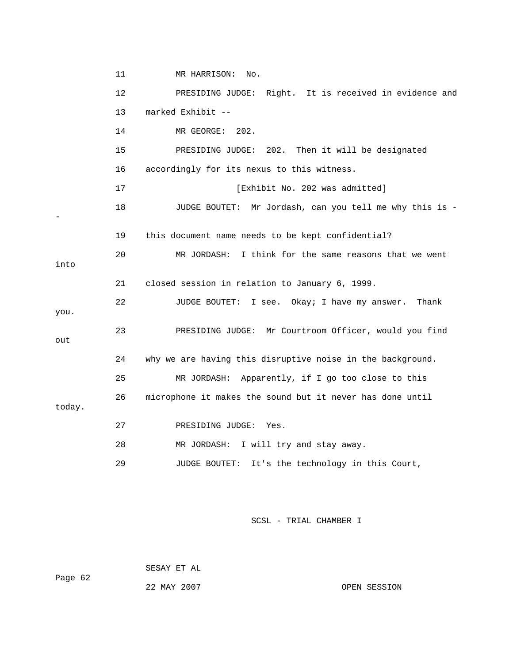|        | 11 | MR HARRISON:<br>No.                                        |
|--------|----|------------------------------------------------------------|
|        | 12 | PRESIDING JUDGE: Right. It is received in evidence and     |
|        | 13 | marked Exhibit --                                          |
|        | 14 | MR GEORGE:<br>202.                                         |
|        | 15 | PRESIDING JUDGE: 202. Then it will be designated           |
|        | 16 | accordingly for its nexus to this witness.                 |
|        | 17 | [Exhibit No. 202 was admitted]                             |
|        | 18 | JUDGE BOUTET: Mr Jordash, can you tell me why this is -    |
|        | 19 | this document name needs to be kept confidential?          |
| into   | 20 | MR JORDASH: I think for the same reasons that we went      |
|        | 21 | closed session in relation to January 6, 1999.             |
| you.   | 22 | I see. Okay; I have my answer.<br>JUDGE BOUTET:<br>Thank   |
| out    | 23 | PRESIDING JUDGE: Mr Courtroom Officer, would you find      |
|        | 24 | why we are having this disruptive noise in the background. |
|        | 25 | MR JORDASH: Apparently, if I go too close to this          |
| today. | 26 | microphone it makes the sound but it never has done until  |
|        | 27 | PRESIDING JUDGE: Yes.                                      |
|        | 28 | I will try and stay away.<br>MR JORDASH:                   |
|        | 29 | It's the technology in this Court,<br>JUDGE BOUTET:        |

|         |  | SESAY ET AL |  |  |
|---------|--|-------------|--|--|
| Page 62 |  |             |  |  |
|         |  | 22 MAY 2007 |  |  |

OPEN SESSION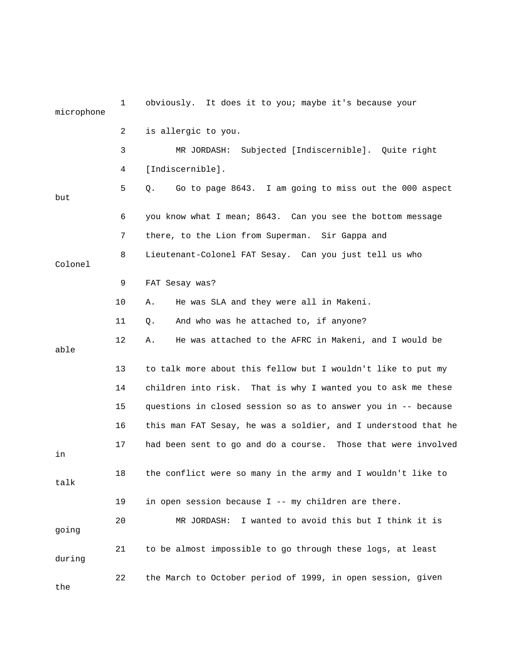| microphone | $\mathbf 1$ | obviously. It does it to you; maybe it's because your          |
|------------|-------------|----------------------------------------------------------------|
|            | 2           | is allergic to you.                                            |
|            | 3           | Subjected [Indiscernible]. Quite right<br>MR JORDASH:          |
|            | 4           | [Indiscernible].                                               |
| but        | 5           | Go to page 8643. I am going to miss out the 000 aspect<br>Q.   |
|            | 6           | you know what I mean; 8643. Can you see the bottom message     |
|            | 7           | there, to the Lion from Superman. Sir Gappa and                |
| Colonel    | 8           | Lieutenant-Colonel FAT Sesay. Can you just tell us who         |
|            | 9           | FAT Sesay was?                                                 |
|            | 10          | He was SLA and they were all in Makeni.<br>Α.                  |
|            | 11          | And who was he attached to, if anyone?<br>Q.                   |
| able       | 12          | He was attached to the AFRC in Makeni, and I would be<br>Α.    |
|            | 13          | to talk more about this fellow but I wouldn't like to put my   |
|            | 14          | children into risk. That is why I wanted you to ask me these   |
|            | 15          | questions in closed session so as to answer you in -- because  |
|            | 16          | this man FAT Sesay, he was a soldier, and I understood that he |
| in         | 17          | had been sent to go and do a course. Those that were involved  |
| talk       | 18          | the conflict were so many in the army and I wouldn't like to   |
|            | 19          | in open session because I -- my children are there.            |
| going      | 20          | I wanted to avoid this but I think it is<br>MR JORDASH:        |
| during     | 21          | to be almost impossible to go through these logs, at least     |
| the        | 22          | the March to October period of 1999, in open session, given    |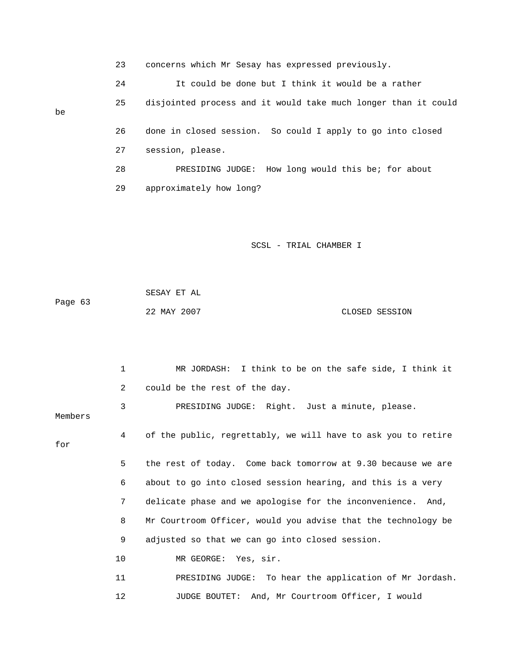23 concerns which Mr Sesay has expressed previously. 24 It could be done but I think it would be a rather 25 disjointed process and it would take much longer than it could 26 done in closed session. So could I apply to go into closed be 27 session, please. 28 PRESIDING JUDGE: How long would this be; for about

29 approximately how long?

SCSL - TRIAL CHAMBER I

| Page 63 | SESAY ET AL |                |
|---------|-------------|----------------|
|         | 22 MAY 2007 | CLOSED SESSION |

 1 MR JORDASH: I think to be on the safe side, I think it 3 PRESIDING JUDGE: Right. Just a minute, please. Members 4 of the public, regrettably, we will have to ask you to retire for 5 the rest of today. Come back tomorrow at 9.30 because we are 6 about to go into closed session hearing, and this is a very 7 delicate phase and we apologise for the inconvenience. And, 9 adjusted so that we can go into closed session. 11 PRESIDING JUDGE: To hear the application of Mr Jordash. 12 JUDGE BOUTET: And, Mr Courtroom Officer, I would 2 could be the rest of the day. 8 Mr Courtroom Officer, would you advise that the technology be 10 MR GEORGE: Yes, sir.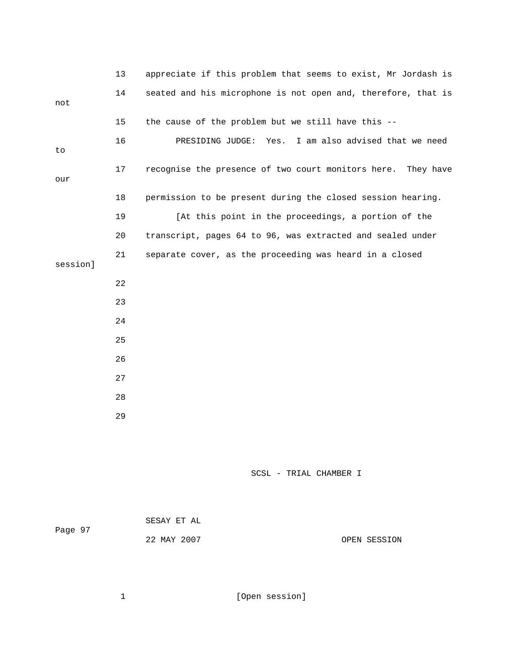|          | 13 | appreciate if this problem that seems to exist, Mr Jordash is   |
|----------|----|-----------------------------------------------------------------|
| not      | 14 | seated and his microphone is not open and, therefore, that is   |
|          | 15 | the cause of the problem but we still have this --              |
| to       | 16 | I am also advised that we need<br>PRESIDING JUDGE:<br>Yes.      |
| our      | 17 | recognise the presence of two court monitors here.<br>They have |
|          | 18 | permission to be present during the closed session hearing.     |
|          | 19 | [At this point in the proceedings, a portion of the             |
|          | 20 | transcript, pages 64 to 96, was extracted and sealed under      |
| session] | 21 | separate cover, as the proceeding was heard in a closed         |
|          |    |                                                                 |
|          | 22 |                                                                 |
|          | 23 |                                                                 |
|          | 24 |                                                                 |
|          | 25 |                                                                 |
|          | 26 |                                                                 |
|          | 27 |                                                                 |
|          | 28 |                                                                 |
|          | 29 |                                                                 |
|          |    |                                                                 |

| Page 97 | SESAY ET AL |              |
|---------|-------------|--------------|
|         | 22 MAY 2007 | OPEN SESSION |

1 [Open session]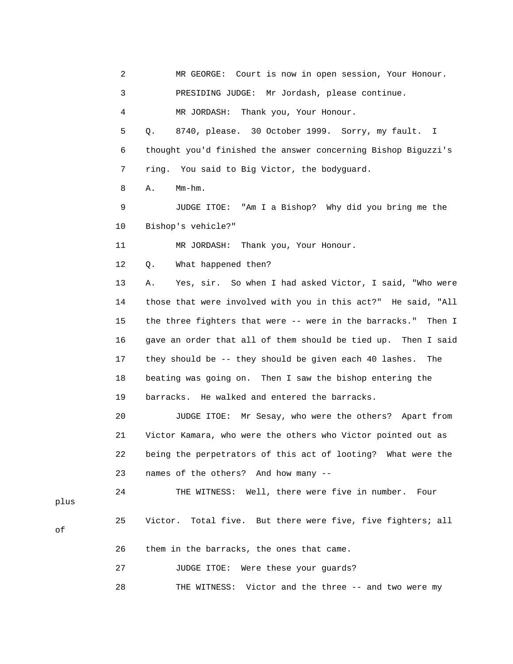2 MR GEORGE: Court is now in open session, Your Honour. 3 PRESIDING JUDGE: Mr Jordash, please continue. 4 MR JORDASH: Thank you, Your Honour. 999. Sorry, my fault. I 5 Q. 8740, please. 30 October 1 6 thought you'd finished the answer concerning Bishop Biguzzi's 7 ring. You said to Big Victor, the bodyguard. 9 JUDGE ITOE: "Am I a Bishop? Why did you bring me the 10 Bishop's vehicle?" 12 Q. What happened then? 13 A. Yes, sir. So when I had asked Victor, I said, "Who were 14 those that were involved with you in this act?" He said, "All 15 the three fighters that were -- were in the barracks." Then I 16 gave an order that all of them should be tied up. Then I said 17 they should be -- they should be given each 40 lashes. The 18 beating was going on. Then I saw the bishop entering the 19 barracks. He walked and entered the barracks. 21 Victor Kamara, who were the others who Victor pointed out as 22 being the perpetrators of this act of looting? What were the 24 THE WITNESS: Well, there were five in number. Four 26 them in the barracks, the ones that came. 8 A. Mm-hm. 11 MR JORDASH: Thank you, Your Honour. 20 JUDGE ITOE: Mr Sesay, who were the others? Apart from 23 names of the others? And how many -- 25 Victor. Total five. But there were five, five fighters; all 27 JUDGE ITOE: Were these your guards? 28 THE WITNESS: Victor and the three -- and two were my

plus

of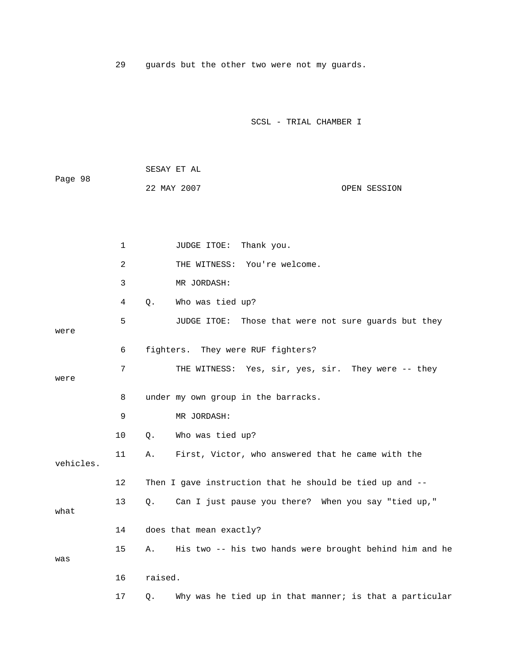29 guards but the other two were not my guards.

|         | SESAY ET AL |  |              |
|---------|-------------|--|--------------|
| Page 98 |             |  |              |
|         | 22 MAY 2007 |  | OPEN SESSION |

|           | $\mathbf 1$ | JUDGE ITOE: Thank you.                                           |
|-----------|-------------|------------------------------------------------------------------|
|           | 2           | THE WITNESS: You're welcome.                                     |
|           | 3           | MR JORDASH:                                                      |
|           | 4           | Who was tied up?<br>$Q$ .                                        |
| were      | 5           | JUDGE ITOE: Those that were not sure guards but they             |
|           | 6           | fighters. They were RUF fighters?                                |
| were      | 7           | THE WITNESS: Yes, sir, yes, sir. They were -- they               |
|           | 8           | under my own group in the barracks.                              |
|           | 9           | MR JORDASH:                                                      |
|           | 10          | Who was tied up?<br>$Q$ .                                        |
| vehicles. | 11          | First, Victor, who answered that he came with the<br>Α.          |
|           | 12          | Then I gave instruction that he should be tied up and --         |
| what      | 13          | Can I just pause you there? When you say "tied up,"<br>Q.        |
|           | 14          | does that mean exactly?                                          |
| was       | 15          | His two -- his two hands were brought behind him and he<br>Α.    |
|           | 16          | raised.                                                          |
|           | 17          | Why was he tied up in that manner; is that a particular<br>$Q$ . |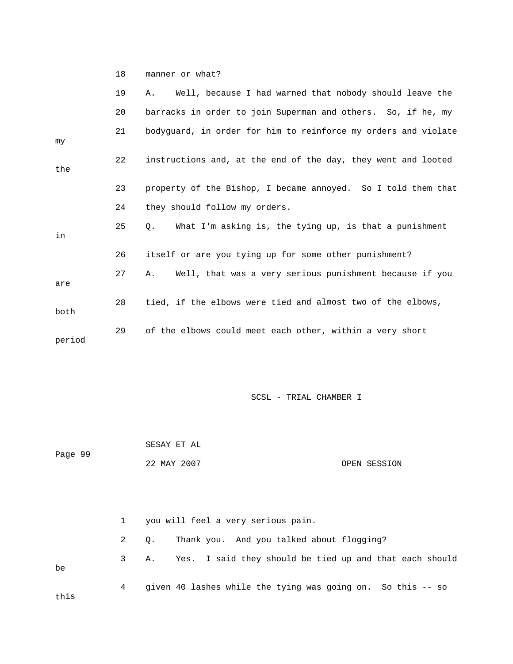18 manner or what?

|        | 19 | Well, because I had warned that nobody should leave the<br>Α.       |
|--------|----|---------------------------------------------------------------------|
|        | 20 | barracks in order to join Superman and others. So, if he, my        |
| my     | 21 | bodyguard, in order for him to reinforce my orders and violate      |
| the    | 22 | instructions and, at the end of the day, they went and looted       |
|        | 23 | property of the Bishop, I became annoyed. So I told them that       |
|        | 24 | they should follow my orders.                                       |
| in     | 25 | What I'm asking is, the tying up, is that a punishment<br>$\circ$ . |
|        | 26 | itself or are you tying up for some other punishment?               |
| are    | 27 | Well, that was a very serious punishment because if you<br>A.,      |
| both   | 28 | tied, if the elbows were tied and almost two of the elbows,         |
| period | 29 | of the elbows could meet each other, within a very short            |

SCSL - TRIAL CHAMBER I

 SESAY ET AL Page 99 22 MAY 2007 OPEN SESSION

 1 you will feel a very serious pain. 3 A. Yes. I said they should be tied up and that each should 4 given 40 lashes while the tying was going on. So this -- so this 2 Q. Thank you. And you talked about flogging? be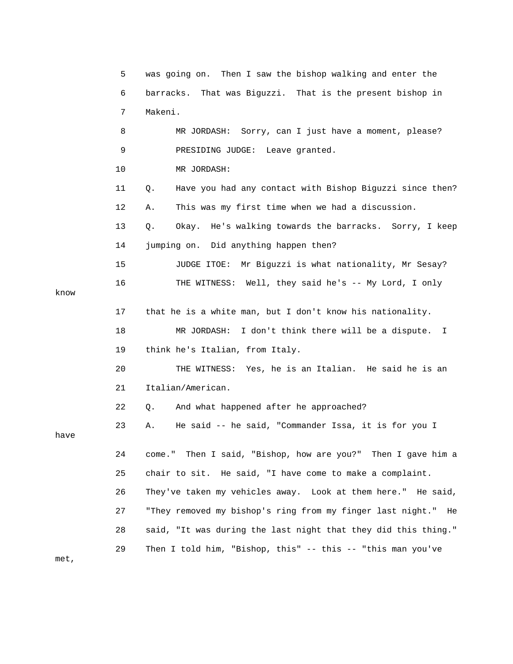|      | 5  | was going on. Then I saw the bishop walking and enter the       |
|------|----|-----------------------------------------------------------------|
|      | 6  | That was Biguzzi. That is the present bishop in<br>barracks.    |
|      | 7  | Makeni.                                                         |
|      | 8  | MR JORDASH: Sorry, can I just have a moment, please?            |
|      | 9  | PRESIDING JUDGE: Leave granted.                                 |
|      | 10 | MR JORDASH:                                                     |
|      | 11 | Have you had any contact with Bishop Biguzzi since then?<br>Q.  |
|      | 12 | This was my first time when we had a discussion.<br>Α.          |
|      | 13 | Okay. He's walking towards the barracks. Sorry, I keep<br>Q.    |
|      | 14 | jumping on. Did anything happen then?                           |
|      | 15 | JUDGE ITOE: Mr Biguzzi is what nationality, Mr Sesay?           |
| know | 16 | THE WITNESS: Well, they said he's -- My Lord, I only            |
|      | 17 | that he is a white man, but I don't know his nationality.       |
|      | 18 | MR JORDASH: I don't think there will be a dispute. I            |
|      | 19 | think he's Italian, from Italy.                                 |
|      | 20 | THE WITNESS: Yes, he is an Italian. He said he is an            |
|      | 21 | Italian/American.                                               |
|      | 22 | And what happened after he approached?<br>Q.                    |
| have | 23 | He said -- he said, "Commander Issa, it is for you I<br>Α.      |
|      | 24 | Then I said, "Bishop, how are you?" Then I gave him a<br>come." |
|      | 25 | chair to sit. He said, "I have come to make a complaint.        |
|      | 26 | They've taken my vehicles away. Look at them here." He said,    |
|      | 27 | "They removed my bishop's ring from my finger last night." He   |
|      | 28 | said, "It was during the last night that they did this thing."  |
| met, | 29 | Then I told him, "Bishop, this" -- this -- "this man you've     |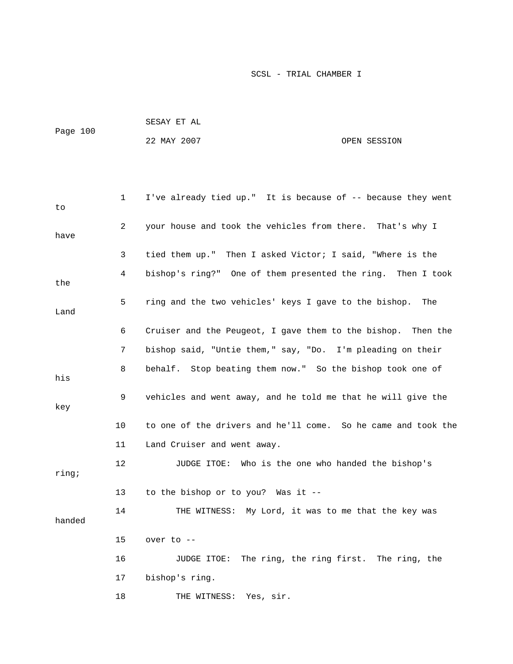| Page 100 | SESAY ET AL |              |
|----------|-------------|--------------|
|          | 22 MAY 2007 | OPEN SESSION |

| to     | $\mathbf 1$ | I've already tied up." It is because of -- because they went  |
|--------|-------------|---------------------------------------------------------------|
| have   | 2           | your house and took the vehicles from there. That's why I     |
|        | 3           | tied them up." Then I asked Victor; I said, "Where is the     |
| the    | 4           | bishop's ring?" One of them presented the ring. Then I took   |
| Land   | 5           | ring and the two vehicles' keys I gave to the bishop.<br>The  |
|        | 6           | Cruiser and the Peugeot, I gave them to the bishop. Then the  |
|        | 7           | bishop said, "Untie them," say, "Do. I'm pleading on their    |
| his    | 8           | behalf. Stop beating them now." So the bishop took one of     |
| key    | 9           | vehicles and went away, and he told me that he will give the  |
|        | 10          | to one of the drivers and he'll come. So he came and took the |
|        | 11          | Land Cruiser and went away.                                   |
| ring;  | 12          | JUDGE ITOE: Who is the one who handed the bishop's            |
|        | 13          | to the bishop or to you? Was it --                            |
| handed | 14          | THE WITNESS: My Lord, it was to me that the key was           |
|        | 15          | over to $--$                                                  |
|        | 16          | JUDGE ITOE: The ring, the ring first. The ring, the           |
|        | 17          | bishop's ring.                                                |
|        | 18          | Yes, sir.<br>THE WITNESS:                                     |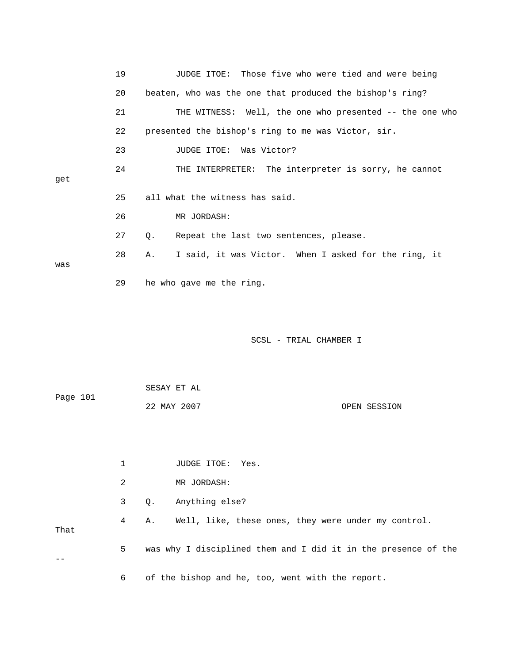|          | 19             | Those five who were tied and were being<br>JUDGE ITOE:         |
|----------|----------------|----------------------------------------------------------------|
|          | 20             | beaten, who was the one that produced the bishop's ring?       |
|          | 21             | THE WITNESS: Well, the one who presented -- the one who        |
|          | 22             | presented the bishop's ring to me was Victor, sir.             |
|          | 23             | Was Victor?<br>JUDGE ITOE:                                     |
| get      | 24             | THE INTERPRETER: The interpreter is sorry, he cannot           |
|          | 25             | all what the witness has said.                                 |
|          | 26             | MR JORDASH:                                                    |
|          | 27             | Repeat the last two sentences, please.<br>Q.                   |
| was      | 28             | I said, it was Victor. When I asked for the ring, it<br>Α.     |
|          | 29             | he who gave me the ring.                                       |
|          |                | SCSL - TRIAL CHAMBER I                                         |
| Page 101 |                | SESAY ET AL                                                    |
|          |                | 22 MAY 2007<br>OPEN SESSION                                    |
|          |                |                                                                |
|          | $\mathbf{1}$   | JUDGE ITOE: Yes.                                               |
|          | $\overline{c}$ | MR JORDASH:                                                    |
|          | 3              | Anything else?<br>Q.                                           |
| That     | 4              | Well, like, these ones, they were under my control.<br>Α.      |
|          | 5              | was why I disciplined them and I did it in the presence of the |
|          | 6              | of the bishop and he, too, went with the report.               |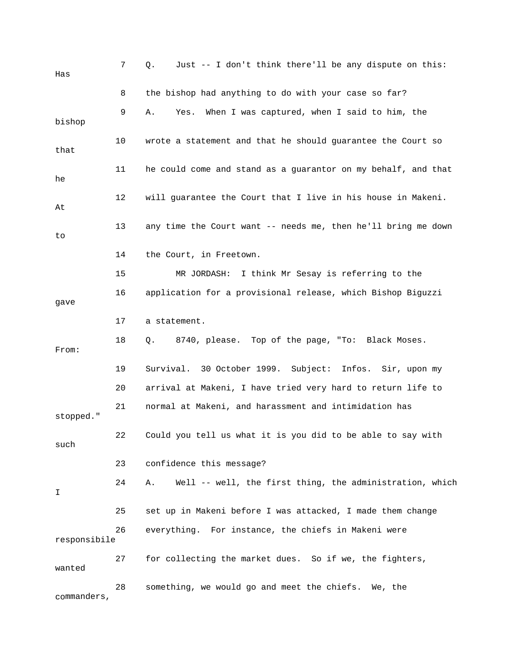| Has          | 7  | Just -- I don't think there'll be any dispute on this:<br>Q.   |
|--------------|----|----------------------------------------------------------------|
|              | 8  | the bishop had anything to do with your case so far?           |
| bishop       | 9  | When I was captured, when I said to him, the<br>Yes.<br>Α.     |
| that         | 10 | wrote a statement and that he should guarantee the Court so    |
| he           | 11 | he could come and stand as a guarantor on my behalf, and that  |
| At           | 12 | will guarantee the Court that I live in his house in Makeni.   |
| to           | 13 | any time the Court want -- needs me, then he'll bring me down  |
|              | 14 | the Court, in Freetown.                                        |
|              | 15 | MR JORDASH: I think Mr Sesay is referring to the               |
| gave         | 16 | application for a provisional release, which Bishop Biguzzi    |
|              | 17 | a statement.                                                   |
| From:        | 18 | 8740, please. Top of the page, "To: Black Moses.<br>Q.         |
|              | 19 | Survival. 30 October 1999. Subject: Infos. Sir, upon my        |
|              | 20 | arrival at Makeni, I have tried very hard to return life to    |
| stopped."    | 21 | normal at Makeni, and harassment and intimidation has          |
| such         | 22 | Could you tell us what it is you did to be able to say with    |
|              | 23 | confidence this message?                                       |
| Ι            | 24 | Well -- well, the first thing, the administration, which<br>Α. |
|              | 25 | set up in Makeni before I was attacked, I made them change     |
| responsibile | 26 | everything. For instance, the chiefs in Makeni were            |
| wanted       | 27 | for collecting the market dues. So if we, the fighters,        |
| commanders,  | 28 | something, we would go and meet the chiefs. We, the            |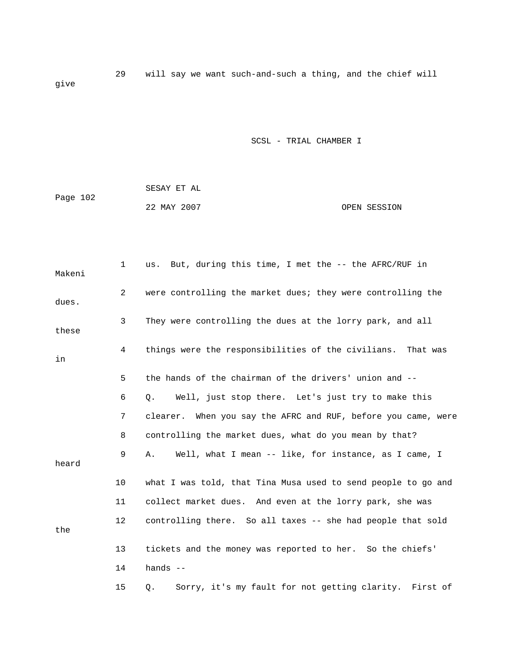29 will say we want such-and-such a thing, and the chief will give

|          | SESAY ET AL |              |
|----------|-------------|--------------|
| Page 102 |             |              |
|          | 22 MAY 2007 | OPEN SESSION |

| Makeni | $\mathbf{1}$   | But, during this time, I met the -- the AFRC/RUF in<br>us.    |
|--------|----------------|---------------------------------------------------------------|
| dues.  | $\overline{2}$ | were controlling the market dues; they were controlling the   |
| these  | 3              | They were controlling the dues at the lorry park, and all     |
| in     | 4              | things were the responsibilities of the civilians. That was   |
|        | 5              | the hands of the chairman of the drivers' union and --        |
|        | 6              | Well, just stop there. Let's just try to make this<br>Q.      |
|        | 7              | clearer. When you say the AFRC and RUF, before you came, were |
|        | 8              | controlling the market dues, what do you mean by that?        |
| heard  | 9              | Well, what I mean -- like, for instance, as I came, I<br>Α.   |
|        | 10             | what I was told, that Tina Musa used to send people to go and |
|        | 11             | collect market dues. And even at the lorry park, she was      |
| the    | 12             | controlling there. So all taxes -- she had people that sold   |
|        | 13             | tickets and the money was reported to her. So the chiefs'     |
|        | 14             | hands $--$                                                    |
|        | 15             | Sorry, it's my fault for not getting clarity. First of<br>Q.  |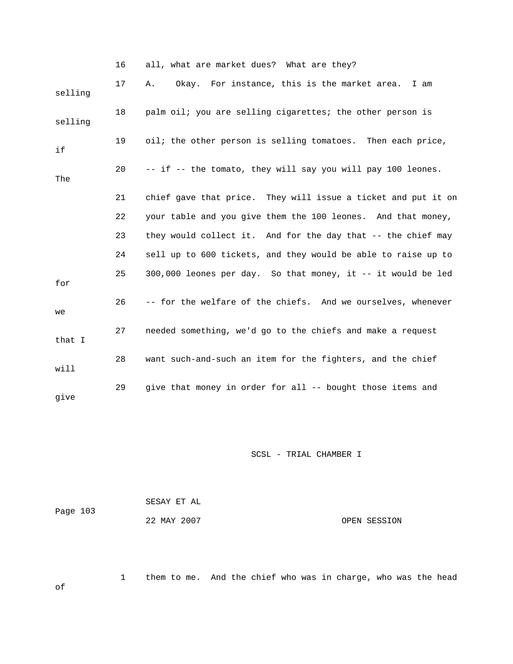|         | 16 | all, what are market dues? What are they?                     |
|---------|----|---------------------------------------------------------------|
| selling | 17 | Okay. For instance, this is the market area.<br>I am<br>Α.    |
| selling | 18 | palm oil; you are selling cigarettes; the other person is     |
| if      | 19 | oil; the other person is selling tomatoes. Then each price,   |
| The     | 20 | -- if -- the tomato, they will say you will pay 100 leones.   |
|         | 21 | chief gave that price. They will issue a ticket and put it on |
|         | 22 | your table and you give them the 100 leones. And that money,  |
|         | 23 | they would collect it. And for the day that -- the chief may  |
|         | 24 | sell up to 600 tickets, and they would be able to raise up to |
| for     | 25 | 300,000 leones per day. So that money, it -- it would be led  |
| we      | 26 | -- for the welfare of the chiefs. And we ourselves, whenever  |
| that I  | 27 | needed something, we'd go to the chiefs and make a request    |
| will    | 28 | want such-and-such an item for the fighters, and the chief    |
| give    | 29 | give that money in order for all -- bought those items and    |

|          | SESAY ET AL |              |
|----------|-------------|--------------|
| Page 103 |             |              |
|          | 22 MAY 2007 | OPEN SESSION |

1 them to me. And the chief who was in charge, who was the head

of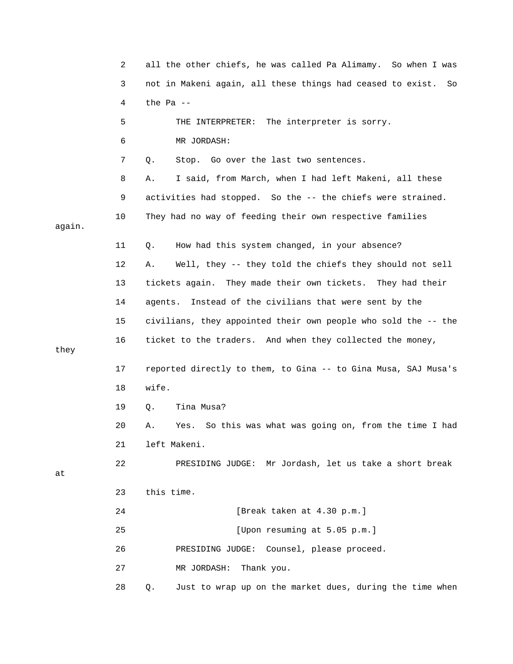|        | 2  | all the other chiefs, he was called Pa Alimamy. So when I was    |
|--------|----|------------------------------------------------------------------|
|        | 3  | not in Makeni again, all these things had ceased to exist.<br>So |
|        | 4  | the Pa $-$                                                       |
|        | 5  | THE INTERPRETER: The interpreter is sorry.                       |
|        | 6  | MR JORDASH:                                                      |
|        | 7  | Stop. Go over the last two sentences.<br>Q.                      |
|        | 8  | I said, from March, when I had left Makeni, all these<br>Α.      |
|        | 9  | activities had stopped. So the -- the chiefs were strained.      |
| again. | 10 | They had no way of feeding their own respective families         |
|        | 11 | How had this system changed, in your absence?<br>Q.              |
|        | 12 | Well, they -- they told the chiefs they should not sell<br>Α.    |
|        | 13 | tickets again. They made their own tickets. They had their       |
|        | 14 | Instead of the civilians that were sent by the<br>agents.        |
|        | 15 | civilians, they appointed their own people who sold the -- the   |
| they   | 16 | ticket to the traders. And when they collected the money,        |
|        | 17 | reported directly to them, to Gina -- to Gina Musa, SAJ Musa's   |
|        | 18 | wife.                                                            |
|        | 19 | Tina Musa?<br>Q.                                                 |
|        | 20 | So this was what was going on, from the time I had<br>Yes.<br>Α. |
|        | 21 | left Makeni.                                                     |
| at     | 22 | PRESIDING JUDGE: Mr Jordash, let us take a short break           |
|        | 23 | this time.                                                       |
|        | 24 | [Break taken at 4.30 p.m.]                                       |
|        | 25 | [Upon resuming at 5.05 p.m.]                                     |
|        | 26 | PRESIDING JUDGE: Counsel, please proceed.                        |
|        | 27 | MR JORDASH:<br>Thank you.                                        |
|        | 28 | Just to wrap up on the market dues, during the time when<br>Q.   |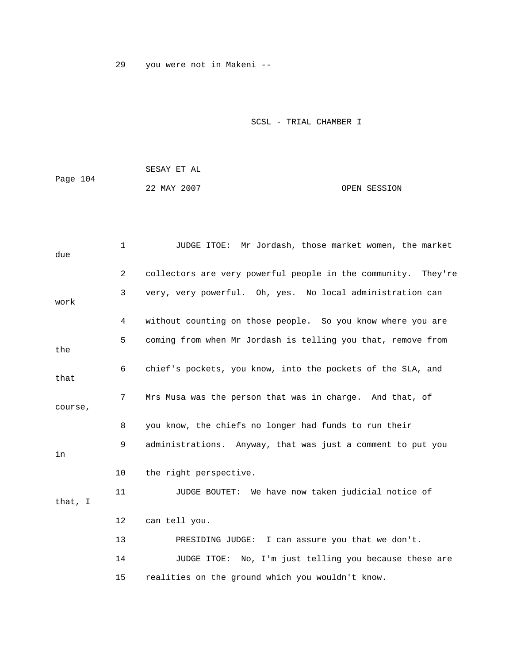29 you were not in Makeni --

|          | SESAY ET AL |              |
|----------|-------------|--------------|
| Page 104 |             |              |
|          | 22 MAY 2007 | OPEN SESSION |

| due     | $\mathbf 1$ | JUDGE ITOE: Mr Jordash, those market women, the market        |
|---------|-------------|---------------------------------------------------------------|
|         | 2           | collectors are very powerful people in the community. They're |
| work    | 3           | very, very powerful. Oh, yes. No local administration can     |
|         | 4           | without counting on those people. So you know where you are   |
| the     | 5           | coming from when Mr Jordash is telling you that, remove from  |
| that    | 6           | chief's pockets, you know, into the pockets of the SLA, and   |
| course, | 7           | Mrs Musa was the person that was in charge. And that, of      |
|         | 8           | you know, the chiefs no longer had funds to run their         |
| in      | 9           | administrations. Anyway, that was just a comment to put you   |
|         | 10          | the right perspective.                                        |
| that, I | 11          | JUDGE BOUTET: We have now taken judicial notice of            |
|         | 12          | can tell you.                                                 |
|         | 13          | PRESIDING JUDGE: I can assure you that we don't.              |
|         | 14          | JUDGE ITOE: No, I'm just telling you because these are        |
|         | 15          | realities on the ground which you wouldn't know.              |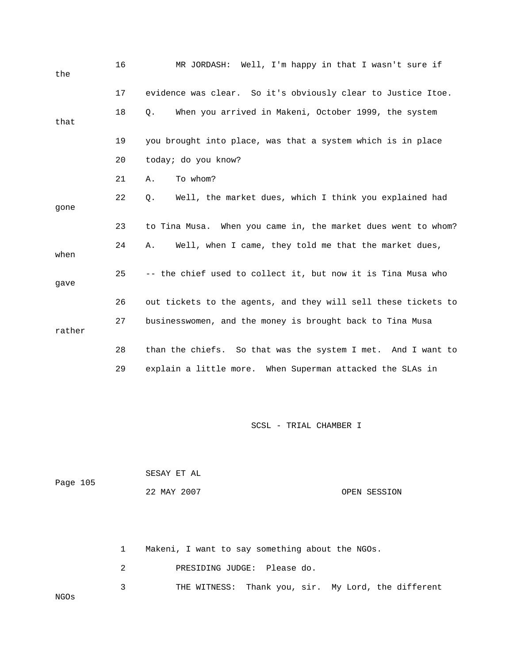| the    | 16 | MR JORDASH: Well, I'm happy in that I wasn't sure if           |
|--------|----|----------------------------------------------------------------|
|        | 17 | evidence was clear. So it's obviously clear to Justice Itoe.   |
| that   | 18 | When you arrived in Makeni, October 1999, the system<br>О.     |
|        | 19 | you brought into place, was that a system which is in place    |
|        | 20 | today; do you know?                                            |
|        | 21 | To whom?<br>Α.                                                 |
| gone   | 22 | Well, the market dues, which I think you explained had<br>О.   |
|        | 23 | to Tina Musa. When you came in, the market dues went to whom?  |
| when   | 24 | Α.<br>Well, when I came, they told me that the market dues,    |
| gave   | 25 | -- the chief used to collect it, but now it is Tina Musa who   |
|        | 26 | out tickets to the agents, and they will sell these tickets to |
| rather | 27 | businesswomen, and the money is brought back to Tina Musa      |
|        | 28 | than the chiefs. So that was the system I met. And I want to   |
|        | 29 | explain a little more. When Superman attacked the SLAs in      |

| Page 105 | SESAY ET AL |              |
|----------|-------------|--------------|
|          | 22 MAY 2007 | OPEN SESSION |

 1 Makeni, I want to say something about the NGOs. 2 PRESIDING JUDGE: Please do. 3 THE WITNESS: Thank you, sir. My Lord, the different NGOs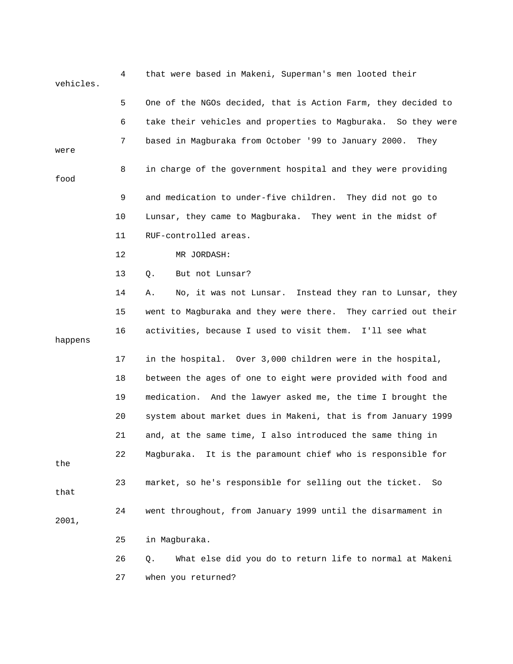| vehicles. | 4  | that were based in Makeni, Superman's men looted their        |  |  |
|-----------|----|---------------------------------------------------------------|--|--|
|           | 5  | One of the NGOs decided, that is Action Farm, they decided to |  |  |
|           | 6  | take their vehicles and properties to Magburaka. So they were |  |  |
| were      | 7  | based in Magburaka from October '99 to January 2000.<br>They  |  |  |
| food      | 8  | in charge of the government hospital and they were providing  |  |  |
|           | 9  | and medication to under-five children. They did not go to     |  |  |
|           | 10 | Lunsar, they came to Magburaka. They went in the midst of     |  |  |
|           | 11 | RUF-controlled areas.                                         |  |  |
|           | 12 | MR JORDASH:                                                   |  |  |
|           | 13 | But not Lunsar?<br>Q.                                         |  |  |
|           | 14 | No, it was not Lunsar. Instead they ran to Lunsar, they<br>Α. |  |  |
|           | 15 | went to Magburaka and they were there. They carried out their |  |  |
| happens   | 16 | activities, because I used to visit them. I'll see what       |  |  |
|           | 17 | in the hospital. Over 3,000 children were in the hospital,    |  |  |
|           | 18 | between the ages of one to eight were provided with food and  |  |  |
|           | 19 | medication. And the lawyer asked me, the time I brought the   |  |  |
|           | 20 | system about market dues in Makeni, that is from January 1999 |  |  |
|           | 21 | and, at the same time, I also introduced the same thing in    |  |  |
| the       | 22 | Magburaka. It is the paramount chief who is responsible for   |  |  |
| that      | 23 | market, so he's responsible for selling out the ticket.<br>So |  |  |
| 2001,     | 24 | went throughout, from January 1999 until the disarmament in   |  |  |
|           | 25 | in Magburaka.                                                 |  |  |
|           | 26 | What else did you do to return life to normal at Makeni<br>Q. |  |  |
|           | 27 | when you returned?                                            |  |  |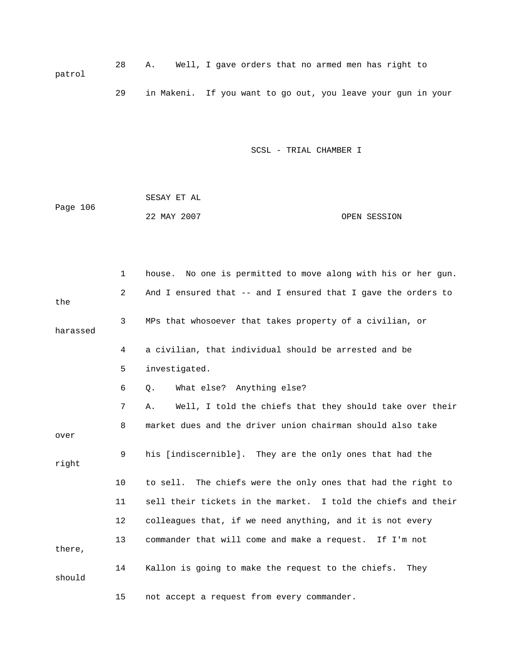28 A. Well, I gave orders that no armed men has right to 29 in Makeni. If you want to go out, you leave your gun in your patrol

SCSL - TRIAL CHAMBER I

 SESAY ET AL ge 106 22 MAY 2007 OPEN SESSION Pa

|          | $\mathbf 1$ | No one is permitted to move along with his or her gun.<br>house. |
|----------|-------------|------------------------------------------------------------------|
| the      | 2           | And I ensured that -- and I ensured that I gave the orders to    |
| harassed | 3           | MPs that whosoever that takes property of a civilian, or         |
|          | 4           | a civilian, that individual should be arrested and be            |
|          | 5           | investigated.                                                    |
|          | 6           | What else? Anything else?<br>Q.                                  |
|          | 7           | Well, I told the chiefs that they should take over their<br>Α.   |
| over     | 8           | market dues and the driver union chairman should also take       |
| right    | 9           | his [indiscernible]. They are the only ones that had the         |
|          | 10          | to sell. The chiefs were the only ones that had the right to     |
|          | 11          | sell their tickets in the market. I told the chiefs and their    |
|          | 12          | colleagues that, if we need anything, and it is not every        |
| there,   | 13          | commander that will come and make a request. If I'm not          |
| should   | 14          | Kallon is going to make the request to the chiefs.<br>They       |
|          | 15          | not accept a request from every commander.                       |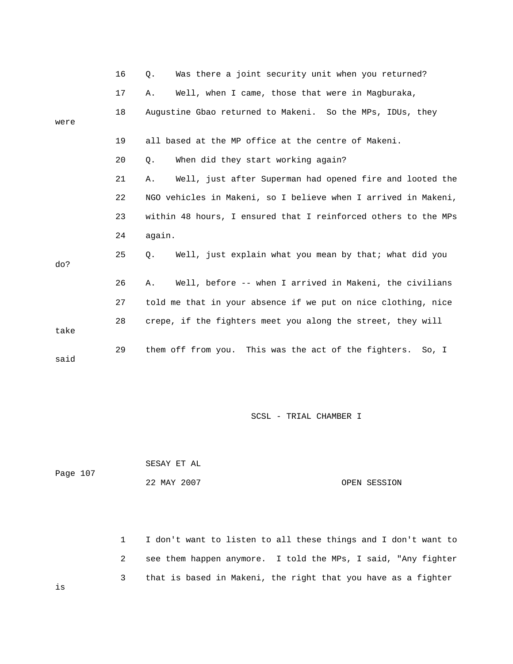|      | 16 | Was there a joint security unit when you returned?<br>$Q$ .    |
|------|----|----------------------------------------------------------------|
|      | 17 | Well, when I came, those that were in Magburaka,<br>Α.         |
| were | 18 | Augustine Gbao returned to Makeni. So the MPs, IDUs, they      |
|      | 19 | all based at the MP office at the centre of Makeni.            |
|      | 20 | When did they start working again?<br>$Q$ .                    |
|      | 21 | Well, just after Superman had opened fire and looted the<br>Α. |
|      | 22 | NGO vehicles in Makeni, so I believe when I arrived in Makeni, |
|      | 23 | within 48 hours, I ensured that I reinforced others to the MPs |
|      | 24 | again.                                                         |
| do?  | 25 | Well, just explain what you mean by that; what did you<br>О.   |
|      | 26 | Well, before -- when I arrived in Makeni, the civilians<br>Α.  |
|      | 27 | told me that in your absence if we put on nice clothing, nice  |
| take | 28 | crepe, if the fighters meet you along the street, they will    |
| said | 29 | them off from you. This was the act of the fighters.<br>So, I  |

|          | SESAY ET AL |              |
|----------|-------------|--------------|
| Page 107 |             |              |
|          | 22 MAY 2007 | OPEN SESSION |

 1 I don't want to listen to all these things and I don't want to 2 see them happen anymore. I told the MPs, I said, "Any fighter 3 that is based in Makeni, the right that you have as a fighter

is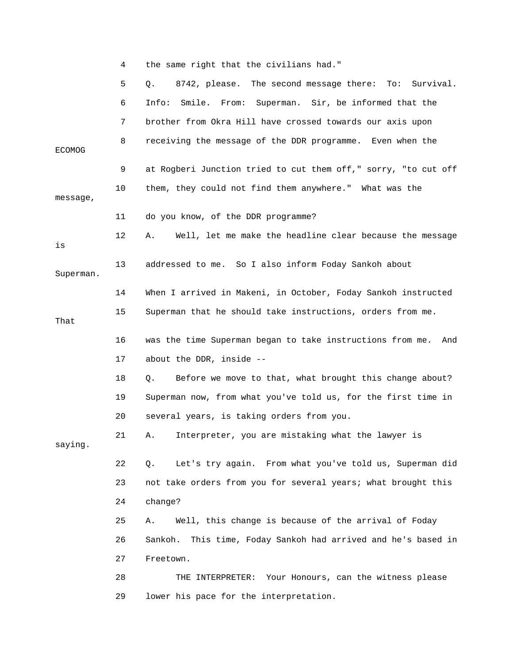|               | 4  | the same right that the civilians had."                              |
|---------------|----|----------------------------------------------------------------------|
|               | 5  | 8742, please. The second message there: To: Survival.<br>$Q_{\star}$ |
|               | 6  | Smile. From: Superman. Sir, be informed that the<br>Info:            |
|               | 7  | brother from Okra Hill have crossed towards our axis upon            |
| <b>ECOMOG</b> | 8  | receiving the message of the DDR programme. Even when the            |
|               | 9  | at Rogberi Junction tried to cut them off," sorry, "to cut off       |
| message,      | 10 | them, they could not find them anywhere." What was the               |
|               | 11 | do you know, of the DDR programme?                                   |
| is            | 12 | Well, let me make the headline clear because the message<br>А.       |
| Superman.     | 13 | addressed to me. So I also inform Foday Sankoh about                 |
|               | 14 | When I arrived in Makeni, in October, Foday Sankoh instructed        |
| That          | 15 | Superman that he should take instructions, orders from me.           |
|               | 16 | was the time Superman began to take instructions from me.<br>And     |
|               |    | about the DDR, inside --                                             |
|               | 17 |                                                                      |
|               | 18 | Before we move to that, what brought this change about?<br>Q.        |
|               | 19 | Superman now, from what you've told us, for the first time in        |
|               | 20 | several years, is taking orders from you.                            |
| saying.       | 21 | A. Interpreter, you are mistaking what the lawyer is                 |
|               | 22 | Let's try again. From what you've told us, Superman did<br>Q.        |
|               | 23 | not take orders from you for several years; what brought this        |
|               | 24 | change?                                                              |
|               | 25 | Well, this change is because of the arrival of Foday<br>Α.           |
|               | 26 | This time, Foday Sankoh had arrived and he's based in<br>Sankoh.     |
|               | 27 | Freetown.                                                            |
|               | 28 | THE INTERPRETER: Your Honours, can the witness please                |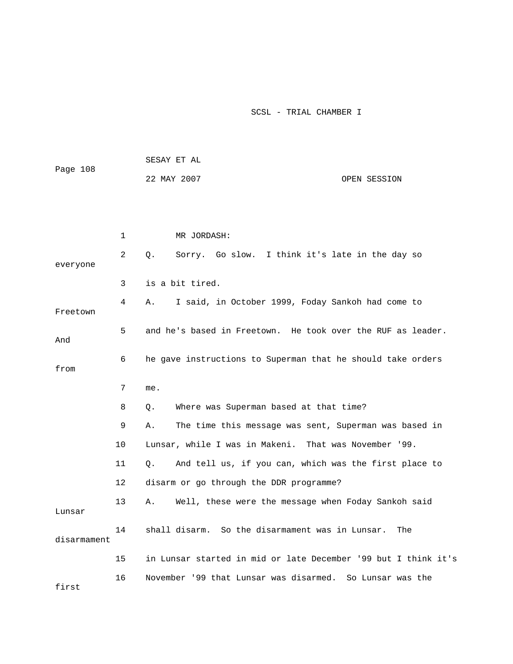| Page 108    |         | SESAY ET AL                                                    |
|-------------|---------|----------------------------------------------------------------|
|             |         | 22 MAY 2007<br>OPEN SESSION                                    |
|             |         |                                                                |
|             |         |                                                                |
|             | 1       | MR JORDASH:                                                    |
| everyone    | 2       | Sorry. Go slow. I think it's late in the day so<br>Q.          |
|             | 3       | is a bit tired.                                                |
| Freetown    | 4       | I said, in October 1999, Foday Sankoh had come to<br>Α.        |
| And         | 5       | and he's based in Freetown. He took over the RUF as leader.    |
| from        | 6       | he gave instructions to Superman that he should take orders    |
|             | 7       | me.                                                            |
|             | 8       | Where was Superman based at that time?<br>О.                   |
|             | 9       | The time this message was sent, Superman was based in<br>Α.    |
|             | 10      | Lunsar, while I was in Makeni. That was November '99.          |
|             | 11      | And tell us, if you can, which was the first place to<br>О.    |
|             | $12 \,$ | disarm or go through the DDR programme?                        |
| Lunsar      | 13      | Well, these were the message when Foday Sankoh said<br>Α.      |
| disarmament | 14      | shall disarm. So the disarmament was in Lunsar.<br>The         |
|             | 15      | in Lunsar started in mid or late December '99 but I think it's |
| first       | 16      | November '99 that Lunsar was disarmed. So Lunsar was the       |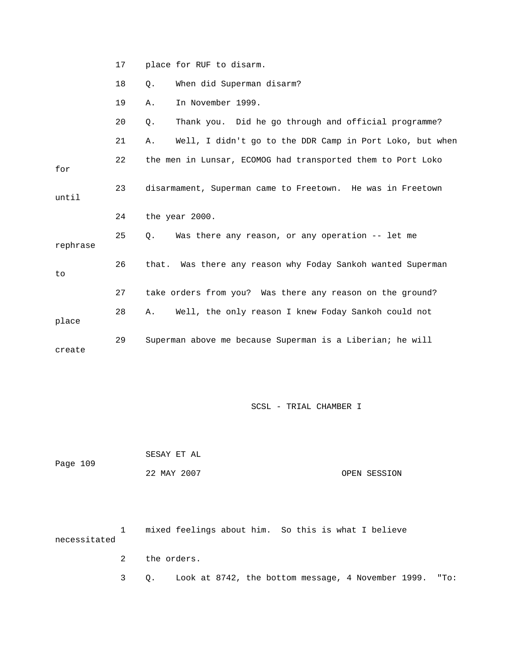|          | 17 | place for RUF to disarm.                                       |
|----------|----|----------------------------------------------------------------|
|          | 18 | When did Superman disarm?<br>Q.                                |
|          | 19 | In November 1999.<br>Α.                                        |
|          | 20 | Thank you. Did he go through and official programme?<br>Q.     |
|          | 21 | Well, I didn't go to the DDR Camp in Port Loko, but when<br>Α. |
| for      | 22 | the men in Lunsar, ECOMOG had transported them to Port Loko    |
| until    | 23 | disarmament, Superman came to Freetown. He was in Freetown     |
|          | 24 | the year 2000.                                                 |
| rephrase | 25 | Was there any reason, or any operation -- let me<br>0.         |
| to       | 26 | that. Was there any reason why Foday Sankoh wanted Superman    |
|          | 27 | take orders from you? Was there any reason on the ground?      |
|          | 28 | Well, the only reason I knew Foday Sankoh could not<br>Α.      |
| place    |    |                                                                |

|          | SESAY ET AL |              |
|----------|-------------|--------------|
| Page 109 |             |              |
|          | 22 MAY 2007 | OPEN SESSION |

 1 mixed feelings about him. So this is what I believe necessitated 3 Q. Look at 8742, the bottom message, 4 November 1999. "To: 2 the orders.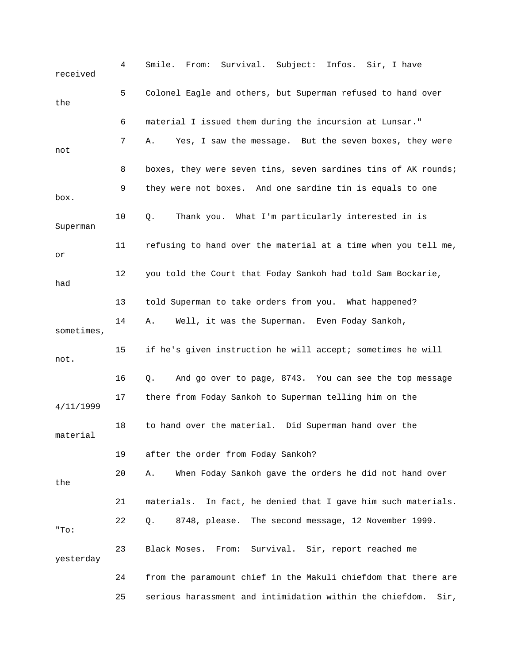4 Smile. From: Survival. Subject: Infos. Sir, I have received 5 Colonel Eagle and others, but Superman refused to hand over 6 material I issued them during the incursion at Lunsar." not 8 boxes, they were seven tins, seven sardines tins of AK rounds; Superman 11 refusing to hand over the material at a time when you tell me, 14 A. Well, it was the Superman. Even Foday Sankoh, , sometimes 15 if he's given instruction he will accept; sometimes he will . not 16 Q. And go over to page, 8743. You can see the top message 11/1999 4/ 18 to hand over the material. Did Superman hand over the material 19 after the order from Foday Sankoh? the 21 materials. In fact, he denied that I gave him such materials. 9. 22 Q. 8748, please. The second message, 12 November 199 23 Black Moses. From: Survival. Sir, report reached me 24 from the paramount chief in the Makuli chiefdom that there are the 7 A. Yes, I saw the message. But the seven boxes, they were 9 they were not boxes. And one sardine tin is equals to one box. 10 Q. Thank you. What I'm particularly interested in is or 12 you told the Court that Foday Sankoh had told Sam Bockarie, had 13 told Superman to take orders from you. What happened? 17 there from Foday Sankoh to Superman telling him on the 20 A. When Foday Sankoh gave the orders he did not hand over "To: yesterday 25 serious harassment and intimidation within the chiefdom. Sir,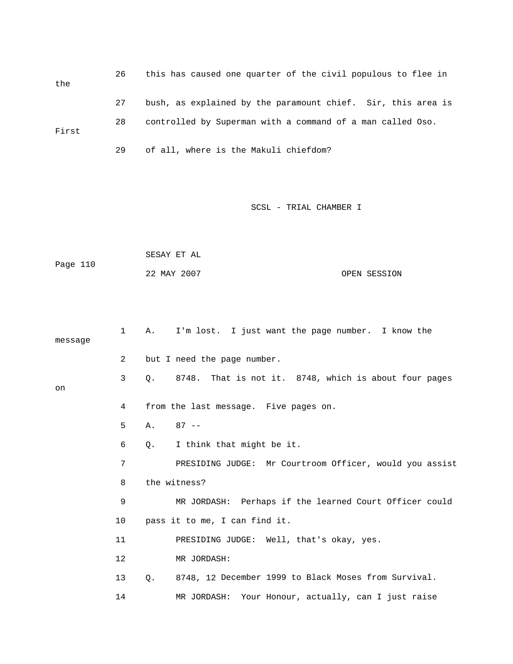26 this has caused one quarter of the civil populous to flee in the 27 bush, as explained by the paramount chief. Sir, this area is 28 controlled by Superman with a command of a man called Oso. First 29 of all, where is the Makuli chiefdom?

SCSL - TRIAL CHAMBER I

 SESAY ET AL Page 110 22 MAY 2007 OPEN SESSION

 1 A. I'm lost. I just want the page number. I know the message 3 Q. 8748. That is not it. 8748, which is about four pages 4 from the last message. Five pages on. 6 Q. I think that might be it. 7 PRESIDING JUDGE: Mr Courtroom Officer, would you assist 8 the witness? 9 MR JORDASH: Perhaps if the learned Court Officer could 10 pass it to me, I can find it. 11 PRESIDING JUDGE: Well, that's okay, yes. 13 Q. 8748, 12 December 1999 to Black Moses from Survival. 2 but I need the page number. on 5 A. 87 -- 12 MR JORDASH: 14 MR JORDASH: Your Honour, actually, can I just raise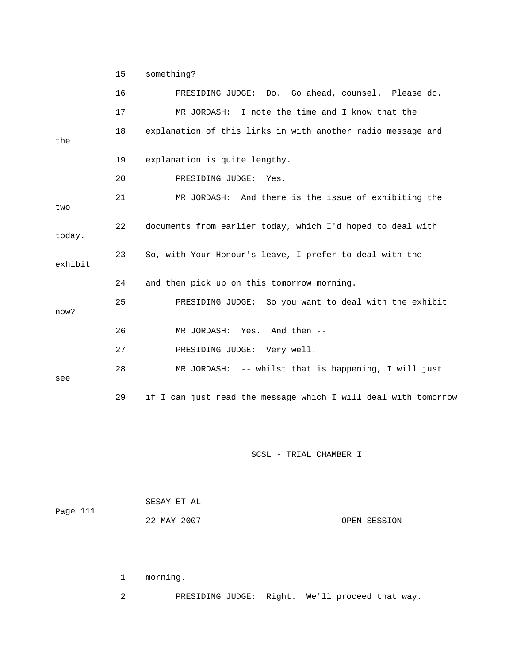15 something?

|         | 16 | PRESIDING JUDGE: Do. Go ahead, counsel. Please do.             |
|---------|----|----------------------------------------------------------------|
|         | 17 | MR JORDASH: I note the time and I know that the                |
| the     | 18 | explanation of this links in with another radio message and    |
|         | 19 | explanation is quite lengthy.                                  |
|         | 20 | PRESIDING JUDGE:<br>Yes.                                       |
| two     | 21 | MR JORDASH: And there is the issue of exhibiting the           |
| today.  | 22 | documents from earlier today, which I'd hoped to deal with     |
| exhibit | 23 | So, with Your Honour's leave, I prefer to deal with the        |
|         | 24 | and then pick up on this tomorrow morning.                     |
| now?    | 25 | PRESIDING JUDGE: So you want to deal with the exhibit          |
|         | 26 | MR JORDASH: Yes. And then --                                   |
|         | 27 | PRESIDING JUDGE: Very well.                                    |
| see     | 28 | MR JORDASH: -- whilst that is happening, I will just           |
|         | 29 | if I can just read the message which I will deal with tomorrow |

SCSL - TRIAL CHAMBER I

| Page 111 | SESAY ET AL |              |
|----------|-------------|--------------|
|          | 22 MAY 2007 | OPEN SESSION |

1 morning.

2 PRESIDING JUDGE: Right. We'll proceed that way.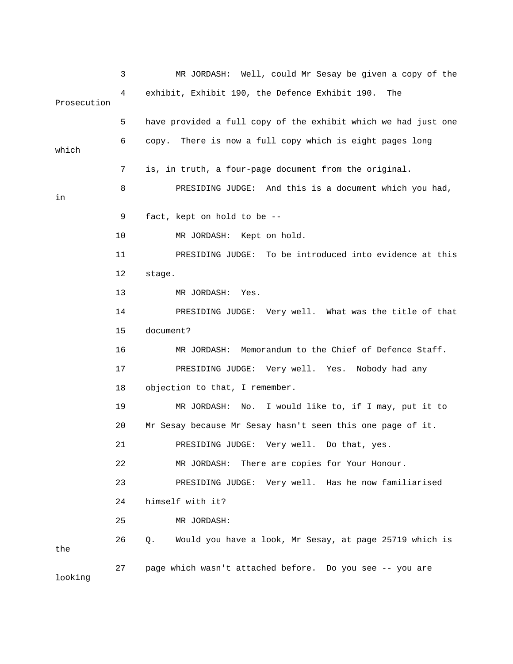|             | 3  | MR JORDASH: Well, could Mr Sesay be given a copy of the          |
|-------------|----|------------------------------------------------------------------|
| Prosecution | 4  | exhibit, Exhibit 190, the Defence Exhibit 190.<br>The            |
|             | 5  | have provided a full copy of the exhibit which we had just one   |
| which       | 6  | copy. There is now a full copy which is eight pages long         |
|             | 7  | is, in truth, a four-page document from the original.            |
| in          | 8  | PRESIDING JUDGE: And this is a document which you had,           |
|             | 9  | fact, kept on hold to be --                                      |
|             | 10 | MR JORDASH: Kept on hold.                                        |
|             | 11 | PRESIDING JUDGE: To be introduced into evidence at this          |
|             | 12 | stage.                                                           |
|             | 13 | MR JORDASH: Yes.                                                 |
|             | 14 | PRESIDING JUDGE: Very well. What was the title of that           |
|             | 15 | document?                                                        |
|             | 16 | MR JORDASH: Memorandum to the Chief of Defence Staff.            |
|             | 17 | PRESIDING JUDGE: Very well. Yes. Nobody had any                  |
|             | 18 | objection to that, I remember.                                   |
|             | 19 | MR JORDASH:<br>No. I would like to, if I may, put it to          |
|             | 20 | Mr Sesay because Mr Sesay hasn't seen this one page of it.       |
|             | 21 | PRESIDING JUDGE: Very well. Do that, yes.                        |
|             | 22 | There are copies for Your Honour.<br>MR JORDASH:                 |
|             | 23 | PRESIDING JUDGE: Very well. Has he now familiarised              |
|             | 24 | himself with it?                                                 |
|             | 25 | MR JORDASH:                                                      |
| the         | 26 | Would you have a look, Mr Sesay, at page 25719 which is<br>$Q$ . |
| looking     | 27 | page which wasn't attached before. Do you see -- you are         |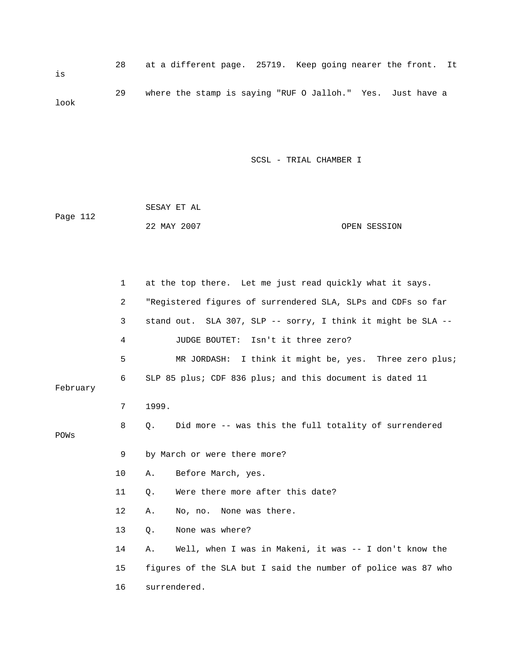28 at a different page. 25719. Keep going nearer the front. It 29 where the stamp is saying "RUF O Jalloh." Yes. Just have a is look

| Page 112 | SESAY ET AL |              |
|----------|-------------|--------------|
|          | 22 MAY 2007 | OPEN SESSION |

|          | 1              | at the top there. Let me just read quickly what it says.      |
|----------|----------------|---------------------------------------------------------------|
|          | $\overline{a}$ | "Registered figures of surrendered SLA, SLPs and CDFs so far  |
|          | 3              | stand out. SLA 307, SLP -- sorry, I think it might be SLA --  |
|          | 4              | JUDGE BOUTET: Isn't it three zero?                            |
|          | 5              | MR JORDASH: I think it might be, yes. Three zero plus;        |
| February | 6              | SLP 85 plus; CDF 836 plus; and this document is dated 11      |
|          | 7              | 1999.                                                         |
| POWs     | 8              | Did more -- was this the full totality of surrendered<br>О.   |
|          | 9              | by March or were there more?                                  |
|          | 10             | Before March, yes.<br>Α.                                      |
|          | 11             | Were there more after this date?<br>$Q$ .                     |
|          | 12             | No, no. None was there.<br>Α.                                 |
|          | 13             | None was where?<br>Q.                                         |
|          | 14             | Well, when I was in Makeni, it was -- I don't know the<br>Α.  |
|          | 15             | figures of the SLA but I said the number of police was 87 who |
|          | 16             | surrendered.                                                  |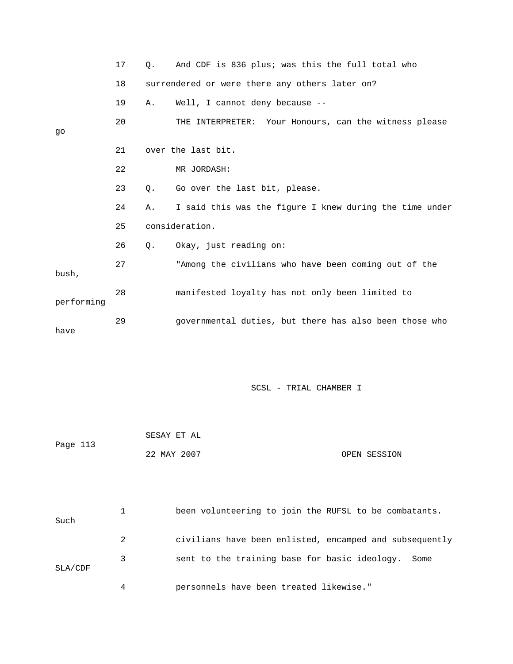|            | 17 | $\circ$ . | And CDF is 836 plus; was this the full total who        |
|------------|----|-----------|---------------------------------------------------------|
|            | 18 |           | surrendered or were there any others later on?          |
|            | 19 | Α.        | Well, I cannot deny because --                          |
|            | 20 |           | THE INTERPRETER: Your Honours, can the witness please   |
| go         |    |           |                                                         |
|            | 21 |           | over the last bit.                                      |
|            | 22 |           | MR JORDASH:                                             |
|            | 23 | $\circ$ . | Go over the last bit, please.                           |
|            | 24 | Α.        | I said this was the figure I knew during the time under |
|            | 25 |           | consideration.                                          |
|            | 26 | $\circ$ . | Okay, just reading on:                                  |
| bush,      | 27 |           | "Among the civilians who have been coming out of the    |
| performing | 28 |           | manifested loyalty has not only been limited to         |
| have       | 29 |           | governmental duties, but there has also been those who  |
|            |    |           |                                                         |

| Page 113 | SESAY ET AL |              |
|----------|-------------|--------------|
|          | 22 MAY 2007 | OPEN SESSION |

| Such          |   | been volunteering to join the RUFSL to be combatants.   |
|---------------|---|---------------------------------------------------------|
|               | 2 | civilians have been enlisted, encamped and subsequently |
| $SLA$ / $CDF$ | 3 | sent to the training base for basic ideology. Some      |
|               | 4 | personnels have been treated likewise."                 |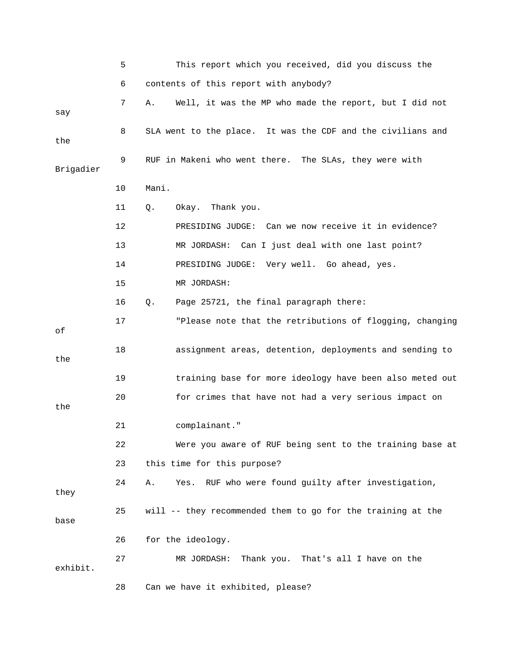|           | 5     | This report which you received, did you discuss the          |  |  |  |
|-----------|-------|--------------------------------------------------------------|--|--|--|
|           | 6     | contents of this report with anybody?                        |  |  |  |
| say       | 7     | Well, it was the MP who made the report, but I did not<br>Α. |  |  |  |
| the       | 8     | SLA went to the place. It was the CDF and the civilians and  |  |  |  |
| Brigadier | 9     | RUF in Makeni who went there. The SLAs, they were with       |  |  |  |
|           | Mani. |                                                              |  |  |  |
|           | 11    | Q.<br>Okay. Thank you.                                       |  |  |  |
|           | 12    | PRESIDING JUDGE: Can we now receive it in evidence?          |  |  |  |
|           | 13    | Can I just deal with one last point?<br>MR JORDASH:          |  |  |  |
|           | 14    | PRESIDING JUDGE: Very well. Go ahead, yes.                   |  |  |  |
|           | 15    | MR JORDASH:                                                  |  |  |  |
|           | 16    | Q.<br>Page 25721, the final paragraph there:                 |  |  |  |
| οf        | 17    | "Please note that the retributions of flogging, changing     |  |  |  |
| the       | 18    | assignment areas, detention, deployments and sending to      |  |  |  |
|           | 19    | training base for more ideology have been also meted out     |  |  |  |
| the       | 20    | for crimes that have not had a very serious impact on        |  |  |  |
|           | 21    | complainant."                                                |  |  |  |
|           | 22    | Were you aware of RUF being sent to the training base at     |  |  |  |
|           | 23    | this time for this purpose?                                  |  |  |  |
| they      | 24    | RUF who were found guilty after investigation,<br>Α.<br>Yes. |  |  |  |
| base      | 25    | will -- they recommended them to go for the training at the  |  |  |  |
|           | 26    | for the ideology.                                            |  |  |  |
| exhibit.  | 27    | Thank you. That's all I have on the<br>MR JORDASH:           |  |  |  |
|           | 28    | Can we have it exhibited, please?                            |  |  |  |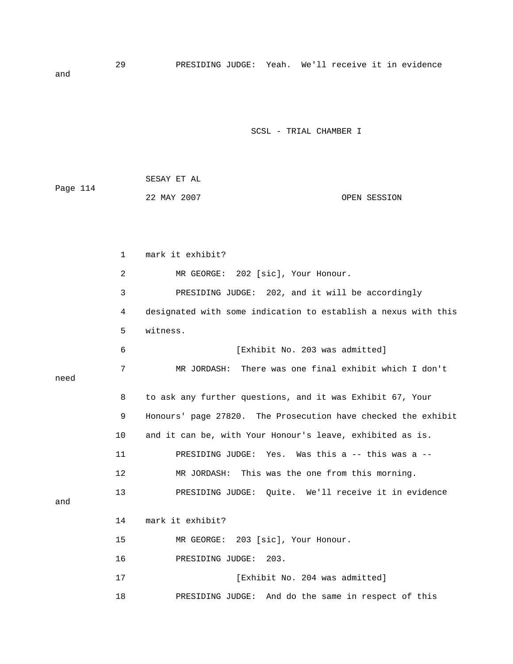29 PRESIDING JUDGE: Yeah. We'll receive it in evidence and

|          | SESAY ET AL |              |
|----------|-------------|--------------|
| Page 114 |             |              |
|          | 22 MAY 2007 | OPEN SESSION |

|      | 1  | mark it exhibit?                                               |
|------|----|----------------------------------------------------------------|
|      | 2  | 202 [sic], Your Honour.<br>MR GEORGE:                          |
|      | 3  | PRESIDING JUDGE: 202, and it will be accordingly               |
|      | 4  | designated with some indication to establish a nexus with this |
|      | 5  | witness.                                                       |
|      | 6  | [Exhibit No. 203 was admitted]                                 |
| need | 7  | MR JORDASH: There was one final exhibit which I don't          |
|      | 8  | to ask any further questions, and it was Exhibit 67, Your      |
|      | 9  | Honours' page 27820. The Prosecution have checked the exhibit  |
|      | 10 | and it can be, with Your Honour's leave, exhibited as is.      |
|      | 11 | Yes. Was this a $-$ - this was a $-$ -<br>PRESIDING JUDGE:     |
|      | 12 | MR JORDASH: This was the one from this morning.                |
| and  | 13 | PRESIDING JUDGE: Ouite. We'll receive it in evidence           |
|      | 14 | mark it exhibit?                                               |
|      | 15 | MR GEORGE: 203 [sic], Your Honour.                             |
|      | 16 | 203.<br>PRESIDING JUDGE:                                       |
|      | 17 | [Exhibit No. 204 was admitted]                                 |
|      | 18 | And do the same in respect of this<br>PRESIDING JUDGE:         |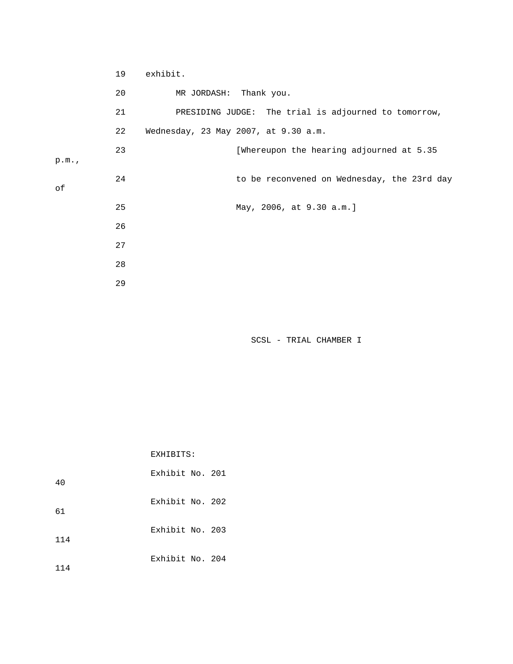|      | 19 | exhibit.                                             |
|------|----|------------------------------------------------------|
|      | 20 | MR JORDASH: Thank you.                               |
|      | 21 | PRESIDING JUDGE: The trial is adjourned to tomorrow, |
|      | 22 | Wednesday, 23 May 2007, at 9.30 a.m.                 |
| p.m. | 23 | [Whereupon the hearing adjourned at 5.35             |
| оf   | 24 | to be reconvened on Wednesday, the 23rd day          |
|      | 25 | May, 2006, at 9.30 a.m.]                             |
|      | 26 |                                                      |
|      | 27 |                                                      |
|      | 28 |                                                      |
|      | 29 |                                                      |

EXHIBITS:

| 40  | Exhibit No. 201 |  |
|-----|-----------------|--|
| 61  | Exhibit No. 202 |  |
| 114 | Exhibit No. 203 |  |
| 14  | Exhibit No. 204 |  |